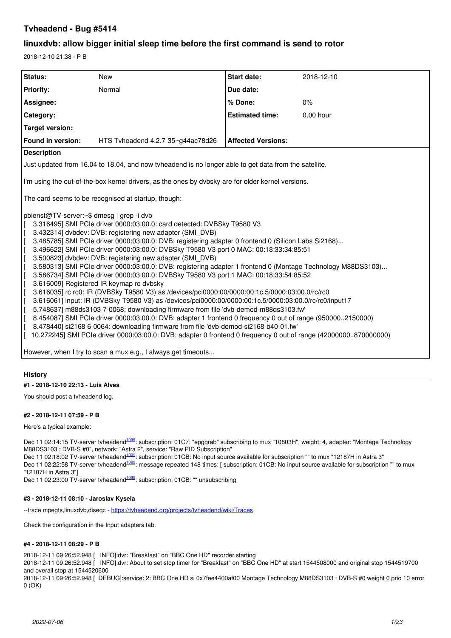# **Tvheadend - Bug #5414**

# **linuxdvb: allow bigger initial sleep time before the first command is send to rotor**

2018-12-10 21:38 - P B

| Status:                                                                                                                                                                                                                                                                                                                                                                                                                                                                                                                                                                                                                                                                                                                                                                                                                                                                                                                                                                                                                                                                                                                                                                                                                                                                                                                                                                                                                                                                                                                                                                                                                               | <b>New</b> | <b>Start date:</b>        | 2018-12-10  |  |
|---------------------------------------------------------------------------------------------------------------------------------------------------------------------------------------------------------------------------------------------------------------------------------------------------------------------------------------------------------------------------------------------------------------------------------------------------------------------------------------------------------------------------------------------------------------------------------------------------------------------------------------------------------------------------------------------------------------------------------------------------------------------------------------------------------------------------------------------------------------------------------------------------------------------------------------------------------------------------------------------------------------------------------------------------------------------------------------------------------------------------------------------------------------------------------------------------------------------------------------------------------------------------------------------------------------------------------------------------------------------------------------------------------------------------------------------------------------------------------------------------------------------------------------------------------------------------------------------------------------------------------------|------------|---------------------------|-------------|--|
| <b>Priority:</b>                                                                                                                                                                                                                                                                                                                                                                                                                                                                                                                                                                                                                                                                                                                                                                                                                                                                                                                                                                                                                                                                                                                                                                                                                                                                                                                                                                                                                                                                                                                                                                                                                      | Normal     | Due date:                 |             |  |
| Assignee:                                                                                                                                                                                                                                                                                                                                                                                                                                                                                                                                                                                                                                                                                                                                                                                                                                                                                                                                                                                                                                                                                                                                                                                                                                                                                                                                                                                                                                                                                                                                                                                                                             |            | % Done:                   | $0\%$       |  |
| Category:                                                                                                                                                                                                                                                                                                                                                                                                                                                                                                                                                                                                                                                                                                                                                                                                                                                                                                                                                                                                                                                                                                                                                                                                                                                                                                                                                                                                                                                                                                                                                                                                                             |            | <b>Estimated time:</b>    | $0.00$ hour |  |
| <b>Target version:</b>                                                                                                                                                                                                                                                                                                                                                                                                                                                                                                                                                                                                                                                                                                                                                                                                                                                                                                                                                                                                                                                                                                                                                                                                                                                                                                                                                                                                                                                                                                                                                                                                                |            |                           |             |  |
| Found in version:<br>HTS Tyheadend $4.2.7 - 35 - g$ 44ac78d26                                                                                                                                                                                                                                                                                                                                                                                                                                                                                                                                                                                                                                                                                                                                                                                                                                                                                                                                                                                                                                                                                                                                                                                                                                                                                                                                                                                                                                                                                                                                                                         |            | <b>Affected Versions:</b> |             |  |
| <b>Description</b>                                                                                                                                                                                                                                                                                                                                                                                                                                                                                                                                                                                                                                                                                                                                                                                                                                                                                                                                                                                                                                                                                                                                                                                                                                                                                                                                                                                                                                                                                                                                                                                                                    |            |                           |             |  |
|                                                                                                                                                                                                                                                                                                                                                                                                                                                                                                                                                                                                                                                                                                                                                                                                                                                                                                                                                                                                                                                                                                                                                                                                                                                                                                                                                                                                                                                                                                                                                                                                                                       |            |                           |             |  |
| Just updated from 16.04 to 18.04, and now tyheadend is no longer able to get data from the satellite.<br>I'm using the out-of-the-box kernel drivers, as the ones by dvbsky are for older kernel versions.<br>The card seems to be recognised at startup, though:<br>pbienst@TV-server:~\$ dmesg   grep -i dvb<br>3.316495] SMI PCIe driver 0000:03:00.0: card detected: DVBSky T9580 V3<br>3.432314] dvbdev: DVB: registering new adapter (SMI_DVB)<br>3.485785] SMI PCIe driver 0000:03:00.0: DVB: registering adapter 0 frontend 0 (Silicon Labs Si2168)<br>3.496622] SMI PCle driver 0000:03:00.0: DVBSky T9580 V3 port 0 MAC: 00:18:33:34:85:51<br>ΙI<br>3.500823] dvbdev: DVB: registering new adapter (SMI_DVB)<br>ΙI<br>$\vert$ [<br>3.580313] SMI PCIe driver 0000:03:00.0: DVB: registering adapter 1 frontend 0 (Montage Technology M88DS3103)<br>ΙI<br>3.586734] SMI PCle driver 0000:03:00.0: DVBSky T9580 V3 port 1 MAC: 00:18:33:54:85:52<br>3.616009] Registered IR keymap rc-dvbsky<br>ΙI<br>3.616035] rc rc0: IR (DVBSky T9580 V3) as /devices/pci0000:00/0000:00:1c.5/0000:03:00.0/rc/rc0<br>3.616061] input: IR (DVBSky T9580 V3) as /devices/pci0000:00/0000:00:1c.5/0000:03:00.0/rc/rc0/input17<br>5.748637] m88ds3103 7-0068: downloading firmware from file 'dvb-demod-m88ds3103.fw'<br>8.454087] SMI PCIe driver 0000:03:00.0: DVB: adapter 1 frontend 0 frequency 0 out of range (9500002150000)<br>8.478440] si2168 6-0064: downloading firmware from file 'dvb-demod-si2168-b40-01.fw'<br>10.272245] SMI PCIe driver 0000:03:00.0: DVB: adapter 0 frontend 0 frequency 0 out of range (42000000870000000) |            |                           |             |  |

However, when I try to scan a mux e.g., I always get timeouts...

# **History**

# **#1 - 2018-12-10 22:13 - Luis Alves**

You should post a tvheadend log.

# **#2 - 2018-12-11 07:59 - P B**

Here's a typical example:

Dec 11 02:14:15 TV-server tvheadend<sup>[1099](#page--1-0)</sup>: subscription: 01C7: "epggrab" subscribing to mux "10803H", weight: 4, adapter: "Montage Technology M88DS3103 : DVB-S #0", network: "Astra 2", service: "Raw PID Subscription"

Dec 11 02:18:02 TV-server tvheadend<sup>[1099](#page--1-0)</sup>: subscription: 01CB: No input source available for subscription "" to mux "12187H in Astra 3" Dec 11 02:22:58 TV-server tvheadend<sup>[1099](#page--1-0)</sup>: message repeated 148 times: [ subscription: 01CB: No input source available for subscription "" to mux "12187H in Astra 3"]

Dec 11 02:23:00 TV-server tvheadend<sup>[1099](#page--1-0)</sup>: subscription: 01CB: "" unsubscribing

# **#3 - 2018-12-11 08:10 - Jaroslav Kysela**

--trace mpegts,linuxdvb,diseqc - <https://tvheadend.org/projects/tvheadend/wiki/Traces>

Check the configuration in the Input adapters tab.

# **#4 - 2018-12-11 08:29 - P B**

2018-12-11 09:26:52.948 [ INFO]:dvr: "Breakfast" on "BBC One HD" recorder starting

2018-12-11 09:26:52.948 [ INFO]:dvr: About to set stop timer for "Breakfast" on "BBC One HD" at start 1544508000 and original stop 1544519700 and overall stop at 1544520600

2018-12-11 09:26:52.948 [ DEBUG]:service: 2: BBC One HD si 0x7fee4400af00 Montage Technology M88DS3103 : DVB-S #0 weight 0 prio 10 error 0 (OK)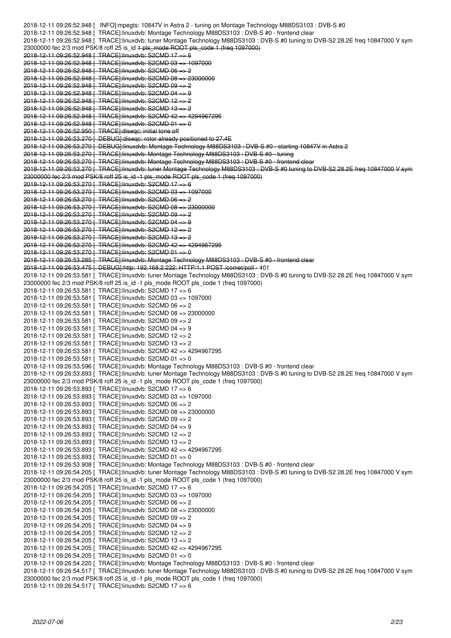2018-12-11 09:26:52.948 [ INFO]:mpegts: 10847V in Astra 2 - tuning on Montage Technology M88DS3103 : DVB-S #0 2018-12-11 09:26:52.948 [ TRACE]:linuxdvb: Montage Technology M88DS3103 : DVB-S #0 - frontend clear 2018-12-11 09:26:52.948 [ TRACE]:linuxdvb: tuner Montage Technology M88DS3103 : DVB-S #0 tuning to DVB-S2 28.2E freq 10847000 V sym 23000000 fec 2/3 mod PSK/8 roff 25 is\_id 1 pls\_mode ROOT pls\_code 1 (freq 1097000) 2018-12-11 09:26:52.948 [ TRACE]:linuxdvb: S2CMD 17 => 6 2018-12-11 09:26:52.948 [ TRACE]:linuxdvb: S2CMD 03 => 1097000 2018-12-11 09:26:52.948 [ TRACE]:linuxdvb: S2CMD 06 => 2 2018-12-11 09:26:52.948 [ TRACE]:linuxdvb: S2CMD 08 => 23000000 2018-12-11 09:26:52.948 [ TRACE]:linuxdvb: S2CMD 09 => 2 2018-12-11 09:26:52.948 [ TRACE]:linuxdvb: S2CMD 04 => 9 2018-12-11 09:26:52.948 [ TRACE]:linuxdvb: S2CMD 12 => 2 2018-12-11 09:26:52.948 [ TRACE]:linuxdvb: S2CMD 13 => 2 2018-12-11 09:26:52.948 [ TRACE]:linuxdvb: S2CMD 42 => 4294967295 2018-12-11 09:26:52.948 [ TRACE]:linuxdvb: S2CMD 01 => 0 2018-12-11 09:26:52.950 [ TRACE]:diseqc: initial tone off 2018-12-11 09:26:53.270 [ DEBUG]:diseqc: rotor already positioned to 27.4E 2018-12-11 09:26:53.270 [ DEBUG]:linuxdvb: Montage Technology M88DS3103 : DVB-S #0 - starting 10847V in Astra 2 2018-12-11 09:26:53.270 [ TRACE]:linuxdvb: Montage Technology M88DS3103 : DVB-S #0 - tuning 2018-12-11 09:26:53.270 [ TRACE]:linuxdvb: Montage Technology M88DS3103 : DVB-S #0 - frontend clear 2018-12-11 09:26:53.270 [ TRACE]:linuxdvb: tuner Montage Technology M88DS3103 : DVB-S #0 tuning to DVB-S2 28.2E freq 10847000 V sym 23000000 fec 2/3 mod PSK/8 roff 25 is\_id -1 pls\_mode ROOT pls\_code 1 (freq 1097000) 2018-12-11 09:26:53.270 [ TRACE]:linuxdvb: S2CMD 17 => 6 2018-12-11 09:26:53.270 [ TRACE]:linuxdvb: S2CMD 03 => 1097000 2018-12-11 09:26:53.270 [ TRACE]:linuxdvb: S2CMD 06 => 2 2018-12-11 09:26:53.270 [ TRACE]:linuxdvb: S2CMD 08 => 23000000 2018-12-11 09:26:53.270 [ TRACE]:linuxdvb: S2CMD 09 => 2 2018-12-11 09:26:53.270 [ TRACE]:linuxdvb: S2CMD 04 => 9 2018-12-11 09:26:53.270 [ TRACE]:linuxdvb: S2CMD 12 => 2 2018-12-11 09:26:53.270 [ TRACE]:linuxdvb: S2CMD 13 => 2 2018-12-11 09:26:53.270 [ TRACE]:linuxdvb: S2CMD 42 => 4294967295 2018-12-11 09:26:53.270 [ TRACE]:linuxdvb: S2CMD 01 => 0 2018-12-11 09:26:53.285 [ TRACE]:linuxdvb: Montage Technology M88DS3103 : DVB-S #0 - frontend clear 2018-12-11 09:26:53.475 [ DEBUG]:http: 192.168.2.222: HTTP/1.1 POST /comet/poll - 401 2018-12-11 09:26:53.581 [ TRACE]:linuxdvb: tuner Montage Technology M88DS3103 : DVB-S #0 tuning to DVB-S2 28.2E freq 10847000 V sym 23000000 fec 2/3 mod PSK/8 roff 25 is id -1 pls\_mode ROOT pls\_code 1 (freq 1097000) 2018-12-11 09:26:53.581 [ TRACE]:linuxdvb: S2CMD 17 => 6 2018-12-11 09:26:53.581 [ TRACE]:linuxdvb: S2CMD 03 => 1097000 2018-12-11 09:26:53.581 [ TRACE]:linuxdvb: S2CMD 06 => 2 2018-12-11 09:26:53.581 [ TRACE]:linuxdvb: S2CMD 08 => 23000000 2018-12-11 09:26:53.581 [ TRACE]:linuxdvb: S2CMD 09 => 2 2018-12-11 09:26:53.581 [ TRACE]:linuxdvb: S2CMD 04 => 9 2018-12-11 09:26:53.581 [ TRACE]:linuxdvb: S2CMD 12 => 2 2018-12-11 09:26:53.581 [ TRACE]:linuxdvb: S2CMD 13 => 2 2018-12-11 09:26:53.581 [ TRACE]:linuxdvb: S2CMD 42 => 4294967295 2018-12-11 09:26:53.581 [ TRACE]:linuxdvb: S2CMD 01 => 0 2018-12-11 09:26:53.596 [ TRACE]:linuxdvb: Montage Technology M88DS3103 : DVB-S #0 - frontend clear 2018-12-11 09:26:53.893 [ TRACE]:linuxdvb: tuner Montage Technology M88DS3103 : DVB-S #0 tuning to DVB-S2 28.2E freq 10847000 V sym 23000000 fec 2/3 mod PSK/8 roff 25 is\_id -1 pls\_mode ROOT pls\_code 1 (freq 1097000) 2018-12-11 09:26:53.893 [ TRACE]:linuxdvb: S2CMD 17 => 6 2018-12-11 09:26:53.893 [ TRACE]:linuxdvb: S2CMD 03 => 1097000 2018-12-11 09:26:53.893 [ TRACE]:linuxdvb: S2CMD 06 => 2 2018-12-11 09:26:53.893 [ TRACE]:linuxdvb: S2CMD 08 => 23000000 2018-12-11 09:26:53.893 [ TRACE]:linuxdvb: S2CMD 09 => 2 2018-12-11 09:26:53.893 [ TRACE]:linuxdvb: S2CMD 04 => 9 2018-12-11 09:26:53.893 [ TRACE]:linuxdvb: S2CMD 12 => 2 2018-12-11 09:26:53.893 [ TRACE]:linuxdvb: S2CMD 13 => 2 2018-12-11 09:26:53.893 [ TRACE]:linuxdvb: S2CMD 42 => 4294967295 2018-12-11 09:26:53.893 [ TRACE]:linuxdvb: S2CMD 01 => 0 2018-12-11 09:26:53.908 [ TRACE]:linuxdvb: Montage Technology M88DS3103 : DVB-S #0 - frontend clear 2018-12-11 09:26:54.205 [ TRACE]:linuxdvb: tuner Montage Technology M88DS3103 : DVB-S #0 tuning to DVB-S2 28.2E freq 10847000 V sym 23000000 fec 2/3 mod PSK/8 roff 25 is\_id -1 pls\_mode ROOT pls\_code 1 (freq 1097000) 2018-12-11 09:26:54.205 [ TRACE]:linuxdvb: S2CMD 17 => 6 2018-12-11 09:26:54.205 [ TRACE]:linuxdvb: S2CMD 03 => 1097000 2018-12-11 09:26:54.205 [ TRACE]:linuxdvb: S2CMD 06 => 2 2018-12-11 09:26:54.205 [ TRACE]:linuxdvb: S2CMD 08 => 23000000 2018-12-11 09:26:54.205 [ TRACE]:linuxdvb: S2CMD 09 => 2 2018-12-11 09:26:54.205 [ TRACE]:linuxdvb: S2CMD 04 => 9 2018-12-11 09:26:54.205 [ TRACE]:linuxdvb: S2CMD 12 => 2 2018-12-11 09:26:54.205 [ TRACE]:linuxdvb: S2CMD 13 => 2 2018-12-11 09:26:54.205 [ TRACE]:linuxdvb: S2CMD 42 => 4294967295 2018-12-11 09:26:54.205 [ TRACE]:linuxdvb: S2CMD 01 => 0 2018-12-11 09:26:54.220 [ TRACE]:linuxdvb: Montage Technology M88DS3103 : DVB-S #0 - frontend clear 2018-12-11 09:26:54.517 [ TRACE]:linuxdvb: tuner Montage Technology M88DS3103 : DVB-S #0 tuning to DVB-S2 28.2E freq 10847000 V sym 23000000 fec 2/3 mod PSK/8 roff 25 is id -1 pls\_mode ROOT pls\_code 1 (freq 1097000) 2018-12-11 09:26:54.517 [ TRACE]:linuxdvb: S2CMD 17 => 6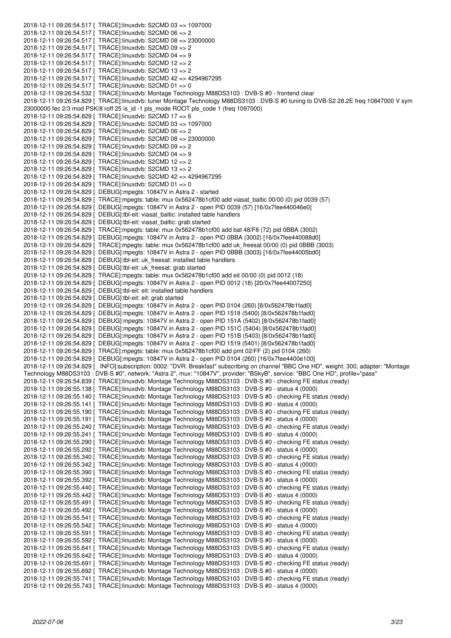2018-12-11 09:26:54.517 [ TRACE]:linuxdvb: S2CMD 03 => 1097000 2018-12-11 09:26:54.517 [ TRACE]:linuxdvb: S2CMD 06 => 2 2018-12-11 09:26:54.517 [ TRACE]:linuxdvb: S2CMD 08 => 23000000 2018-12-11 09:26:54.517 [ TRACE]:linuxdvb: S2CMD 09 => 2 2018-12-11 09:26:54.517 [ TRACE]:linuxdvb: S2CMD 04 => 9 2018-12-11 09:26:54.517 [ TRACE]:linuxdvb: S2CMD 12 => 2 2018-12-11 09:26:54.517 [ TRACE]:linuxdvb: S2CMD 13 => 2 2018-12-11 09:26:54.517 [ TRACE]:linuxdvb: S2CMD 42 => 4294967295 2018-12-11 09:26:54.517 [ TRACE]:linuxdvb: S2CMD 01 => 0 2018-12-11 09:26:54.532 [ TRACE]:linuxdvb: Montage Technology M88DS3103 : DVB-S #0 - frontend clear 2018-12-11 09:26:54.829 [ TRACE]:linuxdvb: tuner Montage Technology M88DS3103 : DVB-S #0 tuning to DVB-S2 28.2E freq 10847000 V sym 23000000 fec 2/3 mod PSK/8 roff 25 is\_id -1 pls\_mode ROOT pls\_code 1 (freq 1097000) 2018-12-11 09:26:54.829 [ TRACE]:linuxdvb: S2CMD 17 => 6 2018-12-11 09:26:54.829 [ TRACE]:linuxdvb: S2CMD 03 => 1097000 2018-12-11 09:26:54.829 [ TRACE]:linuxdvb: S2CMD 06 => 2 2018-12-11 09:26:54.829 [ TRACE]:linuxdvb: S2CMD 08 => 23000000 2018-12-11 09:26:54.829 [ TRACE]:linuxdvb: S2CMD 09 => 2 2018-12-11 09:26:54.829 [ TRACE]:linuxdvb: S2CMD 04 => 9 2018-12-11 09:26:54.829 [ TRACE]:linuxdvb: S2CMD 12 => 2 2018-12-11 09:26:54.829 [ TRACE]:linuxdvb: S2CMD 13 => 2 2018-12-11 09:26:54.829 [ TRACE]:linuxdvb: S2CMD 42 => 4294967295 2018-12-11 09:26:54.829 [ TRACE]:linuxdvb: S2CMD 01 => 0 2018-12-11 09:26:54.829 [ DEBUG]:mpegts: 10847V in Astra 2 - started 2018-12-11 09:26:54.829 [ TRACE]:mpegts: table: mux 0x562478b1cf00 add viasat\_baltic 00/00 (0) pid 0039 (57) 2018-12-11 09:26:54.829 [ DEBUG]:mpegts: 10847V in Astra 2 - open PID 0039 (57) [16/0x7fee440046e0] 2018-12-11 09:26:54.829 [ DEBUG]:tbl-eit: viasat\_baltic: installed table handlers 2018-12-11 09:26:54.829 [ DEBUG]:tbl-eit: viasat\_baltic: grab started 2018-12-11 09:26:54.829 [ TRACE]:mpegts: table: mux 0x562478b1cf00 add bat 48/F8 (72) pid 0BBA (3002) 2018-12-11 09:26:54.829 [ DEBUG]:mpegts: 10847V in Astra 2 - open PID 0BBA (3002) [16/0x7fee440088d0] 2018-12-11 09:26:54.829 [ TRACE]:mpegts: table: mux 0x562478b1cf00 add uk\_freesat 00/00 (0) pid 0BBB (3003) 2018-12-11 09:26:54.829 [ DEBUG]:mpegts: 10847V in Astra 2 - open PID 0BBB (3003) [16/0x7fee44005bd0] 2018-12-11 09:26:54.829 [ DEBUG]:tbl-eit: uk\_freesat: installed table handlers 2018-12-11 09:26:54.829 [ DEBUG]:tbl-eit: uk\_freesat: grab started 2018-12-11 09:26:54.829 [ TRACE]:mpegts: table: mux 0x562478b1cf00 add eit 00/00 (0) pid 0012 (18) 2018-12-11 09:26:54.829 [ DEBUG]:mpegts: 10847V in Astra 2 - open PID 0012 (18) [20/0x7fee44007250] 2018-12-11 09:26:54.829 [ DEBUG]:tbl-eit: eit: installed table handlers 2018-12-11 09:26:54.829 [ DEBUG]:tbl-eit: eit: grab started 2018-12-11 09:26:54.829 [ DEBUG]:mpegts: 10847V in Astra 2 - open PID 0104 (260) [8/0x562478b1fad0] 2018-12-11 09:26:54.829 [ DEBUG]:mpegts: 10847V in Astra 2 - open PID 1518 (5400) [8/0x562478b1fad0] 2018-12-11 09:26:54.829 [ DEBUG]:mpegts: 10847V in Astra 2 - open PID 151A (5402) [8/0x562478b1fad0] 2018-12-11 09:26:54.829 [ DEBUG]:mpegts: 10847V in Astra 2 - open PID 151C (5404) [8/0x562478b1fad0] 2018-12-11 09:26:54.829 [ DEBUG]:mpegts: 10847V in Astra 2 - open PID 151B (5403) [8/0x562478b1fad0] 2018-12-11 09:26:54.829 [ DEBUG]:mpegts: 10847V in Astra 2 - open PID 1519 (5401) [8/0x562478b1fad0] 2018-12-11 09:26:54.829 [ TRACE]:mpegts: table: mux 0x562478b1cf00 add pmt 02/FF (2) pid 0104 (260) 2018-12-11 09:26:54.829 [ DEBUG]:mpegts: 10847V in Astra 2 - open PID 0104 (260) [16/0x7fee4400e100] 2018-12-11 09:26:54.829 [ INFO]:subscription: 0002: "DVR: Breakfast" subscribing on channel "BBC One HD", weight: 300, adapter: "Montage Technology M88DS3103 : DVB-S #0", network: "Astra 2", mux: "10847V", provider: "BSkyB", service: "BBC One HD", profile="pass" 2018-12-11 09:26:54.839 [ TRACE]:linuxdvb: Montage Technology M88DS3103 : DVB-S #0 - checking FE status (ready) 2018-12-11 09:26:55.138 [ TRACE]:linuxdvb: Montage Technology M88DS3103 : DVB-S #0 - status 4 (0000) 2018-12-11 09:26:55.140 [ TRACE]:linuxdvb: Montage Technology M88DS3103 : DVB-S #0 - checking FE status (ready) 2018-12-11 09:26:55.141 [ TRACE]:linuxdvb: Montage Technology M88DS3103 : DVB-S #0 - status 4 (0000) 2018-12-11 09:26:55.190 [ TRACE]:linuxdvb: Montage Technology M88DS3103 : DVB-S #0 - checking FE status (ready) 2018-12-11 09:26:55.191 [ TRACE]:linuxdvb: Montage Technology M88DS3103 : DVB-S #0 - status 4 (0000) 2018-12-11 09:26:55.240 [ TRACE]:linuxdvb: Montage Technology M88DS3103 : DVB-S #0 - checking FE status (ready) 2018-12-11 09:26:55.241 [ TRACE]:linuxdvb: Montage Technology M88DS3103 : DVB-S #0 - status 4 (0000) 2018-12-11 09:26:55.290 [ TRACE]:linuxdvb: Montage Technology M88DS3103 : DVB-S #0 - checking FE status (ready) 2018-12-11 09:26:55.292 [ TRACE]:linuxdvb: Montage Technology M88DS3103 : DVB-S #0 - status 4 (0000) 2018-12-11 09:26:55.340 [ TRACE]:linuxdvb: Montage Technology M88DS3103 : DVB-S #0 - checking FE status (ready) 2018-12-11 09:26:55.342 [ TRACE]:linuxdvb: Montage Technology M88DS3103 : DVB-S #0 - status 4 (0000) 2018-12-11 09:26:55.390 [ TRACE]:linuxdvb: Montage Technology M88DS3103 : DVB-S #0 - checking FE status (ready) 2018-12-11 09:26:55.392 [ TRACE]:linuxdvb: Montage Technology M88DS3103 : DVB-S #0 - status 4 (0000) 2018-12-11 09:26:55.440 [ TRACE]:linuxdvb: Montage Technology M88DS3103 : DVB-S #0 - checking FE status (ready) 2018-12-11 09:26:55.442 [ TRACE]:linuxdvb: Montage Technology M88DS3103 : DVB-S #0 - status 4 (0000) 2018-12-11 09:26:55.491 [ TRACE]:linuxdvb: Montage Technology M88DS3103 : DVB-S #0 - checking FE status (ready) 2018-12-11 09:26:55.492 [ TRACE]:linuxdvb: Montage Technology M88DS3103 : DVB-S #0 - status 4 (0000) 2018-12-11 09:26:55.541 [ TRACE]:linuxdvb: Montage Technology M88DS3103 : DVB-S #0 - checking FE status (ready) 2018-12-11 09:26:55.542 [ TRACE]:linuxdvb: Montage Technology M88DS3103 : DVB-S #0 - status 4 (0000) 2018-12-11 09:26:55.591 [ TRACE]:linuxdvb: Montage Technology M88DS3103 : DVB-S #0 - checking FE status (ready) 2018-12-11 09:26:55.592 [ TRACE]:linuxdvb: Montage Technology M88DS3103 : DVB-S #0 - status 4 (0000) 2018-12-11 09:26:55.641 [ TRACE]:linuxdvb: Montage Technology M88DS3103 : DVB-S #0 - checking FE status (ready) 2018-12-11 09:26:55.642 [ TRACE]:linuxdvb: Montage Technology M88DS3103 : DVB-S #0 - status 4 (0000) 2018-12-11 09:26:55.691 [ TRACE]:linuxdvb: Montage Technology M88DS3103 : DVB-S #0 - checking FE status (ready) 2018-12-11 09:26:55.692 [ TRACE]:linuxdvb: Montage Technology M88DS3103 : DVB-S #0 - status 4 (0000) 2018-12-11 09:26:55.741 [ TRACE]:linuxdvb: Montage Technology M88DS3103 : DVB-S #0 - checking FE status (ready) 2018-12-11 09:26:55.743 [ TRACE]:linuxdvb: Montage Technology M88DS3103 : DVB-S #0 - status 4 (0000)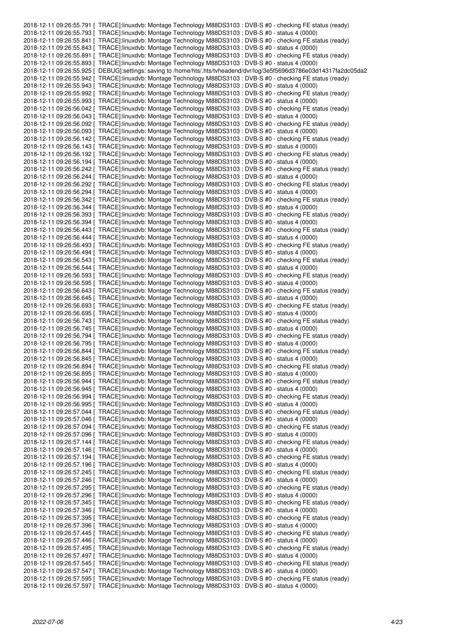2018-12-11 09:26:55.791 [ TRACE]:linuxdvb: Montage Technology M88DS3103 : DVB-S #0 - checking FE status (ready) 2018-12-11 09:26:55.793 [ TRACE]:linuxdvb: Montage Technology M88DS3103 : DVB-S #0 - status 4 (0000) 2018-12-11 09:26:55.841 [ TRACE]:linuxdvb: Montage Technology M88DS3103 : DVB-S #0 - checking FE status (ready) 2018-12-11 09:26:55.843 [ TRACE]:linuxdvb: Montage Technology M88DS3103 : DVB-S #0 - status 4 (0000) 2018-12-11 09:26:55.891 [ TRACE]:linuxdvb: Montage Technology M88DS3103 : DVB-S #0 - checking FE status (ready) 2018-12-11 09:26:55.893 [ TRACE]:linuxdvb: Montage Technology M88DS3103 : DVB-S #0 - status 4 (0000) 2018-12-11 09:26:55.925 [ DEBUG]:settings: saving to /home/hts/.hts/tvheadend/dvr/log/3e5f5696d3786e03d14317fa2dc05da2 2018-12-11 09:26:55.942 [ TRACE]:linuxdvb: Montage Technology M88DS3103 : DVB-S #0 - checking FE status (ready) 2018-12-11 09:26:55.943 [ TRACE]:linuxdvb: Montage Technology M88DS3103 : DVB-S #0 - status 4 (0000) 2018-12-11 09:26:55.992 [ TRACE]:linuxdvb: Montage Technology M88DS3103 : DVB-S #0 - checking FE status (ready) 2018-12-11 09:26:55.993 [ TRACE]:linuxdvb: Montage Technology M88DS3103 : DVB-S #0 - status 4 (0000) 2018-12-11 09:26:56.042 [ TRACE]:linuxdvb: Montage Technology M88DS3103 : DVB-S #0 - checking FE status (ready) 2018-12-11 09:26:56.043 [ TRACE]:linuxdvb: Montage Technology M88DS3103 : DVB-S #0 - status 4 (0000) 2018-12-11 09:26:56.092 [ TRACE]:linuxdvb: Montage Technology M88DS3103 : DVB-S #0 - checking FE status (ready) 2018-12-11 09:26:56.093 [ TRACE]:linuxdvb: Montage Technology M88DS3103 : DVB-S #0 - status 4 (0000) 2018-12-11 09:26:56.142 [ TRACE]:linuxdvb: Montage Technology M88DS3103 : DVB-S #0 - checking FE status (ready) 2018-12-11 09:26:56.143 [ TRACE]:linuxdvb: Montage Technology M88DS3103 : DVB-S #0 - status 4 (0000) 2018-12-11 09:26:56.192 [ TRACE]:linuxdvb: Montage Technology M88DS3103 : DVB-S #0 - checking FE status (ready) 2018-12-11 09:26:56.194 [ TRACE]:linuxdvb: Montage Technology M88DS3103 : DVB-S #0 - status 4 (0000) 2018-12-11 09:26:56.242 [ TRACE]:linuxdvb: Montage Technology M88DS3103 : DVB-S #0 - checking FE status (ready) 2018-12-11 09:26:56.244 [ TRACE]:linuxdvb: Montage Technology M88DS3103 : DVB-S #0 - status 4 (0000) 2018-12-11 09:26:56.292 [ TRACE]:linuxdvb: Montage Technology M88DS3103 : DVB-S #0 - checking FE status (ready) 2018-12-11 09:26:56.294 [ TRACE]:linuxdvb: Montage Technology M88DS3103 : DVB-S #0 - status 4 (0000) 2018-12-11 09:26:56.342 [ TRACE]:linuxdvb: Montage Technology M88DS3103 : DVB-S #0 - checking FE status (ready) 2018-12-11 09:26:56.344 [ TRACE]:linuxdvb: Montage Technology M88DS3103 : DVB-S #0 - status 4 (0000) 2018-12-11 09:26:56.393 [ TRACE]:linuxdvb: Montage Technology M88DS3103 : DVB-S #0 - checking FE status (ready) 2018-12-11 09:26:56.394 [ TRACE]:linuxdvb: Montage Technology M88DS3103 : DVB-S #0 - status 4 (0000) 2018-12-11 09:26:56.443 [ TRACE]:linuxdvb: Montage Technology M88DS3103 : DVB-S #0 - checking FE status (ready) 2018-12-11 09:26:56.444 [ TRACE]:linuxdvb: Montage Technology M88DS3103 : DVB-S #0 - status 4 (0000) 2018-12-11 09:26:56.493 [ TRACE]:linuxdvb: Montage Technology M88DS3103 : DVB-S #0 - checking FE status (ready) 2018-12-11 09:26:56.494 [ TRACE]:linuxdvb: Montage Technology M88DS3103 : DVB-S #0 - status 4 (0000) 2018-12-11 09:26:56.543 [ TRACE]:linuxdvb: Montage Technology M88DS3103 : DVB-S #0 - checking FE status (ready) 2018-12-11 09:26:56.544 [ TRACE]:linuxdvb: Montage Technology M88DS3103 : DVB-S #0 - status 4 (0000) 2018-12-11 09:26:56.593 [ TRACE]:linuxdvb: Montage Technology M88DS3103 : DVB-S #0 - checking FE status (ready) 2018-12-11 09:26:56.595 [ TRACE]:linuxdvb: Montage Technology M88DS3103 : DVB-S #0 - status 4 (0000) 2018-12-11 09:26:56.643 [ TRACE]:linuxdvb: Montage Technology M88DS3103 : DVB-S #0 - checking FE status (ready) 2018-12-11 09:26:56.645 [ TRACE]:linuxdvb: Montage Technology M88DS3103 : DVB-S #0 - status 4 (0000) 2018-12-11 09:26:56.693 [ TRACE]:linuxdvb: Montage Technology M88DS3103 : DVB-S #0 - checking FE status (ready) 2018-12-11 09:26:56.695 [ TRACE]:linuxdvb: Montage Technology M88DS3103 : DVB-S #0 - status 4 (0000) 2018-12-11 09:26:56.743 [ TRACE]:linuxdvb: Montage Technology M88DS3103 : DVB-S #0 - checking FE status (ready) 2018-12-11 09:26:56.745 [ TRACE]:linuxdvb: Montage Technology M88DS3103 : DVB-S #0 - status 4 (0000) 2018-12-11 09:26:56.794 [ TRACE]:linuxdvb: Montage Technology M88DS3103 : DVB-S #0 - checking FE status (ready) 2018-12-11 09:26:56.795 [ TRACE]:linuxdvb: Montage Technology M88DS3103 : DVB-S #0 - status 4 (0000) 2018-12-11 09:26:56.844 [ TRACE]:linuxdvb: Montage Technology M88DS3103 : DVB-S #0 - checking FE status (ready) 2018-12-11 09:26:56.845 [ TRACE]:linuxdvb: Montage Technology M88DS3103 : DVB-S #0 - status 4 (0000) 2018-12-11 09:26:56.894 [ TRACE]:linuxdvb: Montage Technology M88DS3103 : DVB-S #0 - checking FE status (ready) 2018-12-11 09:26:56.895 [ TRACE]:linuxdvb: Montage Technology M88DS3103 : DVB-S #0 - status 4 (0000) 2018-12-11 09:26:56.944 [ TRACE]:linuxdvb: Montage Technology M88DS3103 : DVB-S #0 - checking FE status (ready) 2018-12-11 09:26:56.945 [ TRACE]:linuxdvb: Montage Technology M88DS3103 : DVB-S #0 - status 4 (0000) 2018-12-11 09:26:56.994 [ TRACE]:linuxdvb: Montage Technology M88DS3103 : DVB-S #0 - checking FE status (ready) 2018-12-11 09:26:56.995 [ TRACE]:linuxdvb: Montage Technology M88DS3103 : DVB-S #0 - status 4 (0000) 2018-12-11 09:26:57.044 [ TRACE]:linuxdvb: Montage Technology M88DS3103 : DVB-S #0 - checking FE status (ready) 2018-12-11 09:26:57.046 [ TRACE]:linuxdvb: Montage Technology M88DS3103 : DVB-S #0 - status 4 (0000) 2018-12-11 09:26:57.094 [ TRACE]:linuxdvb: Montage Technology M88DS3103 : DVB-S #0 - checking FE status (ready) 2018-12-11 09:26:57.096 [ TRACE]:linuxdvb: Montage Technology M88DS3103 : DVB-S #0 - status 4 (0000) 2018-12-11 09:26:57.144 [ TRACE]:linuxdvb: Montage Technology M88DS3103 : DVB-S #0 - checking FE status (ready) 2018-12-11 09:26:57.146 [ TRACE]:linuxdvb: Montage Technology M88DS3103 : DVB-S #0 - status 4 (0000) 2018-12-11 09:26:57.194 [ TRACE]:linuxdvb: Montage Technology M88DS3103 : DVB-S #0 - checking FE status (ready) 2018-12-11 09:26:57.196 [ TRACE]:linuxdvb: Montage Technology M88DS3103 : DVB-S #0 - status 4 (0000) 2018-12-11 09:26:57.245 [ TRACE]:linuxdvb: Montage Technology M88DS3103 : DVB-S #0 - checking FE status (ready) 2018-12-11 09:26:57.246 [ TRACE]:linuxdvb: Montage Technology M88DS3103 : DVB-S #0 - status 4 (0000) 2018-12-11 09:26:57.295 [ TRACE]:linuxdvb: Montage Technology M88DS3103 : DVB-S #0 - checking FE status (ready) 2018-12-11 09:26:57.296 [ TRACE]:linuxdvb: Montage Technology M88DS3103 : DVB-S #0 - status 4 (0000) 2018-12-11 09:26:57.345 [ TRACE]:linuxdvb: Montage Technology M88DS3103 : DVB-S #0 - checking FE status (ready) 2018-12-11 09:26:57.346 [ TRACE]:linuxdvb: Montage Technology M88DS3103 : DVB-S #0 - status 4 (0000) 2018-12-11 09:26:57.395 [ TRACE]:linuxdvb: Montage Technology M88DS3103 : DVB-S #0 - checking FE status (ready) 2018-12-11 09:26:57.396 [ TRACE]:linuxdvb: Montage Technology M88DS3103 : DVB-S #0 - status 4 (0000) 2018-12-11 09:26:57.445 [ TRACE]:linuxdvb: Montage Technology M88DS3103 : DVB-S #0 - checking FE status (ready) 2018-12-11 09:26:57.446 [ TRACE]:linuxdvb: Montage Technology M88DS3103 : DVB-S #0 - status 4 (0000) 2018-12-11 09:26:57.495 [ TRACE]:linuxdvb: Montage Technology M88DS3103 : DVB-S #0 - checking FE status (ready) 2018-12-11 09:26:57.497 [ TRACE]:linuxdvb: Montage Technology M88DS3103 : DVB-S #0 - status 4 (0000) 2018-12-11 09:26:57.545 [ TRACE]:linuxdvb: Montage Technology M88DS3103 : DVB-S #0 - checking FE status (ready) 2018-12-11 09:26:57.547 [ TRACE]:linuxdvb: Montage Technology M88DS3103 : DVB-S #0 - status 4 (0000) 2018-12-11 09:26:57.595 [ TRACE]:linuxdvb: Montage Technology M88DS3103 : DVB-S #0 - checking FE status (ready) 2018-12-11 09:26:57.597 [ TRACE]:linuxdvb: Montage Technology M88DS3103 : DVB-S #0 - status 4 (0000)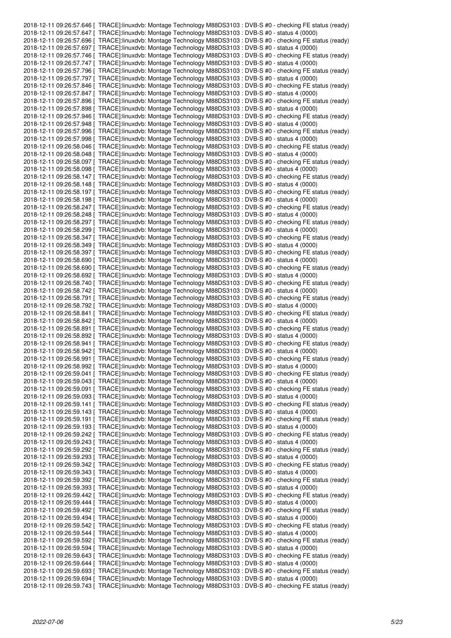|  | 2018-12-11 09:26:57.646 [ TRACE]:linuxdvb: Montage Technology M88DS3103 : DVB-S #0 - checking FE status (ready) |
|--|-----------------------------------------------------------------------------------------------------------------|
|  | 2018-12-11 09:26:57.647 [ TRACE]:linuxdvb: Montage Technology M88DS3103 : DVB-S #0 - status 4 (0000)            |
|  | 2018-12-11 09:26:57.696 [ TRACE]:linuxdvb: Montage Technology M88DS3103 : DVB-S #0 - checking FE status (ready) |
|  | 2018-12-11 09:26:57.697 [ TRACE]:linuxdvb: Montage Technology M88DS3103 : DVB-S #0 - status 4 (0000)            |
|  |                                                                                                                 |
|  | 2018-12-11 09:26:57.746 [ TRACE]:linuxdvb: Montage Technology M88DS3103 : DVB-S #0 - checking FE status (ready) |
|  | 2018-12-11 09:26:57.747 [ TRACE]:linuxdvb: Montage Technology M88DS3103 : DVB-S #0 - status 4 (0000)            |
|  | 2018-12-11 09:26:57.796 [ TRACE]:linuxdvb: Montage Technology M88DS3103 : DVB-S #0 - checking FE status (ready) |
|  | 2018-12-11 09:26:57.797 [ TRACE]:linuxdvb: Montage Technology M88DS3103 : DVB-S #0 - status 4 (0000)            |
|  | 2018-12-11 09:26:57.846 [ TRACE]:linuxdvb: Montage Technology M88DS3103 : DVB-S #0 - checking FE status (ready) |
|  | 2018-12-11 09:26:57.847   TRACE]:linuxdvb: Montage Technology M88DS3103 : DVB-S #0 - status 4 (0000)            |
|  | 2018-12-11 09:26:57.896 [ TRACE]:linuxdvb: Montage Technology M88DS3103 : DVB-S #0 - checking FE status (ready) |
|  | 2018-12-11 09:26:57.898 [ TRACE]:linuxdvb: Montage Technology M88DS3103 : DVB-S #0 - status 4 (0000)            |
|  | 2018-12-11 09:26:57.946 [ TRACE]:linuxdvb: Montage Technology M88DS3103 : DVB-S #0 - checking FE status (ready) |
|  | 2018-12-11 09:26:57.948 [ TRACE]:linuxdvb: Montage Technology M88DS3103 : DVB-S #0 - status 4 (0000)            |
|  |                                                                                                                 |
|  | 2018-12-11 09:26:57.996 [ TRACE]:linuxdvb: Montage Technology M88DS3103 : DVB-S #0 - checking FE status (ready) |
|  | 2018-12-11 09:26:57.998   TRACE]:linuxdvb: Montage Technology M88DS3103 : DVB-S #0 - status 4 (0000)            |
|  | 2018-12-11 09:26:58.046 [ TRACE]:linuxdvb: Montage Technology M88DS3103 : DVB-S #0 - checking FE status (ready) |
|  | 2018-12-11 09:26:58.048 [ TRACE]:linuxdvb: Montage Technology M88DS3103 : DVB-S #0 - status 4 (0000)            |
|  | 2018-12-11 09:26:58.097 [ TRACE]:linuxdvb: Montage Technology M88DS3103 : DVB-S #0 - checking FE status (ready) |
|  | 2018-12-11 09:26:58.098   TRACE]:linuxdvb: Montage Technology M88DS3103 : DVB-S #0 - status 4 (0000)            |
|  | 2018-12-11 09:26:58.147 [ TRACE]:linuxdvb: Montage Technology M88DS3103 : DVB-S #0 - checking FE status (ready) |
|  | 2018-12-11 09:26:58.148   TRACE]:linuxdvb: Montage Technology M88DS3103 : DVB-S #0 - status 4 (0000)            |
|  | 2018-12-11 09:26:58.197   TRACE]:linuxdvb: Montage Technology M88DS3103 : DVB-S #0 - checking FE status (ready) |
|  | 2018-12-11 09:26:58.198 [ TRACE]:linuxdvb: Montage Technology M88DS3103 : DVB-S #0 - status 4 (0000)            |
|  | 2018-12-11 09:26:58.247 [ TRACE]:linuxdvb: Montage Technology M88DS3103 : DVB-S #0 - checking FE status (ready) |
|  |                                                                                                                 |
|  | 2018-12-11 09:26:58.248   TRACE]:linuxdvb: Montage Technology M88DS3103 : DVB-S #0 - status 4 (0000)            |
|  | 2018-12-11 09:26:58.297 [ TRACE]:linuxdvb: Montage Technology M88DS3103 : DVB-S #0 - checking FE status (ready) |
|  | 2018-12-11 09:26:58.299   TRACE]:linuxdvb: Montage Technology M88DS3103 : DVB-S #0 - status 4 (0000)            |
|  | 2018-12-11 09:26:58.347 [ TRACE]:linuxdvb: Montage Technology M88DS3103 : DVB-S #0 - checking FE status (ready) |
|  | 2018-12-11 09:26:58.349 [ TRACE]:linuxdvb: Montage Technology M88DS3103 : DVB-S #0 - status 4 (0000)            |
|  | 2018-12-11 09:26:58.397 [ TRACE]:linuxdvb: Montage Technology M88DS3103 : DVB-S #0 - checking FE status (ready) |
|  | 2018-12-11 09:26:58.690   TRACE]:linuxdvb: Montage Technology M88DS3103 : DVB-S #0 - status 4 (0000)            |
|  | 2018-12-11 09:26:58.690 [ TRACE]:linuxdvb: Montage Technology M88DS3103 : DVB-S #0 - checking FE status (ready) |
|  | 2018-12-11 09:26:58.692   TRACE]:linuxdvb: Montage Technology M88DS3103 : DVB-S #0 - status 4 (0000)            |
|  | 2018-12-11 09:26:58.740 [ TRACE]:linuxdvb: Montage Technology M88DS3103 : DVB-S #0 - checking FE status (ready) |
|  |                                                                                                                 |
|  | 2018-12-11 09:26:58.742 [ TRACE]:linuxdvb: Montage Technology M88DS3103 : DVB-S #0 - status 4 (0000)            |
|  | 2018-12-11 09:26:58.791 [ TRACE]:linuxdvb: Montage Technology M88DS3103 : DVB-S #0 - checking FE status (ready) |
|  | 2018-12-11 09:26:58.792 [ TRACE]:linuxdvb: Montage Technology M88DS3103 : DVB-S #0 - status 4 (0000)            |
|  | 2018-12-11 09:26:58.841 [ TRACE]:linuxdvb: Montage Technology M88DS3103 : DVB-S #0 - checking FE status (ready) |
|  | 2018-12-11 09:26:58.842 [ TRACE]:linuxdvb: Montage Technology M88DS3103 : DVB-S #0 - status 4 (0000)            |
|  | 2018-12-11 09:26:58.891 [ TRACE]:linuxdvb: Montage Technology M88DS3103 : DVB-S #0 - checking FE status (ready) |
|  | 2018-12-11 09:26:58.892   TRACE]:linuxdvb: Montage Technology M88DS3103 : DVB-S #0 - status 4 (0000)            |
|  | 2018-12-11 09:26:58.941 [ TRACE]:linuxdvb: Montage Technology M88DS3103 : DVB-S #0 - checking FE status (ready) |
|  | 2018-12-11 09:26:58.942 [ TRACE]:linuxdvb: Montage Technology M88DS3103 : DVB-S #0 - status 4 (0000)            |
|  | 2018-12-11 09:26:58.991 [ TRACE]:linuxdvb: Montage Technology M88DS3103 : DVB-S #0 - checking FE status (ready) |
|  | 2018-12-11 09:26:58.992 [ TRACE]:linuxdvb: Montage Technology M88DS3103 : DVB-S #0 - status 4 (0000)            |
|  |                                                                                                                 |
|  | 2018-12-11 09:26:59.041 [ TRACE]:linuxdvb: Montage Technology M88DS3103 : DVB-S #0 - checking FE status (ready) |
|  | 2018-12-11 09:26:59.043 [ TRACE]:linuxdvb: Montage Technology M88DS3103 : DVB-S #0 - status 4 (0000)            |
|  | 2018-12-11 09:26:59.091 [ TRACE]:linuxdvb: Montage Technology M88DS3103 : DVB-S #0 - checking FE status (ready) |
|  | 2018-12-11 09:26:59.093   TRACE]:linuxdvb: Montage Technology M88DS3103 : DVB-S #0 - status 4 (0000)            |
|  | 2018-12-11 09:26:59.141 [ TRACE]:linuxdvb: Montage Technology M88DS3103 : DVB-S #0 - checking FE status (ready) |
|  | 2018-12-11 09:26:59.143 [ TRACE]:linuxdvb: Montage Technology M88DS3103 : DVB-S #0 - status 4 (0000)            |
|  | 2018-12-11 09:26:59.191   TRACE]:linuxdvb: Montage Technology M88DS3103 : DVB-S #0 - checking FE status (ready) |
|  | 2018-12-11 09:26:59.193 [ TRACE]:linuxdvb: Montage Technology M88DS3103 : DVB-S #0 - status 4 (0000)            |
|  | 2018-12-11 09:26:59.242 [ TRACE]:linuxdvb: Montage Technology M88DS3103 : DVB-S #0 - checking FE status (ready) |
|  | 2018-12-11 09:26:59.243   TRACE]:linuxdvb: Montage Technology M88DS3103 : DVB-S #0 - status 4 (0000)            |
|  | 2018-12-11 09:26:59.292 [ TRACE]:linuxdvb: Montage Technology M88DS3103 : DVB-S #0 - checking FE status (ready) |
|  | 2018-12-11 09:26:59.293 [ TRACE]:linuxdvb: Montage Technology M88DS3103 : DVB-S #0 - status 4 (0000)            |
|  |                                                                                                                 |
|  | 2018-12-11 09:26:59.342 [ TRACE]:linuxdvb: Montage Technology M88DS3103 : DVB-S #0 - checking FE status (ready) |
|  | 2018-12-11 09:26:59.343 [ TRACE]:linuxdvb: Montage Technology M88DS3103 : DVB-S #0 - status 4 (0000)            |
|  | 2018-12-11 09:26:59.392 [ TRACE]:linuxdvb: Montage Technology M88DS3103 : DVB-S #0 - checking FE status (ready) |
|  | 2018-12-11 09:26:59.393   TRACE]:linuxdvb: Montage Technology M88DS3103 : DVB-S #0 - status 4 (0000)            |
|  | 2018-12-11 09:26:59.442 [ TRACE]:linuxdvb: Montage Technology M88DS3103 : DVB-S #0 - checking FE status (ready) |
|  | 2018-12-11 09:26:59.444 [ TRACE]:linuxdvb: Montage Technology M88DS3103 : DVB-S #0 - status 4 (0000)            |
|  | 2018-12-11 09:26:59.492 [ TRACE]:linuxdvb: Montage Technology M88DS3103 : DVB-S #0 - checking FE status (ready) |
|  | 2018-12-11 09:26:59.494   TRACE]:linuxdvb: Montage Technology M88DS3103 : DVB-S #0 - status 4 (0000)            |
|  | 2018-12-11 09:26:59.542 [ TRACE]:linuxdvb: Montage Technology M88DS3103 : DVB-S #0 - checking FE status (ready) |
|  | 2018-12-11 09:26:59.544   TRACE]:linuxdvb: Montage Technology M88DS3103 : DVB-S #0 - status 4 (0000)            |
|  | 2018-12-11 09:26:59.592 [ TRACE]:linuxdvb: Montage Technology M88DS3103 : DVB-S #0 - checking FE status (ready) |
|  |                                                                                                                 |
|  | 2018-12-11 09:26:59.594 [ TRACE]:linuxdvb: Montage Technology M88DS3103 : DVB-S #0 - status 4 (0000)            |
|  | 2018-12-11 09:26:59.643 [ TRACE]:linuxdvb: Montage Technology M88DS3103 : DVB-S #0 - checking FE status (ready) |
|  | 2018-12-11 09:26:59.644   TRACE]:linuxdvb: Montage Technology M88DS3103 : DVB-S #0 - status 4 (0000)            |
|  | 2018-12-11 09:26:59.693 [ TRACE]:linuxdvb: Montage Technology M88DS3103 : DVB-S #0 - checking FE status (ready) |
|  | 2018-12-11 09:26:59.694 [ TRACE]:linuxdvb: Montage Technology M88DS3103 : DVB-S #0 - status 4 (0000)            |
|  | 2018-12-11 09:26:59.743 [ TRACE]:linuxdvb: Montage Technology M88DS3103 : DVB-S #0 - checking FE status (ready) |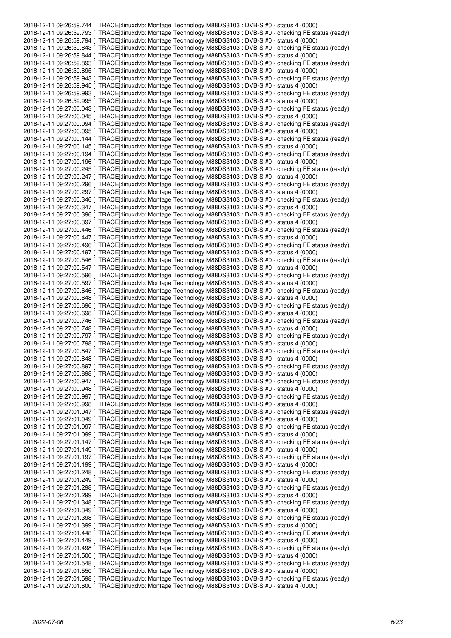2018-12-11 09:26:59.744 [ TRACE]:linuxdvb: Montage Technology M88DS3103 : DVB-S #0 - status 4 (0000) 2018-12-11 09:26:59.793 [ TRACE]:linuxdvb: Montage Technology M88DS3103 : DVB-S #0 - checking FE status (ready) 2018-12-11 09:26:59.794 [ TRACE]:linuxdvb: Montage Technology M88DS3103 : DVB-S #0 - status 4 (0000) 2018-12-11 09:26:59.843 [ TRACE]:linuxdvb: Montage Technology M88DS3103 : DVB-S #0 - checking FE status (ready) 2018-12-11 09:26:59.844 [ TRACE]:linuxdvb: Montage Technology M88DS3103 : DVB-S #0 - status 4 (0000) 2018-12-11 09:26:59.893 [ TRACE]:linuxdvb: Montage Technology M88DS3103 : DVB-S #0 - checking FE status (ready) 2018-12-11 09:26:59.895 [ TRACE]:linuxdvb: Montage Technology M88DS3103 : DVB-S #0 - status 4 (0000) 2018-12-11 09:26:59.943 [ TRACE]:linuxdvb: Montage Technology M88DS3103 : DVB-S #0 - checking FE status (ready) 2018-12-11 09:26:59.945 [ TRACE]:linuxdvb: Montage Technology M88DS3103 : DVB-S #0 - status 4 (0000) 2018-12-11 09:26:59.993 [ TRACE]:linuxdvb: Montage Technology M88DS3103 : DVB-S #0 - checking FE status (ready) 2018-12-11 09:26:59.995 [ TRACE]:linuxdvb: Montage Technology M88DS3103 : DVB-S #0 - status 4 (0000) 2018-12-11 09:27:00.043 [ TRACE]:linuxdvb: Montage Technology M88DS3103 : DVB-S #0 - checking FE status (ready) 2018-12-11 09:27:00.045 [ TRACE]:linuxdvb: Montage Technology M88DS3103 : DVB-S #0 - status 4 (0000) 2018-12-11 09:27:00.094 [ TRACE]:linuxdvb: Montage Technology M88DS3103 : DVB-S #0 - checking FE status (ready) 2018-12-11 09:27:00.095 [ TRACE]:linuxdvb: Montage Technology M88DS3103 : DVB-S #0 - status 4 (0000) 2018-12-11 09:27:00.144 [ TRACE]:linuxdvb: Montage Technology M88DS3103 : DVB-S #0 - checking FE status (ready) 2018-12-11 09:27:00.145 [ TRACE]:linuxdvb: Montage Technology M88DS3103 : DVB-S #0 - status 4 (0000) 2018-12-11 09:27:00.194 [ TRACE]:linuxdvb: Montage Technology M88DS3103 : DVB-S #0 - checking FE status (ready) 2018-12-11 09:27:00.196 [ TRACE]:linuxdvb: Montage Technology M88DS3103 : DVB-S #0 - status 4 (0000) 2018-12-11 09:27:00.245 [ TRACE]:linuxdvb: Montage Technology M88DS3103 : DVB-S #0 - checking FE status (ready) 2018-12-11 09:27:00.247 [ TRACE]:linuxdvb: Montage Technology M88DS3103 : DVB-S #0 - status 4 (0000) 2018-12-11 09:27:00.296 [ TRACE]:linuxdvb: Montage Technology M88DS3103 : DVB-S #0 - checking FE status (ready) 2018-12-11 09:27:00.297 [ TRACE]:linuxdvb: Montage Technology M88DS3103 : DVB-S #0 - status 4 (0000) 2018-12-11 09:27:00.346 [ TRACE]:linuxdvb: Montage Technology M88DS3103 : DVB-S #0 - checking FE status (ready) 2018-12-11 09:27:00.347 [ TRACE]:linuxdvb: Montage Technology M88DS3103 : DVB-S #0 - status 4 (0000) 2018-12-11 09:27:00.396 [ TRACE]:linuxdvb: Montage Technology M88DS3103 : DVB-S #0 - checking FE status (ready) 2018-12-11 09:27:00.397 [ TRACE]:linuxdvb: Montage Technology M88DS3103 : DVB-S #0 - status 4 (0000) 2018-12-11 09:27:00.446 [ TRACE]:linuxdvb: Montage Technology M88DS3103 : DVB-S #0 - checking FE status (ready) 2018-12-11 09:27:00.447 [ TRACE]:linuxdvb: Montage Technology M88DS3103 : DVB-S #0 - status 4 (0000) 2018-12-11 09:27:00.496 [ TRACE]:linuxdvb: Montage Technology M88DS3103 : DVB-S #0 - checking FE status (ready) 2018-12-11 09:27:00.497 [ TRACE]:linuxdvb: Montage Technology M88DS3103 : DVB-S #0 - status 4 (0000) 2018-12-11 09:27:00.546 [ TRACE]:linuxdvb: Montage Technology M88DS3103 : DVB-S #0 - checking FE status (ready) 2018-12-11 09:27:00.547 [ TRACE]:linuxdvb: Montage Technology M88DS3103 : DVB-S #0 - status 4 (0000) 2018-12-11 09:27:00.596 [ TRACE]:linuxdvb: Montage Technology M88DS3103 : DVB-S #0 - checking FE status (ready) 2018-12-11 09:27:00.597 [ TRACE]:linuxdvb: Montage Technology M88DS3103 : DVB-S #0 - status 4 (0000) 2018-12-11 09:27:00.646 [ TRACE]:linuxdvb: Montage Technology M88DS3103 : DVB-S #0 - checking FE status (ready) 2018-12-11 09:27:00.648 [ TRACE]:linuxdvb: Montage Technology M88DS3103 : DVB-S #0 - status 4 (0000) 2018-12-11 09:27:00.696 [ TRACE]:linuxdvb: Montage Technology M88DS3103 : DVB-S #0 - checking FE status (ready) 2018-12-11 09:27:00.698 [ TRACE]:linuxdvb: Montage Technology M88DS3103 : DVB-S #0 - status 4 (0000) 2018-12-11 09:27:00.746 [ TRACE]:linuxdvb: Montage Technology M88DS3103 : DVB-S #0 - checking FE status (ready) 2018-12-11 09:27:00.748 [ TRACE]:linuxdvb: Montage Technology M88DS3103 : DVB-S #0 - status 4 (0000) 2018-12-11 09:27:00.797 [ TRACE]:linuxdvb: Montage Technology M88DS3103 : DVB-S #0 - checking FE status (ready) 2018-12-11 09:27:00.798 [ TRACE]:linuxdvb: Montage Technology M88DS3103 : DVB-S #0 - status 4 (0000) 2018-12-11 09:27:00.847 [ TRACE]:linuxdvb: Montage Technology M88DS3103 : DVB-S #0 - checking FE status (ready) 2018-12-11 09:27:00.848 [ TRACE]:linuxdvb: Montage Technology M88DS3103 : DVB-S #0 - status 4 (0000) 2018-12-11 09:27:00.897 [ TRACE]:linuxdvb: Montage Technology M88DS3103 : DVB-S #0 - checking FE status (ready) 2018-12-11 09:27:00.898 [ TRACE]:linuxdvb: Montage Technology M88DS3103 : DVB-S #0 - status 4 (0000) 2018-12-11 09:27:00.947 [ TRACE]:linuxdvb: Montage Technology M88DS3103 : DVB-S #0 - checking FE status (ready) 2018-12-11 09:27:00.948 [ TRACE]:linuxdvb: Montage Technology M88DS3103 : DVB-S #0 - status 4 (0000) 2018-12-11 09:27:00.997 [ TRACE]:linuxdvb: Montage Technology M88DS3103 : DVB-S #0 - checking FE status (ready) 2018-12-11 09:27:00.998 [ TRACE]:linuxdvb: Montage Technology M88DS3103 : DVB-S #0 - status 4 (0000) 2018-12-11 09:27:01.047 [ TRACE]:linuxdvb: Montage Technology M88DS3103 : DVB-S #0 - checking FE status (ready) 2018-12-11 09:27:01.049 [ TRACE]:linuxdvb: Montage Technology M88DS3103 : DVB-S #0 - status 4 (0000) 2018-12-11 09:27:01.097 [ TRACE]:linuxdvb: Montage Technology M88DS3103 : DVB-S #0 - checking FE status (ready) 2018-12-11 09:27:01.099 [ TRACE]:linuxdvb: Montage Technology M88DS3103 : DVB-S #0 - status 4 (0000) 2018-12-11 09:27:01.147 [ TRACE]:linuxdvb: Montage Technology M88DS3103 : DVB-S #0 - checking FE status (ready) 2018-12-11 09:27:01.149 [ TRACE]:linuxdvb: Montage Technology M88DS3103 : DVB-S #0 - status 4 (0000) 2018-12-11 09:27:01.197 [ TRACE]:linuxdvb: Montage Technology M88DS3103 : DVB-S #0 - checking FE status (ready) 2018-12-11 09:27:01.199 [ TRACE]:linuxdvb: Montage Technology M88DS3103 : DVB-S #0 - status 4 (0000) 2018-12-11 09:27:01.248 [ TRACE]:linuxdvb: Montage Technology M88DS3103 : DVB-S #0 - checking FE status (ready) 2018-12-11 09:27:01.249 [ TRACE]:linuxdvb: Montage Technology M88DS3103 : DVB-S #0 - status 4 (0000) 2018-12-11 09:27:01.298 [ TRACE]:linuxdvb: Montage Technology M88DS3103 : DVB-S #0 - checking FE status (ready) 2018-12-11 09:27:01.299 [ TRACE]:linuxdvb: Montage Technology M88DS3103 : DVB-S #0 - status 4 (0000) 2018-12-11 09:27:01.348 [ TRACE]:linuxdvb: Montage Technology M88DS3103 : DVB-S #0 - checking FE status (ready) 2018-12-11 09:27:01.349 [ TRACE]:linuxdvb: Montage Technology M88DS3103 : DVB-S #0 - status 4 (0000) 2018-12-11 09:27:01.398 [ TRACE]:linuxdvb: Montage Technology M88DS3103 : DVB-S #0 - checking FE status (ready) 2018-12-11 09:27:01.399 [ TRACE]:linuxdvb: Montage Technology M88DS3103 : DVB-S #0 - status 4 (0000) 2018-12-11 09:27:01.448 [ TRACE]:linuxdvb: Montage Technology M88DS3103 : DVB-S #0 - checking FE status (ready) 2018-12-11 09:27:01.449 [ TRACE]:linuxdvb: Montage Technology M88DS3103 : DVB-S #0 - status 4 (0000) 2018-12-11 09:27:01.498 [ TRACE]:linuxdvb: Montage Technology M88DS3103 : DVB-S #0 - checking FE status (ready) 2018-12-11 09:27:01.500 [ TRACE]:linuxdvb: Montage Technology M88DS3103 : DVB-S #0 - status 4 (0000) 2018-12-11 09:27:01.548 [ TRACE]:linuxdvb: Montage Technology M88DS3103 : DVB-S #0 - checking FE status (ready) 2018-12-11 09:27:01.550 [ TRACE]:linuxdvb: Montage Technology M88DS3103 : DVB-S #0 - status 4 (0000) 2018-12-11 09:27:01.598 [ TRACE]:linuxdvb: Montage Technology M88DS3103 : DVB-S #0 - checking FE status (ready) 2018-12-11 09:27:01.600 [ TRACE]:linuxdvb: Montage Technology M88DS3103 : DVB-S #0 - status 4 (0000)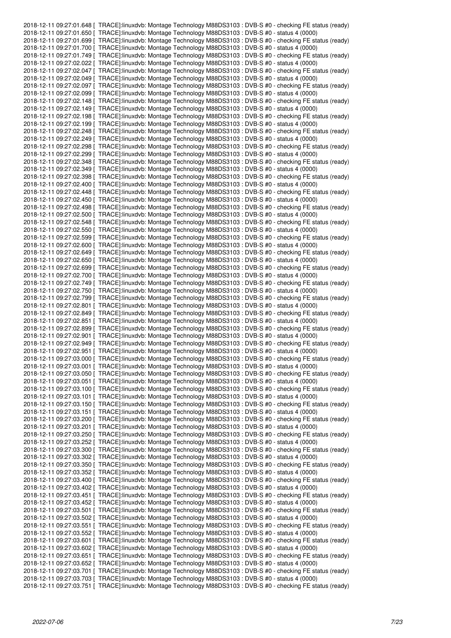|  | 2018-12-11 09:27:01.648 [ TRACE]:linuxdvb: Montage Technology M88DS3103 : DVB-S #0 - checking FE status (ready) |
|--|-----------------------------------------------------------------------------------------------------------------|
|  | 2018-12-11 09:27:01.650 [ TRACE]:linuxdvb: Montage Technology M88DS3103 : DVB-S #0 - status 4 (0000)            |
|  | 2018-12-11 09:27:01.699 [ TRACE]:linuxdvb: Montage Technology M88DS3103 : DVB-S #0 - checking FE status (ready) |
|  | 2018-12-11 09:27:01.700 [ TRACE]:linuxdvb: Montage Technology M88DS3103 : DVB-S #0 - status 4 (0000)            |
|  | 2018-12-11 09:27:01.749 [ TRACE]:linuxdvb: Montage Technology M88DS3103 : DVB-S #0 - checking FE status (ready) |
|  | 2018-12-11 09:27:02.022 [ TRACE]:linuxdvb: Montage Technology M88DS3103 : DVB-S #0 - status 4 (0000)            |
|  |                                                                                                                 |
|  | 2018-12-11 09:27:02.047 [ TRACE]:linuxdvb: Montage Technology M88DS3103 : DVB-S #0 - checking FE status (ready) |
|  | 2018-12-11 09:27:02.049 [ TRACE]:linuxdvb: Montage Technology M88DS3103 : DVB-S #0 - status 4 (0000)            |
|  | 2018-12-11 09:27:02.097 [ TRACE]:linuxdvb: Montage Technology M88DS3103 : DVB-S #0 - checking FE status (ready) |
|  | 2018-12-11 09:27:02.099   TRACE]:linuxdvb: Montage Technology M88DS3103 : DVB-S #0 - status 4 (0000)            |
|  | 2018-12-11 09:27:02.148 [ TRACE]:linuxdvb: Montage Technology M88DS3103 : DVB-S #0 - checking FE status (ready) |
|  | 2018-12-11 09:27:02.149   TRACE]:linuxdvb: Montage Technology M88DS3103 : DVB-S #0 - status 4 (0000)            |
|  | 2018-12-11 09:27:02.198 [ TRACE]:linuxdvb: Montage Technology M88DS3103 : DVB-S #0 - checking FE status (ready) |
|  | 2018-12-11 09:27:02.199   TRACE]:linuxdvb: Montage Technology M88DS3103 : DVB-S #0 - status 4 (0000)            |
|  | 2018-12-11 09:27:02.248 [ TRACE]:linuxdvb: Montage Technology M88DS3103 : DVB-S #0 - checking FE status (ready) |
|  | 2018-12-11 09:27:02.249   TRACE]:linuxdvb: Montage Technology M88DS3103 : DVB-S #0 - status 4 (0000)            |
|  | 2018-12-11 09:27:02.298 [ TRACE]:linuxdvb: Montage Technology M88DS3103 : DVB-S #0 - checking FE status (ready) |
|  | 2018-12-11 09:27:02.299   TRACE]:linuxdvb: Montage Technology M88DS3103 : DVB-S #0 - status 4 (0000)            |
|  | 2018-12-11 09:27:02.348 [ TRACE]:linuxdvb: Montage Technology M88DS3103 : DVB-S #0 - checking FE status (ready) |
|  | 2018-12-11 09:27:02.349 [ TRACE]:linuxdvb: Montage Technology M88DS3103 : DVB-S #0 - status 4 (0000)            |
|  | 2018-12-11 09:27:02.398 [ TRACE]:linuxdvb: Montage Technology M88DS3103 : DVB-S #0 - checking FE status (ready) |
|  | 2018-12-11 09:27:02.400   TRACE]:linuxdvb: Montage Technology M88DS3103 : DVB-S #0 - status 4 (0000)            |
|  | 2018-12-11 09:27:02.448 [ TRACE]:linuxdvb: Montage Technology M88DS3103 : DVB-S #0 - checking FE status (ready) |
|  | 2018-12-11 09:27:02.450 [ TRACE]:linuxdvb: Montage Technology M88DS3103 : DVB-S #0 - status 4 (0000)            |
|  | 2018-12-11 09:27:02.498 [ TRACE]:linuxdvb: Montage Technology M88DS3103 : DVB-S #0 - checking FE status (ready) |
|  | 2018-12-11 09:27:02.500   TRACE]:linuxdvb: Montage Technology M88DS3103 : DVB-S #0 - status 4 (0000)            |
|  |                                                                                                                 |
|  | 2018-12-11 09:27:02.548 [ TRACE]:linuxdvb: Montage Technology M88DS3103 : DVB-S #0 - checking FE status (ready) |
|  | 2018-12-11 09:27:02.550   TRACE]:linuxdvb: Montage Technology M88DS3103 : DVB-S #0 - status 4 (0000)            |
|  | 2018-12-11 09:27:02.599 [ TRACE]:linuxdvb: Montage Technology M88DS3103 : DVB-S #0 - checking FE status (ready) |
|  | 2018-12-11 09:27:02.600   TRACE]:linuxdvb: Montage Technology M88DS3103 : DVB-S #0 - status 4 (0000)            |
|  | 2018-12-11 09:27:02.649 [ TRACE]:linuxdvb: Montage Technology M88DS3103 : DVB-S #0 - checking FE status (ready) |
|  | 2018-12-11 09:27:02.650   TRACE]:linuxdvb: Montage Technology M88DS3103 : DVB-S #0 - status 4 (0000)            |
|  | 2018-12-11 09:27:02.699 [ TRACE]:linuxdvb: Montage Technology M88DS3103 : DVB-S #0 - checking FE status (ready) |
|  | 2018-12-11 09:27:02.700 [ TRACE]:linuxdvb: Montage Technology M88DS3103 : DVB-S #0 - status 4 (0000)            |
|  | 2018-12-11 09:27:02.749 [ TRACE]:linuxdvb: Montage Technology M88DS3103 : DVB-S #0 - checking FE status (ready) |
|  | 2018-12-11 09:27:02.750 [ TRACE]:linuxdvb: Montage Technology M88DS3103 : DVB-S #0 - status 4 (0000)            |
|  | 2018-12-11 09:27:02.799 [ TRACE]:linuxdvb: Montage Technology M88DS3103 : DVB-S #0 - checking FE status (ready) |
|  | 2018-12-11 09:27:02.801 [ TRACE]:linuxdvb: Montage Technology M88DS3103 : DVB-S #0 - status 4 (0000)            |
|  | 2018-12-11 09:27:02.849 [ TRACE]:linuxdvb: Montage Technology M88DS3103 : DVB-S #0 - checking FE status (ready) |
|  | 2018-12-11 09:27:02.851   TRACE]:linuxdvb: Montage Technology M88DS3103 : DVB-S #0 - status 4 (0000)            |
|  | 2018-12-11 09:27:02.899 [ TRACE]:linuxdvb: Montage Technology M88DS3103 : DVB-S #0 - checking FE status (ready) |
|  | 2018-12-11 09:27:02.901 [ TRACE]:linuxdvb: Montage Technology M88DS3103 : DVB-S #0 - status 4 (0000)            |
|  | 2018-12-11 09:27:02.949 [ TRACE]:linuxdvb: Montage Technology M88DS3103 : DVB-S #0 - checking FE status (ready) |
|  | 2018-12-11 09:27:02.951 [ TRACE]:linuxdvb: Montage Technology M88DS3103 : DVB-S #0 - status 4 (0000)            |
|  | 2018-12-11 09:27:03.000 [ TRACE]:linuxdvb: Montage Technology M88DS3103 : DVB-S #0 - checking FE status (ready) |
|  | 2018-12-11 09:27:03.001 [ TRACE]:linuxdvb: Montage Technology M88DS3103 : DVB-S #0 - status 4 (0000)            |
|  | 2018-12-11 09:27:03.050 [ TRACE]:linuxdvb: Montage Technology M88DS3103 : DVB-S #0 - checking FE status (ready) |
|  | 2018-12-11 09:27:03.051 [ TRACE]:linuxdvb: Montage Technology M88DS3103 : DVB-S #0 - status 4 (0000)            |
|  | 2018-12-11 09:27:03.100 [ TRACE]:linuxdvb: Montage Technology M88DS3103 : DVB-S #0 - checking FE status (ready) |
|  | 2018-12-11 09:27:03.101   TRACE]:linuxdvb: Montage Technology M88DS3103 : DVB-S #0 - status 4 (0000)            |
|  | 2018-12-11 09:27:03.150 [ TRACE]:linuxdvb: Montage Technology M88DS3103 : DVB-S #0 - checking FE status (ready) |
|  | 2018-12-11 09:27:03.151 [ TRACE]:linuxdvb: Montage Technology M88DS3103 : DVB-S #0 - status 4 (0000)            |
|  | 2018-12-11 09:27:03.200 [ TRACE]:linuxdvb: Montage Technology M88DS3103 : DVB-S #0 - checking FE status (ready) |
|  | 2018-12-11 09:27:03.201 [ TRACE]:linuxdvb: Montage Technology M88DS3103 : DVB-S #0 - status 4 (0000)            |
|  | 2018-12-11 09:27:03.250 [ TRACE]:linuxdvb: Montage Technology M88DS3103 : DVB-S #0 - checking FE status (ready) |
|  | 2018-12-11 09:27:03.252 [ TRACE]:linuxdvb: Montage Technology M88DS3103 : DVB-S #0 - status 4 (0000)            |
|  | 2018-12-11 09:27:03.300 [ TRACE]:linuxdvb: Montage Technology M88DS3103 : DVB-S #0 - checking FE status (ready) |
|  | 2018-12-11 09:27:03.302 [ TRACE]:linuxdvb: Montage Technology M88DS3103 : DVB-S #0 - status 4 (0000)            |
|  | 2018-12-11 09:27:03.350 [ TRACE]:linuxdvb: Montage Technology M88DS3103 : DVB-S #0 - checking FE status (ready) |
|  | 2018-12-11 09:27:03.352 [ TRACE]:linuxdvb: Montage Technology M88DS3103 : DVB-S #0 - status 4 (0000)            |
|  | 2018-12-11 09:27:03.400 [ TRACE]:linuxdvb: Montage Technology M88DS3103 : DVB-S #0 - checking FE status (ready) |
|  | 2018-12-11 09:27:03.402   TRACE]:linuxdvb: Montage Technology M88DS3103 : DVB-S #0 - status 4 (0000)            |
|  | 2018-12-11 09:27:03.451 [ TRACE]:linuxdvb: Montage Technology M88DS3103 : DVB-S #0 - checking FE status (ready) |
|  | 2018-12-11 09:27:03.452 [ TRACE]:linuxdvb: Montage Technology M88DS3103 : DVB-S #0 - status 4 (0000)            |
|  | 2018-12-11 09:27:03.501 [ TRACE]:linuxdvb: Montage Technology M88DS3103 : DVB-S #0 - checking FE status (ready) |
|  | 2018-12-11 09:27:03.502   TRACE]:linuxdvb: Montage Technology M88DS3103 : DVB-S #0 - status 4 (0000)            |
|  | 2018-12-11 09:27:03.551 [ TRACE]:linuxdvb: Montage Technology M88DS3103 : DVB-S #0 - checking FE status (ready) |
|  | 2018-12-11 09:27:03.552   TRACE]:linuxdvb: Montage Technology M88DS3103 : DVB-S #0 - status 4 (0000)            |
|  | 2018-12-11 09:27:03.601 [ TRACE]:linuxdvb: Montage Technology M88DS3103 : DVB-S #0 - checking FE status (ready) |
|  | 2018-12-11 09:27:03.602 [ TRACE]:linuxdvb: Montage Technology M88DS3103 : DVB-S #0 - status 4 (0000)            |
|  | 2018-12-11 09:27:03.651 [ TRACE]:linuxdvb: Montage Technology M88DS3103 : DVB-S #0 - checking FE status (ready) |
|  | 2018-12-11 09:27:03.652   TRACE]:linuxdvb: Montage Technology M88DS3103 : DVB-S #0 - status 4 (0000)            |
|  | 2018-12-11 09:27:03.701 [ TRACE]:linuxdvb: Montage Technology M88DS3103 : DVB-S #0 - checking FE status (ready) |
|  | 2018-12-11 09:27:03.703 [ TRACE]:linuxdvb: Montage Technology M88DS3103 : DVB-S #0 - status 4 (0000)            |
|  | 2018-12-11 09:27:03.751 [ TRACE]:linuxdvb: Montage Technology M88DS3103 : DVB-S #0 - checking FE status (ready) |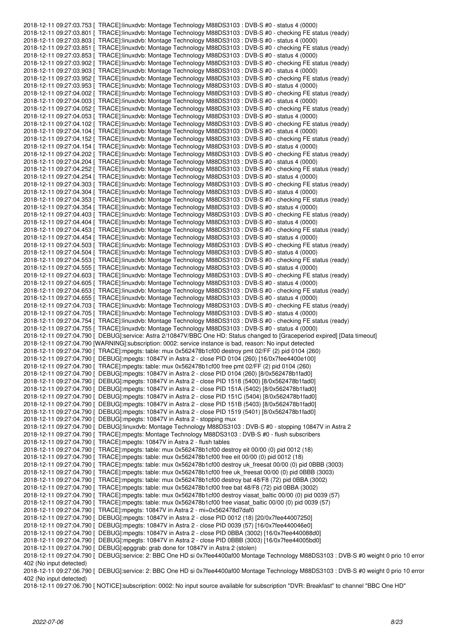2018-12-11 09:27:03.753 [ TRACE]:linuxdvb: Montage Technology M88DS3103 : DVB-S #0 - status 4 (0000) 2018-12-11 09:27:03.801 [ TRACE]:linuxdvb: Montage Technology M88DS3103 : DVB-S #0 - checking FE status (ready) 2018-12-11 09:27:03.803 [ TRACE]:linuxdvb: Montage Technology M88DS3103 : DVB-S #0 - status 4 (0000) 2018-12-11 09:27:03.851 [ TRACE]:linuxdvb: Montage Technology M88DS3103 : DVB-S #0 - checking FE status (ready) 2018-12-11 09:27:03.853 [ TRACE]:linuxdvb: Montage Technology M88DS3103 : DVB-S #0 - status 4 (0000) 2018-12-11 09:27:03.902 [ TRACE]:linuxdvb: Montage Technology M88DS3103 : DVB-S #0 - checking FE status (ready) 2018-12-11 09:27:03.903 [ TRACE]:linuxdvb: Montage Technology M88DS3103 : DVB-S #0 - status 4 (0000) 2018-12-11 09:27:03.952 [ TRACE]:linuxdvb: Montage Technology M88DS3103 : DVB-S #0 - checking FE status (ready) 2018-12-11 09:27:03.953 [ TRACE]:linuxdvb: Montage Technology M88DS3103 : DVB-S #0 - status 4 (0000) 2018-12-11 09:27:04.002 [ TRACE]:linuxdvb: Montage Technology M88DS3103 : DVB-S #0 - checking FE status (ready) 2018-12-11 09:27:04.003 [ TRACE]:linuxdvb: Montage Technology M88DS3103 : DVB-S #0 - status 4 (0000) 2018-12-11 09:27:04.052 [ TRACE]:linuxdvb: Montage Technology M88DS3103 : DVB-S #0 - checking FE status (ready) 2018-12-11 09:27:04.053 [ TRACE]:linuxdvb: Montage Technology M88DS3103 : DVB-S #0 - status 4 (0000) 2018-12-11 09:27:04.102 [ TRACE]:linuxdvb: Montage Technology M88DS3103 : DVB-S #0 - checking FE status (ready) 2018-12-11 09:27:04.104 [ TRACE]:linuxdvb: Montage Technology M88DS3103 : DVB-S #0 - status 4 (0000) 2018-12-11 09:27:04.152 [ TRACE]:linuxdvb: Montage Technology M88DS3103 : DVB-S #0 - checking FE status (ready) 2018-12-11 09:27:04.154 [ TRACE]:linuxdvb: Montage Technology M88DS3103 : DVB-S #0 - status 4 (0000) 2018-12-11 09:27:04.202 [ TRACE]:linuxdvb: Montage Technology M88DS3103 : DVB-S #0 - checking FE status (ready) 2018-12-11 09:27:04.204 [ TRACE]:linuxdvb: Montage Technology M88DS3103 : DVB-S #0 - status 4 (0000) 2018-12-11 09:27:04.252 [ TRACE]:linuxdvb: Montage Technology M88DS3103 : DVB-S #0 - checking FE status (ready) 2018-12-11 09:27:04.254 [ TRACE]:linuxdvb: Montage Technology M88DS3103 : DVB-S #0 - status 4 (0000) 2018-12-11 09:27:04.303 [ TRACE]:linuxdvb: Montage Technology M88DS3103 : DVB-S #0 - checking FE status (ready) 2018-12-11 09:27:04.304 [ TRACE]:linuxdvb: Montage Technology M88DS3103 : DVB-S #0 - status 4 (0000) 2018-12-11 09:27:04.353 [ TRACE]:linuxdvb: Montage Technology M88DS3103 : DVB-S #0 - checking FE status (ready) 2018-12-11 09:27:04.354 [ TRACE]:linuxdvb: Montage Technology M88DS3103 : DVB-S #0 - status 4 (0000) 2018-12-11 09:27:04.403 [ TRACE]:linuxdvb: Montage Technology M88DS3103 : DVB-S #0 - checking FE status (ready) 2018-12-11 09:27:04.404 [ TRACE]:linuxdvb: Montage Technology M88DS3103 : DVB-S #0 - status 4 (0000) 2018-12-11 09:27:04.453 [ TRACE]:linuxdvb: Montage Technology M88DS3103 : DVB-S #0 - checking FE status (ready) 2018-12-11 09:27:04.454 [ TRACE]:linuxdvb: Montage Technology M88DS3103 : DVB-S #0 - status 4 (0000) 2018-12-11 09:27:04.503 [ TRACE]:linuxdvb: Montage Technology M88DS3103 : DVB-S #0 - checking FE status (ready) 2018-12-11 09:27:04.504 [ TRACE]:linuxdvb: Montage Technology M88DS3103 : DVB-S #0 - status 4 (0000) 2018-12-11 09:27:04.553 [ TRACE]:linuxdvb: Montage Technology M88DS3103 : DVB-S #0 - checking FE status (ready) 2018-12-11 09:27:04.555 [ TRACE]:linuxdvb: Montage Technology M88DS3103 : DVB-S #0 - status 4 (0000) 2018-12-11 09:27:04.603 [ TRACE]:linuxdvb: Montage Technology M88DS3103 : DVB-S #0 - checking FE status (ready) 2018-12-11 09:27:04.605 [ TRACE]:linuxdvb: Montage Technology M88DS3103 : DVB-S #0 - status 4 (0000) 2018-12-11 09:27:04.653 [ TRACE]:linuxdvb: Montage Technology M88DS3103 : DVB-S #0 - checking FE status (ready) 2018-12-11 09:27:04.655 [ TRACE]:linuxdvb: Montage Technology M88DS3103 : DVB-S #0 - status 4 (0000) 2018-12-11 09:27:04.703 [ TRACE]:linuxdvb: Montage Technology M88DS3103 : DVB-S #0 - checking FE status (ready) 2018-12-11 09:27:04.705 [ TRACE]:linuxdvb: Montage Technology M88DS3103 : DVB-S #0 - status 4 (0000) 2018-12-11 09:27:04.754 [ TRACE]:linuxdvb: Montage Technology M88DS3103 : DVB-S #0 - checking FE status (ready) 2018-12-11 09:27:04.755 [ TRACE]:linuxdvb: Montage Technology M88DS3103 : DVB-S #0 - status 4 (0000) 2018-12-11 09:27:04.790 [ DEBUG]:service: Astra 2/10847V/BBC One HD: Status changed to [Graceperiod expired] [Data timeout] 2018-12-11 09:27:04.790 [WARNING]:subscription: 0002: service instance is bad, reason: No input detected 2018-12-11 09:27:04.790 [ TRACE]:mpegts: table: mux 0x562478b1cf00 destroy pmt 02/FF (2) pid 0104 (260) 2018-12-11 09:27:04.790 [ DEBUG]:mpegts: 10847V in Astra 2 - close PID 0104 (260) [16/0x7fee4400e100] 2018-12-11 09:27:04.790 [ TRACE]:mpegts: table: mux 0x562478b1cf00 free pmt 02/FF (2) pid 0104 (260) 2018-12-11 09:27:04.790 [ DEBUG]:mpegts: 10847V in Astra 2 - close PID 0104 (260) [8/0x562478b1fad0] 2018-12-11 09:27:04.790 [ DEBUG]:mpegts: 10847V in Astra 2 - close PID 1518 (5400) [8/0x562478b1fad0] 2018-12-11 09:27:04.790 [ DEBUG]:mpegts: 10847V in Astra 2 - close PID 151A (5402) [8/0x562478b1fad0] 2018-12-11 09:27:04.790 [ DEBUG]:mpegts: 10847V in Astra 2 - close PID 151C (5404) [8/0x562478b1fad0] 2018-12-11 09:27:04.790 [ DEBUG]:mpegts: 10847V in Astra 2 - close PID 151B (5403) [8/0x562478b1fad0] 2018-12-11 09:27:04.790 [ DEBUG]:mpegts: 10847V in Astra 2 - close PID 1519 (5401) [8/0x562478b1fad0] 2018-12-11 09:27:04.790 [ DEBUG]:mpegts: 10847V in Astra 2 - stopping mux 2018-12-11 09:27:04.790 [ DEBUG]:linuxdvb: Montage Technology M88DS3103 : DVB-S #0 - stopping 10847V in Astra 2 2018-12-11 09:27:04.790 [ TRACE]:mpegts: Montage Technology M88DS3103 : DVB-S #0 - flush subscribers 2018-12-11 09:27:04.790 [ TRACE]:mpegts: 10847V in Astra 2 - flush tables 2018-12-11 09:27:04.790 [ TRACE]:mpegts: table: mux 0x562478b1cf00 destroy eit 00/00 (0) pid 0012 (18) 2018-12-11 09:27:04.790 [ TRACE]:mpegts: table: mux 0x562478b1cf00 free eit 00/00 (0) pid 0012 (18) 2018-12-11 09:27:04.790 [ TRACE]:mpegts: table: mux 0x562478b1cf00 destroy uk\_freesat 00/00 (0) pid 0BBB (3003) 2018-12-11 09:27:04.790 [ TRACE]:mpegts: table: mux 0x562478b1cf00 free uk\_freesat 00/00 (0) pid 0BBB (3003) 2018-12-11 09:27:04.790 [ TRACE]:mpegts: table: mux 0x562478b1cf00 destroy bat 48/F8 (72) pid 0BBA (3002) 2018-12-11 09:27:04.790 [ TRACE]:mpegts: table: mux 0x562478b1cf00 free bat 48/F8 (72) pid 0BBA (3002) 2018-12-11 09:27:04.790 [ TRACE]:mpegts: table: mux 0x562478b1cf00 destroy viasat\_baltic 00/00 (0) pid 0039 (57) 2018-12-11 09:27:04.790 [ TRACE]:mpegts: table: mux 0x562478b1cf00 free viasat\_baltic 00/00 (0) pid 0039 (57) 2018-12-11 09:27:04.790 [ TRACE]:mpegts: 10847V in Astra 2 - mi=0x562478d7daf0 2018-12-11 09:27:04.790 [ DEBUG]:mpegts: 10847V in Astra 2 - close PID 0012 (18) [20/0x7fee44007250] 2018-12-11 09:27:04.790 [ DEBUG]:mpegts: 10847V in Astra 2 - close PID 0039 (57) [16/0x7fee440046e0] 2018-12-11 09:27:04.790 [ DEBUG]:mpegts: 10847V in Astra 2 - close PID 0BBA (3002) [16/0x7fee440088d0] 2018-12-11 09:27:04.790 [ DEBUG]:mpegts: 10847V in Astra 2 - close PID 0BBB (3003) [16/0x7fee44005bd0] 2018-12-11 09:27:04.790 [ DEBUG]:epggrab: grab done for 10847V in Astra 2 (stolen) 2018-12-11 09:27:04.790 [ DEBUG]:service: 2: BBC One HD si 0x7fee4400af00 Montage Technology M88DS3103 : DVB-S #0 weight 0 prio 10 error 402 (No input detected) 2018-12-11 09:27:06.790 [ DEBUG]:service: 2: BBC One HD si 0x7fee4400af00 Montage Technology M88DS3103 : DVB-S #0 weight 0 prio 10 error 402 (No input detected)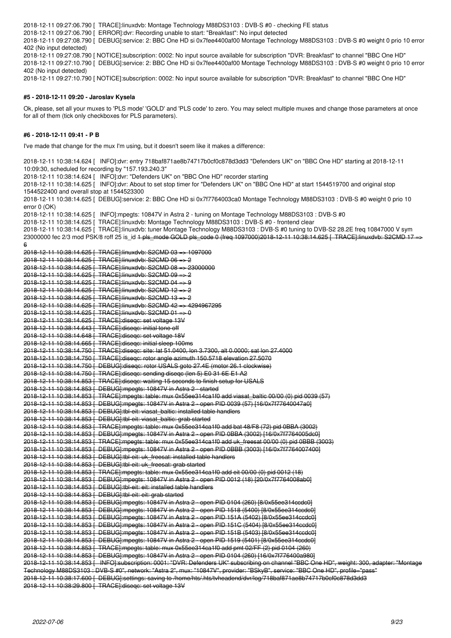2018-12-11 09:27:06.790 [ TRACE]:linuxdvb: Montage Technology M88DS3103 : DVB-S #0 - checking FE status

2018-12-11 09:27:06.790 [ ERROR]:dvr: Recording unable to start: "Breakfast": No input detected

2018-12-11 09:27:08.790 [ DEBUG]:service: 2: BBC One HD si 0x7fee4400af00 Montage Technology M88DS3103 : DVB-S #0 weight 0 prio 10 error 402 (No input detected)

2018-12-11 09:27:08.790 [ NOTICE]:subscription: 0002: No input source available for subscription "DVR: Breakfast" to channel "BBC One HD" 2018-12-11 09:27:10.790 [ DEBUG]:service: 2: BBC One HD si 0x7fee4400af00 Montage Technology M88DS3103 : DVB-S #0 weight 0 prio 10 error 402 (No input detected)

2018-12-11 09:27:10.790 [ NOTICE]:subscription: 0002: No input source available for subscription "DVR: Breakfast" to channel "BBC One HD"

#### **#5 - 2018-12-11 09:20 - Jaroslav Kysela**

Ok, please, set all your muxes to 'PLS mode' 'GOLD' and 'PLS code' to zero. You may select multiple muxes and change those parameters at once for all of them (tick only checkboxes for PLS parameters).

### **#6 - 2018-12-11 09:41 - P B**

I've made that change for the mux I'm using, but it doesn't seem like it makes a difference:

2018-12-11 10:38:14.624 [ INFO]:dvr: entry 718baf871ae8b74717b0cf0c878d3dd3 "Defenders UK" on "BBC One HD" starting at 2018-12-11 10:09:30, scheduled for recording by "157.193.240.3" 2018-12-11 10:38:14.624 [ INFO]:dvr: "Defenders UK" on "BBC One HD" recorder starting 2018-12-11 10:38:14.625 [ INFO]:dvr: About to set stop timer for "Defenders UK" on "BBC One HD" at start 1544519700 and original stop 1544522400 and overall stop at 1544523300 2018-12-11 10:38:14.625 [ DEBUG]:service: 2: BBC One HD si 0x7f7764003ca0 Montage Technology M88DS3103 : DVB-S #0 weight 0 prio 10 error 0 (OK) 2018-12-11 10:38:14.625 [ INFO]:mpegts: 10847V in Astra 2 - tuning on Montage Technology M88DS3103 : DVB-S #0 2018-12-11 10:38:14.625 [ TRACE]:linuxdvb: Montage Technology M88DS3103 : DVB-S #0 - frontend clear 2018-12-11 10:38:14.625 [ TRACE]:linuxdvb: tuner Montage Technology M88DS3103 : DVB-S #0 tuning to DVB-S2 28.2E freq 10847000 V sym 23000000 fec 2/3 mod PSK/8 roff 25 is\_id <del>1 pls\_mode GOLD pls\_code 0 (freq 1097000)2018 12 11 10:38:14.625 [ TRACE]:linuxdvb: S2CMD 17</del> 6 2018-12-11 10:38:14.625 [ TRACE]:linuxdvb: S2CMD 03 => 1097000 2018-12-11 10:38:14.625 [ TRACE]:linuxdvb: S2CMD 06 => 2 2018-12-11 10:38:14.625 [ TRACE]:linuxdvb: S2CMD 08 => 23000000 2018-12-11 10:38:14.625 [ TRACE]:linuxdvb: S2CMD 09 => 2 2018-12-11 10:38:14.625 [ TRACE]:linuxdvb: S2CMD 04 => 9 2018-12-11 10:38:14.625 [ TRACE]:linuxdvb: S2CMD 12 => 2 2018-12-11 10:38:14.625 [ TRACE]:linuxdvb: S2CMD 13 => 2 2018-12-11 10:38:14.625 [ TRACE]:linuxdvb: S2CMD 42 => 4294967295 2018-12-11 10:38:14.625 [ TRACE]:linuxdvb: S2CMD 01 => 0 2018-12-11 10:38:14.625 [ TRACE]:diseqc: set voltage 13V 2018-12-11 10:38:14.643 [ TRACE]:diseqc: initial tone off 2018-12-11 10:38:14.648 [ TRACE]:diseqc: set voltage 18V 2018-12-11 10:38:14.665 [ TRACE]:diseqc: initial sleep 100ms 2018-12-11 10:38:14.750 [ TRACE]:diseqc: site: lat 51.0400, lon 3.7300, alt 0.0000; sat lon 27.4000 2018-12-11 10:38:14.750 [ TRACE]:diseqc: rotor angle azimuth 150.5718 elevation 27.5070 2018-12-11 10:38:14.750 [ DEBUG]:diseqc: rotor USALS goto 27.4E (motor 26.1 clockwise) 2018-12-11 10:38:14.750 [ TRACE]:diseqc: sending diseqc (len 5) E0 31 6E E1 A2 2018-12-11 10:38:14.853 [ TRACE]:diseqc: waiting 15 seconds to finish setup for USALS 2018-12-11 10:38:14.853 [ DEBUG]:mpegts: 10847V in Astra 2 - started 2018-12-11 10:38:14.853 [ TRACE]:mpegts: table: mux 0x55ee314ca1f0 add viasat\_baltic 00/00 (0) pid 0039 (57) 2018-12-11 10:38:14.853 [ DEBUG]:mpegts: 10847V in Astra 2 - open PID 0039 (57) [16/0x7f77640047a0] 2018-12-11 10:38:14.853 [ DEBUG]:tbl-eit: viasat\_baltic: installed table handlers 2018-12-11 10:38:14.853 [ DEBUG]:tbl-eit: viasat\_baltic: grab started 2018-12-11 10:38:14.853 [ TRACE]:mpegts: table: mux 0x55ee314ca1f0 add bat 48/F8 (72) pid 0BBA (3002) 2018-12-11 10:38:14.853 [ DEBUG]:mpegts: 10847V in Astra 2 - open PID 0BBA (3002) [16/0x7f7764005dc0] 2018-12-11 10:38:14.853 [ TRACE]:mpegts: table: mux 0x55ee314ca1f0 add uk\_freesat 00/00 (0) pid 0BBB (3003) 2018-12-11 10:38:14.853 [ DEBUG]:mpegts: 10847V in Astra 2 - open PID 0BBB (3003) [16/0x7f7764007400] 2018-12-11 10:38:14.853 [ DEBUG]:tbl-eit: uk\_freesat: installed table handlers 2018-12-11 10:38:14.853 [ DEBUG]:tbl-eit: uk\_freesat: grab started 2018-12-11 10:38:14.853 [ TRACE]:mpegts: table: mux 0x55ee314ca1f0 add eit 00/00 (0) pid 0012 (18) 2018-12-11 10:38:14.853 [ DEBUG]:mpegts: 10847V in Astra 2 - open PID 0012 (18) [20/0x7f7764008ab0] 2018-12-11 10:38:14.853 [ DEBUG]:tbl-eit: eit: installed table handlers 2018-12-11 10:38:14.853 [ DEBUG]:tbl-eit: eit: grab started 2018-12-11 10:38:14.853 [ DEBUG]:mpegts: 10847V in Astra 2 - open PID 0104 (260) [8/0x55ee314ccdc0] 2018-12-11 10:38:14.853 [ DEBUG]:mpegts: 10847V in Astra 2 - open PID 1518 (5400) [8/0x55ee314ccdc0] 2018-12-11 10:38:14.853 [ DEBUG]:mpegts: 10847V in Astra 2 - open PID 151A (5402) [8/0x55ee314ccdc0] 2018-12-11 10:38:14.853 [ DEBUG]:mpegts: 10847V in Astra 2 - open PID 151C (5404) [8/0x55ee314ccdc0] 2018-12-11 10:38:14.853 [ DEBUG]:mpegts: 10847V in Astra 2 - open PID 151B (5403) [8/0x55ee314ccdc0] 2018-12-11 10:38:14.853 [ DEBUG]:mpegts: 10847V in Astra 2 - open PID 1519 (5401) [8/0x55ee314ccdc0] 2018-12-11 10:38:14.853 [ TRACE]:mpegts: table: mux 0x55ee314ca1f0 add pmt 02/FF (2) pid 0104 (260) 2018-12-11 10:38:14.853 [ DEBUG]:mpegts: 10847V in Astra 2 - open PID 0104 (260) [16/0x7f776400a980] 2018-12-11 10:38:14.853 [ INFO]:subscription: 0001: "DVR: Defenders UK" subscribing on channel "BBC One HD", weight: 300, adapter: "Montage Technology M88DS3103 : DVB-S #0", network: "Astra 2", mux: "10847V", provider: "BSkyB", service: "BBC One HD", profile="pass" 2018-12-11 10:38:17.600 [ DEBUG]:settings: saving to /home/hts/.hts/tvheadend/dvr/log/718baf871ae8b74717b0cf0c878d3dd3 2018-12-11 10:38:29.800 [ TRACE]:diseqc: set voltage 13V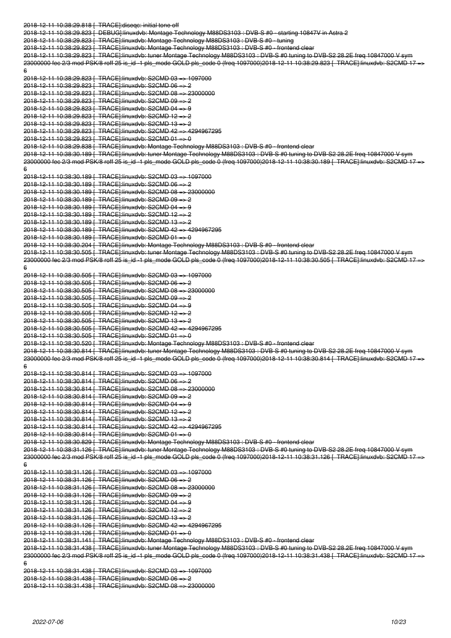2018-12-11 10:38:29.818 [ TRACE]:diseqc: initial tone off 2018-12-11 10:38:29.823 [ DEBUG]:linuxdvb: Montage Technology M88DS3103 : DVB-S #0 - starting 10847V in Astra 2 2018-12-11 10:38:29.823 [ TRACE]:linuxdvb: Montage Technology M88DS3103 : DVB-S #0 - tuning 2018-12-11 10:38:29.823 | TRACE]:linuxdvb: Montage Technology M88DS3103 : DVB-S #0 - fronten 2018-12-11 10:38:29.823 [ TRACE]:linuxdvb: tuner Montage Technology M88DS3103 : DVB-S #0 tuning to DVB-S2 28.2E freq 10847000 V sym 23000000 fec 2/3 mod PSK/8 roff 25 is\_id -1 pls\_mode GOLD pls\_code 0 (freq 1097000)2018-12-11 10:38:29.823 [ TRACE]:linuxdvb: S2CMD 17 6 2018-12-11 10:38:29.823 [ TRACE]:linuxdvb: S2CMD 03 => 1097000 2018-12-11 10:38:29.823 [ TRACE]:linuxdvb: S2CMD 06 => 2 2018-12-11 10:38:29.823 [ TRACE]:linuxdvb: S2CMD 08 => 23000000 2018-12-11 10:38:29.823 [ TRACE]:linuxdvb: S2CMD 09 => 2 2018-12-11 10:38:29.823 [ TRACE]:linuxdvb: S2CMD 04 => 9 2018-12-11 10:38:29.823 [ TRACE]:linuxdvb: S2CMD 12 => 2 2018-12-11 10:38:29.823 [ TRACE]:linuxdvb: S2CMD 13 => 2 2018-12-11 10:38:29.823 [ TRACE]:linuxdvb: S2CMD 42 => 4294967295 2018-12-11 10:38:29.823 [ TRACE]:linuxdvb: S2CMD 01 => 0 2018-12-11 10:38:29.838 [ TRACE]:linuxdvb: Montage Technology M88DS3103 : DVB-S #0 - frontend clear 2018-12-11 10:38:30.189 [ TRACE]:linuxdvb: tuner Montage Technology M88DS3103 : DVB-S #0 tuning to DVB-S2 28.2E freq 10847000 V sym 23000000 fec 2/3 mod PSK/8 roff 25 is\_id -1 pls\_mode GOLD pls\_code 0 (freq 1097000)2018-12-11 10:38:30.189 [ TRACE]:linuxdvb: S2CMD 17 6 2018-12-11 10:38:30.189 [ TRACE]:linuxdvb: S2CMD 03 => 1097000 2018-12-11 10:38:30.189 [ TRACE]:linuxdvb: S2CMD 06 => 2 2018-12-11 10:38:30.189 [ TRACE]:linuxdvb: S2CMD 08 => 23000000 2018-12-11 10:38:30.189 [ TRACE]:linuxdvb: S2CMD 09 => 2 2018-12-11 10:38:30.189 [ TRACE]:linuxdvb: S2CMD 04 => 9 2018-12-11 10:38:30.189 [ TRACE]:linuxdvb: S2CMD 12 => 2 2018-12-11 10:38:30.189 [ TRACE]:linuxdvb: S2CMD 13 => 2 2018-12-11 10:38:30.189 [ TRACE]:linuxdvb: S2CMD 42 => 4294967295 2018-12-11 10:38:30.189 [ TRACE]:linuxdvb: S2CMD 01 => 0 2018-12-11 10:38:30.204 [ TRACE]:linuxdvb: Montage Technology M88DS3103 : DVB-S #0 - frontend clear 2018-12-11 10:38:30.505 [ TRACE]:linuxdvb: tuner Montage Technology M88DS3103 : DVB-S #0 tuning to DVB-S2 28.2E freq 10847000 V sym 23000000 fec 2/3 mod PSK/8 roff 25 is\_id -1 pls\_mode GOLD pls\_code 0 (freq 1097000)2018-12-11 10:38:30.505 [ TRACE]:linuxdvb: S2CMD 17 6 2018-12-11 10:38:30.505 [ TRACE]:linuxdvb: S2CMD 03 => 1097000 2018-12-11 10:38:30.505 [ TRACE]:linuxdvb: S2CMD 06 => 2 2018-12-11 10:38:30.505 [ TRACE]:linuxdvb: S2CMD 08 => 23000000 2018-12-11 10:38:30.505 [ TRACE]:linuxdvb: S2CMD 09 => 2 2018-12-11 10:38:30.505 [ TRACE]:linuxdvb: S2CMD 04 => 9 2018-12-11 10:38:30.505 [ TRACE]:linuxdvb: S2CMD 12 => 2 2018-12-11 10:38:30.505 [ TRACE]:linuxdvb: S2CMD 13 => 2 2018-12-11 10:38:30.505 [ TRACE]:linuxdvb: S2CMD 42 => 4294967295 2018-12-11 10:38:30.505 [ TRACE]:linuxdvb: S2CMD 01 => 0 2018-12-11 10:38:30.520 [ TRACE]:linuxdvb: Montage Technology M88DS3103 : DVB-S #0 - frontend clear 2018-12-11 10:38:30.814 [ TRACE]:linuxdvb: tuner Montage Technology M88DS3103 : DVB-S #0 tuning to DVB-S2 28.2E freq 10847000 V sym 23000000 fec 2/3 mod PSK/8 roff 25 is\_id -1 pls\_mode GOLD pls\_code 0 (freq 1097000)2018-12-11 10:38:30.814 [ TRACE]:linuxdvb: S2CMD 17 6 2018-12-11 10:38:30.814 [ TRACE]:linuxdvb: S2CMD 03 => 1097000 2018-12-11 10:38:30.814 [ TRACE]:linuxdvb: S2CMD 06 => 2 2018-12-11 10:38:30.814 [ TRACE]:linuxdvb: S2CMD 08 => 23000000 2018-12-11 10:38:30.814 [ TRACE]:linuxdvb: S2CMD 09 => 2 2018-12-11 10:38:30.814 [ TRACE]:linuxdvb: S2CMD 04 => 9 2018-12-11 10:38:30.814 [ TRACE]:linuxdvb: S2CMD 12 => 2 2018-12-11 10:38:30.814 [ TRACE]:linuxdvb: S2CMD 13 => 2 2018-12-11 10:38:30.814 [ TRACE]:linuxdvb: S2CMD 42 => 4294967295 2018-12-11 10:38:30.814 [ TRACE]:linuxdvb: S2CMD 01 => 0 2018-12-11 10:38:30.829 [ TRACE]:linuxdvb: Montage Technology M88DS3103 : DVB-S #0 - frontend clear 2018-12-11 10:38:31.126 [ TRACE]:linuxdvb: tuner Montage Technology M88DS3103 : DVB-S #0 tuning to DVB-S2 28.2E freq 10847000 V sym 23000000 fec 2/3 mod PSK/8 roff 25 is\_id -1 pls\_mode GOLD pls\_code 0 (freq 1097000)2018-12-11 10:38:31.126 [ TRACE]:linuxdvb: S2CMD 17 6 2018-12-11 10:38:31.126 [ TRACE]:linuxdvb: S2CMD 03 => 1097000 2018-12-11 10:38:31.126 [ TRACE]:linuxdvb: S2CMD 06 => 2 2018-12-11 10:38:31.126 [ TRACE]:linuxdvb: S2CMD 08 => 23000000 2018-12-11 10:38:31.126 [ TRACE]:linuxdvb: S2CMD 09 => 2 2018-12-11 10:38:31.126 [ TRACE]:linuxdvb: S2CMD 04 => 9 2018-12-11 10:38:31.126 [ TRACE]:linuxdvb: S2CMD 12 => 2 2018-12-11 10:38:31.126 [ TRACE]:linuxdvb: S2CMD 13 => 2 2018-12-11 10:38:31.126 [ TRACE]:linuxdvb: S2CMD 42 => 4294967295 2018-12-11 10:38:31.126 [ TRACE]:linuxdvb: S2CMD 01 => 0 2018-12-11 10:38:31.141 [ TRACE]:linuxdvb: Montage Technology M88DS3103 : DVB-S #0 - frontend clear 2018-12-11 10:38:31.438 [ TRACE]:linuxdvb: tuner Montage Technology M88DS3103 : DVB-S #0 tuning to DVB-S2 28.2E freq 10847000 V sym 23000000 fec 2/3 mod PSK/8 roff 25 is\_id -1 pls\_mode GOLD pls\_code 0 (freq 1097000)2018-12-11 10:38:31.438 [ TRACE]:linuxdvb: S2CMD 17 6 2018-12-11 10:38:31.438 [ TRACE]:linuxdvb: S2CMD 03 => 1097000 2018-12-11 10:38:31.438 [ TRACE]:linuxdvb: S2CMD 06 => 2

2018-12-11 10:38:31.438 [ TRACE]:linuxdvb: S2CMD 08 => 23000000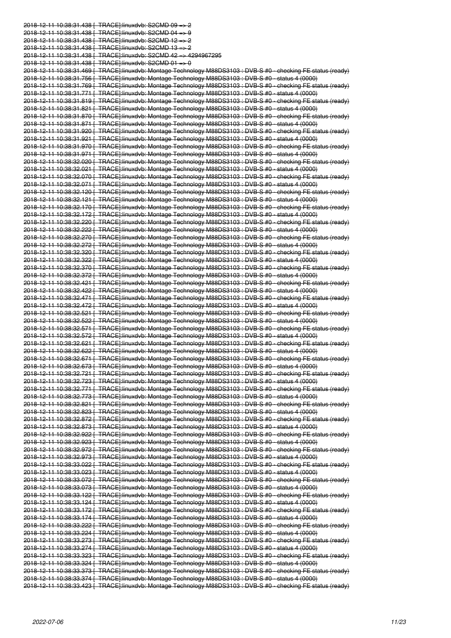2018-12-11 10:38:31.438 [ TRACE]:linuxdvb: S2CMD 09 => 2 2018-12-11 10:38:31.438 [ TRACE]:linuxdvb: S2CMD 04 => 9 2018-12-11 10:38:31.438 [ TRACE]:linuxdvb: S2CMD 12 => 2 2018-12-11 10:38:31.438 [ TRACE]:linuxdvb: S2CMD 13 => 2 2018-12-11 10:38:31.438 [ TRACE]:linuxdvb: S2CMD 42 => 4294967295 2018-12-11 10:38:31.438 [ TRACE]:linuxdvb: S2CMD 01 => 0 2018-12-11 10:38:31.469 [ TRACE]:linuxdvb: Montage Technology M88DS3103 : DVB-S #0 - checking FE status (ready) 2018-12-11 10:38:31.756 [ TRACE]:linuxdvb: Montage Technology M88DS3103 : DVB-S #0 - status 4 (0000) 2018-12-11 10:38:31.769 [ TRACE]:linuxdvb: Montage Technology M88DS3103 : DVB-S #0 - checking FE status (ready) 2018-12-11 10:38:31.771 [ TRACE]:linuxdvb: Montage Technology M88DS3103 : DVB-S #0 - status 4 (0000) 2018-12-11 10:38:31.819 [ TRACE]:linuxdvb: Montage Technology M88DS3103 : DVB-S #0 - checking FE status (ready) 2018-12-11 10:38:31.821 [ TRACE]:linuxdvb: Montage Technology M88DS3103 : DVB-S #0 - status 4 (0000) 2018-12-11 10:38:31.870 [ TRACE]:linuxdvb: Montage Technology M88DS3103 : DVB-S #0 - checking FE status (ready) 2018-12-11 10:38:31.871 [ TRACE]:linuxdvb: Montage Technology M88DS3103 : DVB-S #0 - status 4 (0000) 2018-12-11 10:38:31.920 [ TRACE]:linuxdvb: Montage Technology M88DS3103 : DVB-S #0 - checking FE status (ready) 2018-12-11 10:38:31.921 [ TRACE]:linuxdvb: Montage Technology M88DS3103 : DVB-S #0 - status 4 (0000) 2018-12-11 10:38:31.970 [ TRACE]:linuxdvb: Montage Technology M88DS3103 : DVB-S #0 - checking FE status (ready) 2018-12-11 10:38:31.971 [ TRACE]:linuxdvb: Montage Technology M88DS3103 : DVB-S #0 - status 4 (0000) 2018-12-11 10:38:32.020 [ TRACE]:linuxdvb: Montage Technology M88DS3103 : DVB-S #0 - checking FE status (ready) 2018-12-11 10:38:32.021 [ TRACE]:linuxdvb: Montage Technology M88DS3103 : DVB-S #0 - status 4 (0000) 2018-12-11 10:38:32.070 [ TRACE]:linuxdvb: Montage Technology M88DS3103 : DVB-S #0 - checking FE status (ready) 2018-12-11 10:38:32.071 [ TRACE]:linuxdvb: Montage Technology M88DS3103 : DVB-S #0 - status 4 (0000) 2018-12-11 10:38:32.120 [ TRACE]:linuxdvb: Montage Technology M88DS3103 : DVB-S #0 - checking FE status (ready) 2018-12-11 10:38:32.121 [ TRACE]:linuxdvb: Montage Technology M88DS3103 : DVB-S #0 - status 4 (0000) 2018-12-11 10:38:32.170 [ TRACE]:linuxdvb: Montage Technology M88DS3103 : DVB-S #0 - checking FE status (ready) 2018-12-11 10:38:32.172 [ TRACE]:linuxdvb: Montage Technology M88DS3103 : DVB-S #0 - status 4 (0000) 2018-12-11 10:38:32.220 [ TRACE]:linuxdvb: Montage Technology M88DS3103 : DVB-S #0 - checking FE status (ready) 2018-12-11 10:38:32.222 [ TRACE]:linuxdvb: Montage Technology M88DS3103 : DVB-S #0 - status 4 (0000) 2018-12-11 10:38:32.270 [ TRACE]:linuxdvb: Montage Technology M88DS3103 : DVB-S #0 - checking FE status (ready) 2018-12-11 10:38:32.272 [ TRACE]:linuxdvb: Montage Technology M88DS3103 : DVB-S #0 - status 4 (0000) 2018-12-11 10:38:32.320 [ TRACE]:linuxdvb: Montage Technology M88DS3103 : DVB-S #0 - checking FE status (ready) 2018-12-11 10:38:32.322 [ TRACE]:linuxdvb: Montage Technology M88DS3103 : DVB-S #0 - status 4 (0000) 2018-12-11 10:38:32.370 [ TRACE]:linuxdvb: Montage Technology M88DS3103 : DVB-S #0 - checking FE status (ready) 2018-12-11 10:38:32.372 [ TRACE]:linuxdvb: Montage Technology M88DS3103 : DVB-S #0 - status 4 (0000) 2018-12-11 10:38:32.421 [ TRACE]:linuxdvb: Montage Technology M88DS3103 : DVB-S #0 - checking FE status (ready) 2018-12-11 10:38:32.422 [ TRACE]:linuxdvb: Montage Technology M88DS3103 : DVB-S #0 - status 4 (0000) 2018-12-11 10:38:32.471 [ TRACE]:linuxdvb: Montage Technology M88DS3103 : DVB-S #0 - checking FE status (ready) 2018-12-11 10:38:32.472 [ TRACE]:linuxdvb: Montage Technology M88DS3103 : DVB-S #0 - status 4 (0000) 2018-12-11 10:38:32.521 [ TRACE]:linuxdvb: Montage Technology M88DS3103 : DVB-S #0 - checking FE status (ready) 2018-12-11 10:38:32.522 [ TRACE]:linuxdvb: Montage Technology M88DS3103 : DVB-S #0 - status 4 (0000) 2018-12-11 10:38:32.571 [ TRACE]:linuxdvb: Montage Technology M88DS3103 : DVB-S #0 - checking FE status (ready) 2018-12-11 10:38:32.572 [ TRACE]:linuxdvb: Montage Technology M88DS3103 : DVB-S #0 - status 4 (0000) 2018-12-11 10:38:32.621 [ TRACE]:linuxdvb: Montage Technology M88DS3103 : DVB-S #0 - checking FE status (ready) 2018-12-11 10:38:32.622 [ TRACE]:linuxdvb: Montage Technology M88DS3103 : DVB-S #0 - status 4 (0000) 2018-12-11 10:38:32.671 [ TRACE]:linuxdvb: Montage Technology M88DS3103 : DVB-S #0 - checking FE status (ready) 2018-12-11 10:38:32.673 [ TRACE]:linuxdvb: Montage Technology M88DS3103 : DVB-S #0 - status 4 (0000) 2018-12-11 10:38:32.721 [ TRACE]:linuxdvb: Montage Technology M88DS3103 : DVB-S #0 - checking FE status (ready) 2018-12-11 10:38:32.723 [ TRACE]:linuxdvb: Montage Technology M88DS3103 : DVB-S #0 - status 4 (0000) 2018-12-11 10:38:32.771 [ TRACE]:linuxdvb: Montage Technology M88DS3103 : DVB-S #0 - checking FE status (ready) 2018-12-11 10:38:32.773 [ TRACE]:linuxdvb: Montage Technology M88DS3103 : DVB-S #0 - status 4 (0000) 2018-12-11 10:38:32.821 [ TRACE]:linuxdvb: Montage Technology M88DS3103 : DVB-S #0 - checking FE status (ready) 2018-12-11 10:38:32.823 [ TRACE]:linuxdvb: Montage Technology M88DS3103 : DVB-S #0 - status 4 (0000) 2018-12-11 10:38:32.872 [ TRACE]:linuxdvb: Montage Technology M88DS3103 : DVB-S #0 - checking FE status (ready) 2018-12-11 10:38:32.873 [ TRACE]:linuxdvb: Montage Technology M88DS3103 : DVB-S #0 - status 4 (0000) 2018-12-11 10:38:32.922 [ TRACE]:linuxdvb: Montage Technology M88DS3103 : DVB-S #0 - checking FE status (ready) 2018-12-11 10:38:32.923 [ TRACE]:linuxdvb: Montage Technology M88DS3103 : DVB-S #0 - status 4 (0000) 2018-12-11 10:38:32.972 [ TRACE]:linuxdvb: Montage Technology M88DS3103 : DVB-S #0 - checking FE status (ready) 2018-12-11 10:38:32.973 [ TRACE]:linuxdvb: Montage Technology M88DS3103 : DVB-S #0 - status 4 (0000) 2018-12-11 10:38:33.022 [ TRACE]:linuxdvb: Montage Technology M88DS3103 : DVB-S #0 - checking FE status (ready) 2018-12-11 10:38:33.023 [ TRACE]:linuxdvb: Montage Technology M88DS3103 : DVB-S #0 - status 4 (0000) 2018-12-11 10:38:33.072 [ TRACE]:linuxdvb: Montage Technology M88DS3103 : DVB-S #0 - checking FE status (ready) 2018-12-11 10:38:33.073 [ TRACE]:linuxdvb: Montage Technology M88DS3103 : DVB-S #0 - status 4 (0000) 2018-12-11 10:38:33.122 [ TRACE]:linuxdvb: Montage Technology M88DS3103 : DVB-S #0 - checking FE status (ready) 2018-12-11 10:38:33.124 [ TRACE]:linuxdvb: Montage Technology M88DS3103 : DVB-S #0 - status 4 (0000) 2018-12-11 10:38:33.172 [ TRACE]:linuxdvb: Montage Technology M88DS3103 : DVB-S #0 - checking FE status (ready) 2018-12-11 10:38:33.174 [ TRACE]:linuxdvb: Montage Technology M88DS3103 : DVB-S #0 - status 4 (0000) 2018-12-11 10:38:33.222 [ TRACE]:linuxdvb: Montage Technology M88DS3103 : DVB-S #0 - checking FE status (ready) 2018-12-11 10:38:33.224 [ TRACE]:linuxdvb: Montage Technology M88DS3103 : DVB-S #0 - status 4 (0000) 2018-12-11 10:38:33.273 [ TRACE]:linuxdvb: Montage Technology M88DS3103 : DVB-S #0 - checking FE status (ready) 2018-12-11 10:38:33.274 [ TRACE]:linuxdvb: Montage Technology M88DS3103 : DVB-S #0 - status 4 (0000) 2018-12-11 10:38:33.323 [ TRACE]:linuxdvb: Montage Technology M88DS3103 : DVB-S #0 - checking FE status (ready) 2018-12-11 10:38:33.324 [ TRACE]:linuxdvb: Montage Technology M88DS3103 : DVB-S #0 - status 4 (0000) 2018-12-11 10:38:33.373 [ TRACE]:linuxdvb: Montage Technology M88DS3103 : DVB-S #0 - checking FE status (ready) 2018-12-11 10:38:33.374 [ TRACE]:linuxdvb: Montage Technology M88DS3103 : DVB-S #0 - status 4 (0000) 2018-12-11 10:38:33.423 [ TRACE]:linuxdvb: Montage Technology M88DS3103 : DVB-S #0 - checking FE status (ready)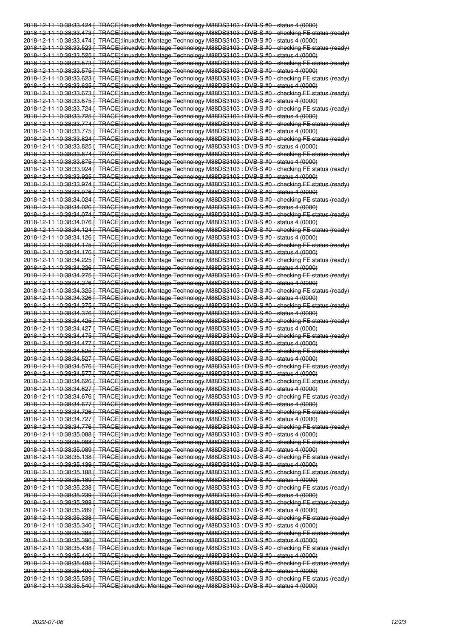2018-12-11 10:38:33.424 [ TRACE]:linuxdvb: Montage Technology M88DS3103 : DVB-S #0 - status 4 (0000) 2018-12-11 10:38:33.473 [ TRACE]:linuxdvb: Montage Technology M88DS3103 : DVB-S #0 - checking FE status (ready) 2018-12-11 10:38:33.474 [ TRACE]:linuxdvb: Montage Technology M88DS3103 : DVB-S #0 - status 4 (0000) 2018-12-11 10:38:33.523 [ TRACE]:linuxdvb: Montage Technology M88DS3103 : DVB-S #0 - checking FE status (ready) 2018-12-11 10:38:33.525 [ TRACE]:linuxdvb: Montage Technology M88DS3103 : DVB-S #0 - status 4 (0000) 2018-12-11 10:38:33.573 [ TRACE]:linuxdvb: Montage Technology M88DS3103 : DVB-S #0 - checking FE status (ready) 2018-12-11 10:38:33.575 [ TRACE]:linuxdvb: Montage Technology M88DS3103 : DVB-S #0 - status 4 (0000) 2018-12-11 10:38:33.623 [ TRACE]:linuxdvb: Montage Technology M88DS3103 : DVB-S #0 - checking FE status (ready) 2018-12-11 10:38:33.625 [ TRACE]:linuxdvb: Montage Technology M88DS3103 : DVB-S #0 - status 4 (0000) 2018-12-11 10:38:33.673 [ TRACE]:linuxdvb: Montage Technology M88DS3103 : DVB-S #0 - checking FE status (ready) 2018-12-11 10:38:33.675 [ TRACE]:linuxdvb: Montage Technology M88DS3103 : DVB-S #0 - status 4 (0000) 2018-12-11 10:38:33.724 [ TRACE]:linuxdvb: Montage Technology M88DS3103 : DVB-S #0 - checking FE status (ready) 2018-12-11 10:38:33.725 [ TRACE]:linuxdvb: Montage Technology M88DS3103 : DVB-S #0 - status 4 (0000) 2018-12-11 10:38:33.774 [ TRACE]:linuxdvb: Montage Technology M88DS3103 : DVB-S #0 - checking FE status (ready) 2018-12-11 10:38:33.775 [ TRACE]:linuxdvb: Montage Technology M88DS3103 : DVB-S #0 - status 4 (0000) 2018-12-11 10:38:33.824 [ TRACE]:linuxdvb: Montage Technology M88DS3103 : DVB-S #0 - checking FE status (ready) 2018-12-11 10:38:33.825 [ TRACE]:linuxdvb: Montage Technology M88DS3103 : DVB-S #0 - status 4 (0000) 2018-12-11 10:38:33.874 [ TRACE]:linuxdvb: Montage Technology M88DS3103 : DVB-S #0 - checking FE status (ready) 2018-12-11 10:38:33.875 [ TRACE]:linuxdvb: Montage Technology M88DS3103 : DVB-S #0 - status 4 (0000) 2018-12-11 10:38:33.924 [ TRACE]:linuxdvb: Montage Technology M88DS3103 : DVB-S #0 - checking FE status (ready) 2018-12-11 10:38:33.925 [ TRACE]:linuxdvb: Montage Technology M88DS3103 : DVB-S #0 - status 4 (0000) 2018-12-11 10:38:33.974 [ TRACE]:linuxdvb: Montage Technology M88DS3103 : DVB-S #0 - checking FE status (ready) 2018-12-11 10:38:33.976 [ TRACE]:linuxdvb: Montage Technology M88DS3103 : DVB-S #0 - status 4 (0000) 2018-12-11 10:38:34.024 [ TRACE]:linuxdvb: Montage Technology M88DS3103 : DVB-S #0 - checking FE status (ready) 2018-12-11 10:38:34.026 [ TRACE]:linuxdvb: Montage Technology M88DS3103 : DVB-S #0 - status 4 (0000) 2018-12-11 10:38:34.074 [ TRACE]:linuxdvb: Montage Technology M88DS3103 : DVB-S #0 - checking FE status (ready) 2018-12-11 10:38:34.076 [ TRACE]:linuxdvb: Montage Technology M88DS3103 : DVB-S #0 - status 4 (0000) 2018-12-11 10:38:34.124 [ TRACE]:linuxdvb: Montage Technology M88DS3103 : DVB-S #0 - checking FE status (ready) 2018-12-11 10:38:34.126 [ TRACE]:linuxdvb: Montage Technology M88DS3103 : DVB-S #0 - status 4 (0000) 2018-12-11 10:38:34.175 [ TRACE]:linuxdvb: Montage Technology M88DS3103 : DVB-S #0 - checking FE status (ready) 2018-12-11 10:38:34.176 [ TRACE]:linuxdvb: Montage Technology M88DS3103 : DVB-S #0 - status 4 (0000) 2018-12-11 10:38:34.225 [ TRACE]:linuxdvb: Montage Technology M88DS3103 : DVB-S #0 - checking FE status (ready) 2018-12-11 10:38:34.226 [ TRACE]:linuxdvb: Montage Technology M88DS3103 : DVB-S #0 - status 4 (0000) 2018-12-11 10:38:34.275 [ TRACE]:linuxdvb: Montage Technology M88DS3103 : DVB-S #0 - checking FE status (ready) 2018-12-11 10:38:34.276 [ TRACE]:linuxdvb: Montage Technology M88DS3103 : DVB-S #0 - status 4 (0000) 2018-12-11 10:38:34.325 [ TRACE]:linuxdvb: Montage Technology M88DS3103 : DVB-S #0 - checking FE status (ready) 2018-12-11 10:38:34.326 [ TRACE]:linuxdvb: Montage Technology M88DS3103 : DVB-S #0 - status 4 (0000) 2018-12-11 10:38:34.375 [ TRACE]:linuxdvb: Montage Technology M88DS3103 : DVB-S #0 - checking FE status (ready) 2018-12-11 10:38:34.376 [ TRACE]:linuxdvb: Montage Technology M88DS3103 : DVB-S #0 - status 4 (0000) 2018-12-11 10:38:34.425 [ TRACE]:linuxdvb: Montage Technology M88DS3103 : DVB-S #0 - checking FE status (ready) 2018-12-11 10:38:34.427 [ TRACE]:linuxdvb: Montage Technology M88DS3103 : DVB-S #0 - status 4 (0000) 2018-12-11 10:38:34.475 [ TRACE]:linuxdvb: Montage Technology M88DS3103 : DVB-S #0 - checking FE status (ready) 2018-12-11 10:38:34.477 [ TRACE]:linuxdvb: Montage Technology M88DS3103 : DVB-S #0 - status 4 (0000) 2018-12-11 10:38:34.525 [ TRACE]:linuxdvb: Montage Technology M88DS3103 : DVB-S #0 - checking FE status (ready) 2018-12-11 10:38:34.527 [ TRACE]:linuxdvb: Montage Technology M88DS3103 : DVB-S #0 - status 4 (0000) 2018-12-11 10:38:34.576 [ TRACE]:linuxdvb: Montage Technology M88DS3103 : DVB-S #0 - checking FE status (ready) 2018-12-11 10:38:34.577 [ TRACE]:linuxdvb: Montage Technology M88DS3103 : DVB-S #0 - status 4 (0000) 2018-12-11 10:38:34.626 [ TRACE]:linuxdvb: Montage Technology M88DS3103 : DVB-S #0 - checking FE status (ready) 2018-12-11 10:38:34.627 [ TRACE]:linuxdvb: Montage Technology M88DS3103 : DVB-S #0 - status 4 (0000) 2018-12-11 10:38:34.676 [ TRACE]:linuxdvb: Montage Technology M88DS3103 : DVB-S #0 - checking FE status (ready) 2018-12-11 10:38:34.677 [ TRACE]:linuxdvb: Montage Technology M88DS3103 : DVB-S #0 - status 4 (0000) 2018-12-11 10:38:34.726 [ TRACE]:linuxdvb: Montage Technology M88DS3103 : DVB-S #0 - checking FE status (ready) 2018-12-11 10:38:34.727 [ TRACE]:linuxdvb: Montage Technology M88DS3103 : DVB-S #0 - status 4 (0000) 2018-12-11 10:38:34.776 [ TRACE]:linuxdvb: Montage Technology M88DS3103 : DVB-S #0 - checking FE status (ready) 2018-12-11 10:38:35.088 [ TRACE]:linuxdvb: Montage Technology M88DS3103 : DVB-S #0 - status 4 (0000) 2018-12-11 10:38:35.088 [ TRACE]:linuxdvb: Montage Technology M88DS3103 : DVB-S #0 - checking FE status (ready) 2018-12-11 10:38:35.089 [ TRACE]:linuxdvb: Montage Technology M88DS3103 : DVB-S #0 - status 4 (0000) 2018-12-11 10:38:35.138 [ TRACE]:linuxdvb: Montage Technology M88DS3103 : DVB-S #0 - checking FE status (ready) 2018-12-11 10:38:35.139 [ TRACE]:linuxdvb: Montage Technology M88DS3103 : DVB-S #0 - status 4 (0000) 2018-12-11 10:38:35.188 [ TRACE]:linuxdvb: Montage Technology M88DS3103 : DVB-S #0 - checking FE status (ready) 2018-12-11 10:38:35.189 [ TRACE]:linuxdvb: Montage Technology M88DS3103 : DVB-S #0 - status 4 (0000) 2018-12-11 10:38:35.238 [ TRACE]:linuxdvb: Montage Technology M88DS3103 : DVB-S #0 - checking FE status (ready) 2018-12-11 10:38:35.239 [ TRACE]:linuxdvb: Montage Technology M88DS3103 : DVB-S #0 - status 4 (0000) 2018-12-11 10:38:35.288 [ TRACE]:linuxdvb: Montage Technology M88DS3103 : DVB-S #0 - checking FE status (ready) 2018-12-11 10:38:35.289 [ TRACE]:linuxdvb: Montage Technology M88DS3103 : DVB-S #0 - status 4 (0000) 2018-12-11 10:38:35.338 [ TRACE]:linuxdvb: Montage Technology M88DS3103 : DVB-S #0 - checking FE status (ready) 2018-12-11 10:38:35.340 [ TRACE]:linuxdvb: Montage Technology M88DS3103 : DVB-S #0 - status 4 (0000) 2018-12-11 10:38:35.388 [ TRACE]:linuxdvb: Montage Technology M88DS3103 : DVB-S #0 - checking FE status (ready) 2018-12-11 10:38:35.390 [ TRACE]:linuxdvb: Montage Technology M88DS3103 : DVB-S #0 - status 4 (0000) 2018-12-11 10:38:35.438 [ TRACE]:linuxdvb: Montage Technology M88DS3103 : DVB-S #0 - checking FE status (ready) 2018-12-11 10:38:35.440 [ TRACE]:linuxdvb: Montage Technology M88DS3103 : DVB-S #0 - status 4 (0000) 2018-12-11 10:38:35.488 [ TRACE]:linuxdvb: Montage Technology M88DS3103 : DVB-S #0 - checking FE status (ready) 2018-12-11 10:38:35.490 [ TRACE]:linuxdvb: Montage Technology M88DS3103 : DVB-S #0 - status 4 (0000) 2018-12-11 10:38:35.539 [ TRACE]:linuxdvb: Montage Technology M88DS3103 : DVB-S #0 - checking FE status (ready) 2018-12-11 10:38:35.540 [ TRACE]:linuxdvb: Montage Technology M88DS3103 : DVB-S #0 - status 4 (0000)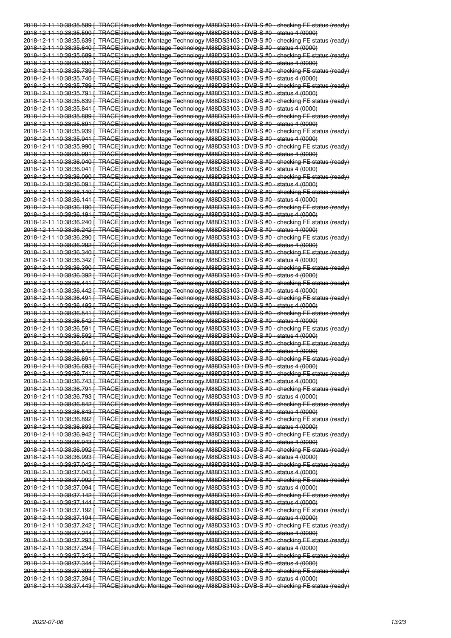| 2018-12-11 10:38:35.589   TRACE]:linuxdvb: Montage Technology M88DS3103 : DVB-S #0 - checking FE status (ready)                                                                                                     |  |
|---------------------------------------------------------------------------------------------------------------------------------------------------------------------------------------------------------------------|--|
|                                                                                                                                                                                                                     |  |
| 2018-12-11 10:38:35.590   TRACE]:linuxdvb: Montage Technology M88DS3103 : DVB-S #0 - status 4 (0000)                                                                                                                |  |
| 2018 12 11 10:38:35.639 [ TRACE]:linuxdvb: Montage Technology M88DS3103 : DVB S #0 checking FE status (ready)                                                                                                       |  |
| 2018-12-11 10:38:35.640   TRACE]:linuxdvb: Montage Technology M88DS3103 : DVB-S #0 - status 4 (0000)                                                                                                                |  |
| 2018-12-11 10:38:35.689   TRACE]:linuxdvb: Montage Technology M88DS3103 : DVB-S #0 - checking FE status (ready)                                                                                                     |  |
| 2018 12 11 10:38:35.690   TRACE]:linuxdvb: Montage Technology M88DS3103 : DVB S #0 status 4 (0000)                                                                                                                  |  |
|                                                                                                                                                                                                                     |  |
| <del>2018 12 11 10:38:35.739 [ TRACE]:linuxdvb: Montage Technology M88DS3103 : DVB S #0 - checking FE status (ready)</del>                                                                                          |  |
| 2018-12-11 10:38:35.740 [ TRACE]:linuxdvb: Montage Technology M88DS3103 : DVB-S #0 - status 4 (0000)                                                                                                                |  |
| 2018 12 11 10:38:35.789 [ TRACE]:linuxdvb: Montage Technology M88DS3103 : DVB S #0 checking FE status (ready)                                                                                                       |  |
| <u>2018 12 11 10:38:35.791 [_TRACE]:linuxdvb: Montage Technology M88DS3103 : DVB S #0_ status 4 (0000)</u>                                                                                                          |  |
|                                                                                                                                                                                                                     |  |
| 2018-12-11 10:38:35.839   TRACE]:linuxdvb: Montage Technology M88DS3103 : DVB-S #0 - checking FE status (ready)                                                                                                     |  |
| 2018 12 11 10:38:35.841 [ TRACE]:linuxdvb: Montage Technology M88DS3103 : DVB S #0 status 4 (0000)                                                                                                                  |  |
| 2018 12 11 10:38:35.889 [ TRACE]:linuxdvb: Montage Technology M88DS3103 : DVB S #0 checking FE status (ready)                                                                                                       |  |
| 2018-12-11 10:38:35.891   TRACE]:linuxdvb: Montage Technology M88DS3103 : DVB-S #0 - status 4 (0000)                                                                                                                |  |
| 2018 12 11 10:38:35.939 [ TRACE]:linuxdvb: Montage Technology M88DS3103 : DVB S #0 checking FE status (ready)                                                                                                       |  |
| <u>2018 12 11 10:38:35.941 [_TRACE]:linuxdvb: Montage Technology M88DS3103 : DVB S #0_ status 4 (0000)</u>                                                                                                          |  |
|                                                                                                                                                                                                                     |  |
| 2018-12-11 10:38:35.990   TRACE]:linuxdvb: Montage Technology M88DS3103 : DVB-S #0 - checking FE status (ready)                                                                                                     |  |
| 2018 12 11 10:38:35.991   TRACE]:linuxdvb: Montage Technology M88DS3103 : DVB S #0 status 4 (0000)                                                                                                                  |  |
| 2018 12 11 10:38:36.040 [ TRACE]:linuxdvb: Montage Technology M88DS3103 : DVB S #0 checking FE status (ready)                                                                                                       |  |
| 2018-12-11 10:38:36.041   TRACE]:linuxdvb: Montage Technology M88DS3103 : DVB-S #0 - status 4 (0000)                                                                                                                |  |
| 2018 12 11 10:38:36.090 [ TRACE]:linuxdvb: Montage Technology M88DS3103 : DVB S #0 checking FE status (ready)                                                                                                       |  |
|                                                                                                                                                                                                                     |  |
| <u>2018 12 11 10:38:36.091 [_TRACE]:linuxdvb: Montage Technology M88DS3103 : DVB S #0_ status 4 (0000)</u>                                                                                                          |  |
| <u>2018-12-11 10:38:36.140 [_TRACE]:linuxdvb: Montage Technology M88DS3103 : DVB-S #0 - checking FE status (ready)</u>                                                                                              |  |
| 2018-12-11 10:38:36.141   TRACE]:linuxdvb: Montage Technology M88DS3103 : DVB-S #0 - status 4 (0000)                                                                                                                |  |
| 2018 12 11 10:38:36.190   TRACE]:linuxdvb: Montage Technology M88DS3103 : DVB S #0 checking FE status (ready)                                                                                                       |  |
| 2018-12-11 10:38:36.191   TRACE]:linuxdvb: Montage Technology M88DS3103 : DVB-S #0 - status 4 (0000)                                                                                                                |  |
| 2018-12-11 10:38:36.240 [ TRACE]:linuxdvb: Montage Technology M88DS3103 : DVB-S #0 - checking FE status (ready)                                                                                                     |  |
|                                                                                                                                                                                                                     |  |
| <u>2018 12 11 10:38:36.242 [_TRACE]:linuxdvb: Montage Technology M88DS3103 : DVB S #0_ status 4 (0000)</u>                                                                                                          |  |
| 2018-12-11 10:38:36.290   TRACE]:linuxdvb: Montage Technology M88DS3103 : DVB-S #0 - checking FE status (ready)                                                                                                     |  |
| 2018-12-11 10:38:36.292   TRACE]:linuxdvb: Montage Technology M88DS3103 : DVB-S #0 - status 4 (0000)                                                                                                                |  |
| 2018 12 11 10:38:36.340 [ TRACE]:linuxdvb: Montage Technology M88DS3103 : DVB S #0 checking FE status (ready)                                                                                                       |  |
| 2018-12-11 10:38:36.342   TRACE]:linuxdvb: Montage Technology M88DS3103 : DVB-S #0 - status 4 (0000)                                                                                                                |  |
|                                                                                                                                                                                                                     |  |
| 2018-12-11 10:38:36.390   TRACE]:linuxdvb: Montage Technology M88DS3103 : DVB-S #0 - checking FE status (ready)                                                                                                     |  |
| <u>2018 12 11 10:38:36.392 [_TRACE]:linuxdvb: Montage Technology M88DS3103 : DVB S #0_ status 4 (0000)</u>                                                                                                          |  |
| 2018-12-11 10:38:36.441 [ TRACE]:linuxdvb: Montage Technology M88DS3103 : DVB-S #0 - checking FE status (ready)                                                                                                     |  |
| 2018-12-11 10:38:36.442   TRACE]:linuxdvb: Montage Technology M88DS3103 : DVB-S #0 - status 4 (0000)                                                                                                                |  |
| 2018 12 11 10:38:36.491 [ TRACE]:linuxdvb: Montage Technology M88DS3103 : DVB S #0 checking FE status (ready)                                                                                                       |  |
|                                                                                                                                                                                                                     |  |
|                                                                                                                                                                                                                     |  |
| 2018 12 11 10:38:36.492   TRACE]:linuxdvb: Montage Technology M88DS3103 : DVB S #0 status 4 (0000)                                                                                                                  |  |
| 2018-12-11 10:38:36.541 [ TRACE]:linuxdvb: Montage Technology M88DS3103 : DVB-S #0 - checking FE status (ready)                                                                                                     |  |
| 2018 12 11 10:38:36.542 [ TRACE]:linuxdvb: Montage Technology M88DS3103 : DVB S #0 status 4 (0000)                                                                                                                  |  |
|                                                                                                                                                                                                                     |  |
| 2018 12 11 10:38:36.591   TRACE]:linuxdvb: Montage Technology M88DS3103 : DVB S #0 checking FE status (ready)                                                                                                       |  |
| 2018-12-11 10:38:36.592   TRACE]:linuxdvb: Montage Technology M88DS3103 : DVB-S #0 - status 4 (0000)                                                                                                                |  |
| 2018 12 11 10:38:36.641 [ TRACE]:linuxdvb: Montage Technology M88DS3103 : DVB S #0 checking FE status (ready)                                                                                                       |  |
| 2018 12 11 10:38:36.642 [ TRACE]:linuxdvb: Montage Technology M88DS3103 : DVB S #0 status 4 (0000)                                                                                                                  |  |
| 2018-12-11 10:38:36.691   TRACE]:linuxdvb: Montage Technology M88DS3103 : DVB-S #0 - checking FE status (ready)                                                                                                     |  |
| 2018 12 11 10:38:36.693 [ TRACE]:linuxdvb: Montage Technology M88DS3103 : DVB S #0 status 4 (0000)                                                                                                                  |  |
|                                                                                                                                                                                                                     |  |
| 2018 12 11 10:38:36.741 [ TRACE]:linuxdvb: Montage Technology M88DS3103 : DVB S #0 checking FE status (ready)                                                                                                       |  |
| 2018-12-11 10:38:36.743 [ TRACE]:linuxdvb: Montage Technology M88DS3103 : DVB-S #0 - status 4 (0000)                                                                                                                |  |
| 2018 12 11 10:38:36.791 [ TRAGE]:linuxdvb: Montage Technology M88DS3103 : DVB S #0 checking FE status (ready)                                                                                                       |  |
| 2018 12 11 10:38:36.793 [ TRACE]:linuxdvb: Montage Technology M88DS3103 : DVB S #0 status 4 (0000)                                                                                                                  |  |
| 2018-12-11 10:38:36.842 [ TRACE]:linuxdvb: Montage Technology M88DS3103 : DVB-S #0 - checking FE status (ready)                                                                                                     |  |
| 2018-12-11 10:38:36.843 [ TRACE]:linuxdvb: Montage Technology M88DS3103 : DVB-S #0 - status 4 (0000)                                                                                                                |  |
|                                                                                                                                                                                                                     |  |
| 2018 12 11 10:38:36.892 [ TRACE]:linuxdvb: Montage Technology M88DS3103 : DVB S #0 checking FE status (ready)                                                                                                       |  |
| 2018-12-11 10:38:36.893   TRACE]:linuxdvb: Montage Technology M88DS3103 : DVB-S #0 - status 4 (0000)                                                                                                                |  |
| 2018-12-11 10:38:36.942   TRACE]:linuxdvb: Montage Technology M88DS3103 : DVB-S #0 - checking FE status (ready)                                                                                                     |  |
| 2018 12 11 10:38:36.943 [ TRACE]:linuxdvb: Montage Technology M88DS3103 : DVB S #0 status 4 (0000)                                                                                                                  |  |
| 2018-12-11 10:38:36.992   TRACE]:linuxdvb: Montage Technology M88DS3103 : DVB-S #0 - checking FE status (ready)                                                                                                     |  |
| 2018-12-11 10:38:36.993   TRACE   linuxdvb: Montage Technology M88DS3103 : DVB-S #0 - status 4 (0000)                                                                                                               |  |
|                                                                                                                                                                                                                     |  |
| 2018 12 11 10:38:37.042 [ TRACE]:linuxdvb: Montage Technology M88DS3103 : DVB S #0 checking FE status (ready)                                                                                                       |  |
| 2018-12-11 10:38:37.043   TRACE]:linuxdvb: Montage Technology M88DS3103 : DVB-S #0 - status 4 (0000)                                                                                                                |  |
| 2018-12-11 10:38:37.092   TRACE]:linuxdvb: Montage Technology M88DS3103 : DVB-S #0 - checking FE status (ready)                                                                                                     |  |
| 2018 12 11 10:38:37.094 [ TRACE]:linuxdvb: Montage Technology M88DS3103 : DVB S #0 status 4 (0000)                                                                                                                  |  |
| 2018-12-11 10:38:37.142   TRACE]:linuxdvb: Montage Technology M88DS3103 : DVB-S #0 - checking FE status (ready)                                                                                                     |  |
| 2018-12-11 10:38:37.144   TRACE]:linuxdvb: Montage Technology M88DS3103 : DVB-S #0 - status 4 (0000)                                                                                                                |  |
|                                                                                                                                                                                                                     |  |
| 2018 12 11 10:38:37.192 [ TRACE]:linuxdvb: Montage Technology M88DS3103 : DVB S #0 checking FE status (ready)                                                                                                       |  |
| 2018 12 11 10:38:37.194   TRACE]:linuxdvb: Montage Technology M88DS3103 : DVB S #0 status 4 (0000)                                                                                                                  |  |
| 2018-12-11 10:38:37.242 [ TRACE]:linuxdvb: Montage Technology M88DS3103 : DVB-S #0 - checking FE status (ready)                                                                                                     |  |
| 2018 12 11 10:38:37.244   TRACE]:linuxdvb: Montage Technology M88DS3103 : DVB S #0 status 4 (0000)                                                                                                                  |  |
| 2018 12 11 10:38:37.293   TRAGE]:linuxdvb: Montage Technology M88DS3103 : DVB S #0 checking FE status (ready)                                                                                                       |  |
| 2018-12-11 10:38:37.294   TRACE]:linuxdvb: Montage Technology M88DS3103 : DVB-S #0 - status 4 (0000)                                                                                                                |  |
|                                                                                                                                                                                                                     |  |
| 2018 12 11 10:38:37.343 [ TRACE]:linuxdvb: Montage Technology M88DS3103 : DVB S #0 checking FE status (ready)                                                                                                       |  |
| 2018 12 11 10:38:37.344   TRACE]:linuxdvb: Montage Technology M88DS3103 : DVB S #0 status 4 (0000)                                                                                                                  |  |
| 2018-12-11 10:38:37.393   TRACE]:linuxdvb: Montage Technology M88DS3103 : DVB-S #0 - checking FE status (ready)                                                                                                     |  |
| 2018 12 11 10:38:37.394 [ TRACE]:linuxdvb: Montage Technology M88DS3103 : DVB S #0 status 4 (0000)<br>2018 12 11 10:38:37.443 [ TRACE]:linuxdvb: Montage Technology M88DS3103 : DVB S #0 checking FE status (ready) |  |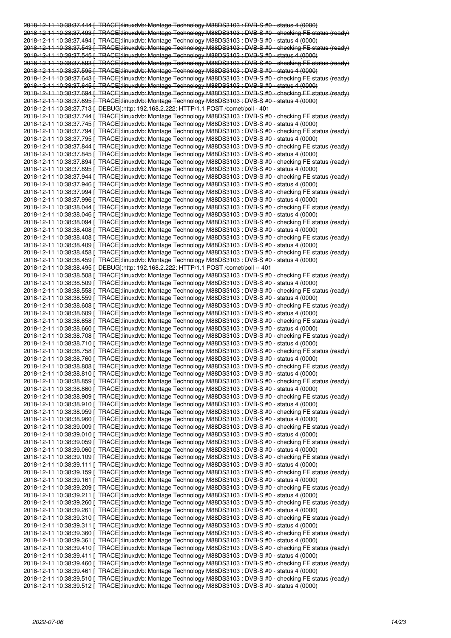2018-12-11 10:38:37.444 [ TRACE]:linuxdvb: Montage Technology M88DS3103 : DVB-S #0 - status 4 (0000) 2018-12-11 10:38:37.493 [ TRACE]:linuxdvb: Montage Technology M88DS3103 : DVB-S #0 - checking FE status (ready) 2018-12-11 10:38:37.494 [ TRACE]:linuxdvb: Montage Technology M88DS3103 : DVB-S #0 - status 4 (0000) 2018-12-11 10:38:37.543 [ TRACE]:linuxdvb: Montage Technology M88DS3103 : DVB-S #0 - checking FE status (ready) 2018-12-11 10:38:37.545 [ TRACE]:linuxdvb: Montage Technology M88DS3103 : DVB-S #0 - status 4 (0000) 2018-12-11 10:38:37.593 [ TRACE]:linuxdvb: Montage Technology M88DS3103 : DVB-S #0 - checking FE status (ready) 2018-12-11 10:38:37.595 [ TRACE]:linuxdvb: Montage Technology M88DS3103 : DVB-S #0 - status 4 (0000) 2018-12-11 10:38:37.643 [ TRACE]:linuxdvb: Montage Technology M88DS3103 : DVB-S #0 - checking FE status (ready) 2018-12-11 10:38:37.645 [ TRACE]:linuxdvb: Montage Technology M88DS3103 : DVB-S #0 - status 4 (0000) 2018-12-11 10:38:37.694 [ TRACE]:linuxdvb: Montage Technology M88DS3103 : DVB-S #0 - checking FE status (ready) 2018-12-11 10:38:37.695 [ TRACE]:linuxdvb: Montage Technology M88DS3103 : DVB-S #0 - status 4 (0000) 2018-12-11 10:38:37.713 [ DEBUG]:http: 192.168.2.222: HTTP/1.1 POST /comet/poll - 401 2018-12-11 10:38:37.744 [ TRACE]:linuxdvb: Montage Technology M88DS3103 : DVB-S #0 - checking FE status (ready) 2018-12-11 10:38:37.745 [ TRACE]:linuxdvb: Montage Technology M88DS3103 : DVB-S #0 - status 4 (0000) 2018-12-11 10:38:37.794 [ TRACE]:linuxdvb: Montage Technology M88DS3103 : DVB-S #0 - checking FE status (ready) 2018-12-11 10:38:37.795 [ TRACE]:linuxdvb: Montage Technology M88DS3103 : DVB-S #0 - status 4 (0000) 2018-12-11 10:38:37.844 [ TRACE]:linuxdvb: Montage Technology M88DS3103 : DVB-S #0 - checking FE status (ready) 2018-12-11 10:38:37.845 [ TRACE]:linuxdvb: Montage Technology M88DS3103 : DVB-S #0 - status 4 (0000) 2018-12-11 10:38:37.894 [ TRACE]:linuxdvb: Montage Technology M88DS3103 : DVB-S #0 - checking FE status (ready) 2018-12-11 10:38:37.895 [ TRACE]:linuxdvb: Montage Technology M88DS3103 : DVB-S #0 - status 4 (0000) 2018-12-11 10:38:37.944 [ TRACE]:linuxdvb: Montage Technology M88DS3103 : DVB-S #0 - checking FE status (ready) 2018-12-11 10:38:37.946 [ TRACE]:linuxdvb: Montage Technology M88DS3103 : DVB-S #0 - status 4 (0000) 2018-12-11 10:38:37.994 [ TRACE]:linuxdvb: Montage Technology M88DS3103 : DVB-S #0 - checking FE status (ready) 2018-12-11 10:38:37.996 [ TRACE]:linuxdvb: Montage Technology M88DS3103 : DVB-S #0 - status 4 (0000) 2018-12-11 10:38:38.044 [ TRACE]:linuxdvb: Montage Technology M88DS3103 : DVB-S #0 - checking FE status (ready) 2018-12-11 10:38:38.046 [ TRACE]:linuxdvb: Montage Technology M88DS3103 : DVB-S #0 - status 4 (0000) 2018-12-11 10:38:38.094 [ TRACE]:linuxdvb: Montage Technology M88DS3103 : DVB-S #0 - checking FE status (ready) 2018-12-11 10:38:38.408 [ TRACE]:linuxdvb: Montage Technology M88DS3103 : DVB-S #0 - status 4 (0000) 2018-12-11 10:38:38.408 [ TRACE]:linuxdvb: Montage Technology M88DS3103 : DVB-S #0 - checking FE status (ready) 2018-12-11 10:38:38.409 [ TRACE]:linuxdvb: Montage Technology M88DS3103 : DVB-S #0 - status 4 (0000) 2018-12-11 10:38:38.458 [ TRACE]:linuxdvb: Montage Technology M88DS3103 : DVB-S #0 - checking FE status (ready) 2018-12-11 10:38:38.459 [ TRACE]:linuxdvb: Montage Technology M88DS3103 : DVB-S #0 - status 4 (0000) 2018-12-11 10:38:38.495 [ DEBUG]:http: 192.168.2.222: HTTP/1.1 POST /comet/poll -- 401 2018-12-11 10:38:38.508 [ TRACE]:linuxdvb: Montage Technology M88DS3103 : DVB-S #0 - checking FE status (ready) 2018-12-11 10:38:38.509 [ TRACE]:linuxdvb: Montage Technology M88DS3103 : DVB-S #0 - status 4 (0000) 2018-12-11 10:38:38.558 [ TRACE]:linuxdvb: Montage Technology M88DS3103 : DVB-S #0 - checking FE status (ready) 2018-12-11 10:38:38.559 [ TRACE]:linuxdvb: Montage Technology M88DS3103 : DVB-S #0 - status 4 (0000) 2018-12-11 10:38:38.608 [ TRACE]:linuxdvb: Montage Technology M88DS3103 : DVB-S #0 - checking FE status (ready) 2018-12-11 10:38:38.609 [ TRACE]:linuxdvb: Montage Technology M88DS3103 : DVB-S #0 - status 4 (0000) 2018-12-11 10:38:38.658 [ TRACE]:linuxdvb: Montage Technology M88DS3103 : DVB-S #0 - checking FE status (ready) 2018-12-11 10:38:38.660 [ TRACE]:linuxdvb: Montage Technology M88DS3103 : DVB-S #0 - status 4 (0000) 2018-12-11 10:38:38.708 [ TRACE]:linuxdvb: Montage Technology M88DS3103 : DVB-S #0 - checking FE status (ready) 2018-12-11 10:38:38.710 [ TRACE]:linuxdvb: Montage Technology M88DS3103 : DVB-S #0 - status 4 (0000) 2018-12-11 10:38:38.758 [ TRACE]:linuxdvb: Montage Technology M88DS3103 : DVB-S #0 - checking FE status (ready) 2018-12-11 10:38:38.760 [ TRACE]:linuxdvb: Montage Technology M88DS3103 : DVB-S #0 - status 4 (0000) 2018-12-11 10:38:38.808 [ TRACE]:linuxdvb: Montage Technology M88DS3103 : DVB-S #0 - checking FE status (ready) 2018-12-11 10:38:38.810 [ TRACE]:linuxdvb: Montage Technology M88DS3103 : DVB-S #0 - status 4 (0000) 2018-12-11 10:38:38.859 [ TRACE]:linuxdvb: Montage Technology M88DS3103 : DVB-S #0 - checking FE status (ready) 2018-12-11 10:38:38.860 [ TRACE]:linuxdvb: Montage Technology M88DS3103 : DVB-S #0 - status 4 (0000) 2018-12-11 10:38:38.909 [ TRACE]:linuxdvb: Montage Technology M88DS3103 : DVB-S #0 - checking FE status (ready) 2018-12-11 10:38:38.910 [ TRACE]:linuxdvb: Montage Technology M88DS3103 : DVB-S #0 - status 4 (0000) 2018-12-11 10:38:38.959 [ TRACE]:linuxdvb: Montage Technology M88DS3103 : DVB-S #0 - checking FE status (ready) 2018-12-11 10:38:38.960 [ TRACE]:linuxdvb: Montage Technology M88DS3103 : DVB-S #0 - status 4 (0000) 2018-12-11 10:38:39.009 [ TRACE]:linuxdvb: Montage Technology M88DS3103 : DVB-S #0 - checking FE status (ready) 2018-12-11 10:38:39.010 [ TRACE]:linuxdvb: Montage Technology M88DS3103 : DVB-S #0 - status 4 (0000) 2018-12-11 10:38:39.059 [ TRACE]:linuxdvb: Montage Technology M88DS3103 : DVB-S #0 - checking FE status (ready) 2018-12-11 10:38:39.060 [ TRACE]:linuxdvb: Montage Technology M88DS3103 : DVB-S #0 - status 4 (0000) 2018-12-11 10:38:39.109 [ TRACE]:linuxdvb: Montage Technology M88DS3103 : DVB-S #0 - checking FE status (ready) 2018-12-11 10:38:39.111 [ TRACE]:linuxdvb: Montage Technology M88DS3103 : DVB-S #0 - status 4 (0000) 2018-12-11 10:38:39.159 [ TRACE]:linuxdvb: Montage Technology M88DS3103 : DVB-S #0 - checking FE status (ready) 2018-12-11 10:38:39.161 [ TRACE]:linuxdvb: Montage Technology M88DS3103 : DVB-S #0 - status 4 (0000) 2018-12-11 10:38:39.209 [ TRACE]:linuxdvb: Montage Technology M88DS3103 : DVB-S #0 - checking FE status (ready) 2018-12-11 10:38:39.211 [ TRACE]:linuxdvb: Montage Technology M88DS3103 : DVB-S #0 - status 4 (0000) 2018-12-11 10:38:39.260 [ TRACE]:linuxdvb: Montage Technology M88DS3103 : DVB-S #0 - checking FE status (ready) 2018-12-11 10:38:39.261 [ TRACE]:linuxdvb: Montage Technology M88DS3103 : DVB-S #0 - status 4 (0000) 2018-12-11 10:38:39.310 [ TRACE]:linuxdvb: Montage Technology M88DS3103 : DVB-S #0 - checking FE status (ready) 2018-12-11 10:38:39.311 [ TRACE]:linuxdvb: Montage Technology M88DS3103 : DVB-S #0 - status 4 (0000) 2018-12-11 10:38:39.360 [ TRACE]:linuxdvb: Montage Technology M88DS3103 : DVB-S #0 - checking FE status (ready) 2018-12-11 10:38:39.361 [ TRACE]:linuxdvb: Montage Technology M88DS3103 : DVB-S #0 - status 4 (0000) 2018-12-11 10:38:39.410 [ TRACE]:linuxdvb: Montage Technology M88DS3103 : DVB-S #0 - checking FE status (ready) 2018-12-11 10:38:39.411 [ TRACE]:linuxdvb: Montage Technology M88DS3103 : DVB-S #0 - status 4 (0000) 2018-12-11 10:38:39.460 [ TRACE]:linuxdvb: Montage Technology M88DS3103 : DVB-S #0 - checking FE status (ready) 2018-12-11 10:38:39.461 [ TRACE]:linuxdvb: Montage Technology M88DS3103 : DVB-S #0 - status 4 (0000) 2018-12-11 10:38:39.510 [ TRACE]:linuxdvb: Montage Technology M88DS3103 : DVB-S #0 - checking FE status (ready) 2018-12-11 10:38:39.512 [ TRACE]:linuxdvb: Montage Technology M88DS3103 : DVB-S #0 - status 4 (0000)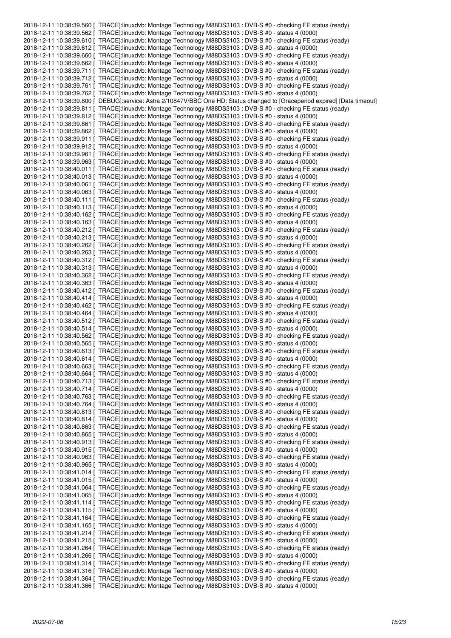2018-12-11 10:38:39.560 [ TRACE]:linuxdvb: Montage Technology M88DS3103 : DVB-S #0 - checking FE status (ready) 2018-12-11 10:38:39.562 [ TRACE]:linuxdvb: Montage Technology M88DS3103 : DVB-S #0 - status 4 (0000) 2018-12-11 10:38:39.610 [ TRACE]:linuxdvb: Montage Technology M88DS3103 : DVB-S #0 - checking FE status (ready) 2018-12-11 10:38:39.612 [ TRACE]:linuxdvb: Montage Technology M88DS3103 : DVB-S #0 - status 4 (0000) 2018-12-11 10:38:39.660 [ TRACE]:linuxdvb: Montage Technology M88DS3103 : DVB-S #0 - checking FE status (ready) 2018-12-11 10:38:39.662 [ TRACE]:linuxdvb: Montage Technology M88DS3103 : DVB-S #0 - status 4 (0000) 2018-12-11 10:38:39.711 [ TRACE]:linuxdvb: Montage Technology M88DS3103 : DVB-S #0 - checking FE status (ready) 2018-12-11 10:38:39.712 [ TRACE]:linuxdvb: Montage Technology M88DS3103 : DVB-S #0 - status 4 (0000) 2018-12-11 10:38:39.761 [ TRACE]:linuxdvb: Montage Technology M88DS3103 : DVB-S #0 - checking FE status (ready) 2018-12-11 10:38:39.762 [ TRACE]:linuxdvb: Montage Technology M88DS3103 : DVB-S #0 - status 4 (0000) 2018-12-11 10:38:39.800 [ DEBUG]:service: Astra 2/10847V/BBC One HD: Status changed to [Graceperiod expired] [Data timeout] 2018-12-11 10:38:39.811 [ TRACE]:linuxdvb: Montage Technology M88DS3103 : DVB-S #0 - checking FE status (ready) 2018-12-11 10:38:39.812 [ TRACE]:linuxdvb: Montage Technology M88DS3103 : DVB-S #0 - status 4 (0000) 2018-12-11 10:38:39.861 [ TRACE]:linuxdvb: Montage Technology M88DS3103 : DVB-S #0 - checking FE status (ready) 2018-12-11 10:38:39.862 [ TRACE]:linuxdvb: Montage Technology M88DS3103 : DVB-S #0 - status 4 (0000) 2018-12-11 10:38:39.911 [ TRACE]:linuxdvb: Montage Technology M88DS3103 : DVB-S #0 - checking FE status (ready) 2018-12-11 10:38:39.912 [ TRACE]:linuxdvb: Montage Technology M88DS3103 : DVB-S #0 - status 4 (0000) 2018-12-11 10:38:39.961 [ TRACE]:linuxdvb: Montage Technology M88DS3103 : DVB-S #0 - checking FE status (ready) 2018-12-11 10:38:39.963 [ TRACE]:linuxdvb: Montage Technology M88DS3103 : DVB-S #0 - status 4 (0000) 2018-12-11 10:38:40.011 [ TRACE]:linuxdvb: Montage Technology M88DS3103 : DVB-S #0 - checking FE status (ready) 2018-12-11 10:38:40.013 [ TRACE]:linuxdvb: Montage Technology M88DS3103 : DVB-S #0 - status 4 (0000) 2018-12-11 10:38:40.061 [ TRACE]:linuxdvb: Montage Technology M88DS3103 : DVB-S #0 - checking FE status (ready) 2018-12-11 10:38:40.063 [ TRACE]:linuxdvb: Montage Technology M88DS3103 : DVB-S #0 - status 4 (0000) 2018-12-11 10:38:40.111 [ TRACE]:linuxdvb: Montage Technology M88DS3103 : DVB-S #0 - checking FE status (ready) 2018-12-11 10:38:40.113 [ TRACE]:linuxdvb: Montage Technology M88DS3103 : DVB-S #0 - status 4 (0000) 2018-12-11 10:38:40.162 [ TRACE]:linuxdvb: Montage Technology M88DS3103 : DVB-S #0 - checking FE status (ready) 2018-12-11 10:38:40.163 [ TRACE]:linuxdvb: Montage Technology M88DS3103 : DVB-S #0 - status 4 (0000) 2018-12-11 10:38:40.212 [ TRACE]:linuxdvb: Montage Technology M88DS3103 : DVB-S #0 - checking FE status (ready) 2018-12-11 10:38:40.213 [ TRACE]:linuxdvb: Montage Technology M88DS3103 : DVB-S #0 - status 4 (0000) 2018-12-11 10:38:40.262 [ TRACE]:linuxdvb: Montage Technology M88DS3103 : DVB-S #0 - checking FE status (ready) 2018-12-11 10:38:40.263 [ TRACE]:linuxdvb: Montage Technology M88DS3103 : DVB-S #0 - status 4 (0000) 2018-12-11 10:38:40.312 [ TRACE]:linuxdvb: Montage Technology M88DS3103 : DVB-S #0 - checking FE status (ready) 2018-12-11 10:38:40.313 [ TRACE]:linuxdvb: Montage Technology M88DS3103 : DVB-S #0 - status 4 (0000) 2018-12-11 10:38:40.362 [ TRACE]:linuxdvb: Montage Technology M88DS3103 : DVB-S #0 - checking FE status (ready) 2018-12-11 10:38:40.363 [ TRACE]:linuxdvb: Montage Technology M88DS3103 : DVB-S #0 - status 4 (0000) 2018-12-11 10:38:40.412 [ TRACE]:linuxdvb: Montage Technology M88DS3103 : DVB-S #0 - checking FE status (ready) 2018-12-11 10:38:40.414 [ TRACE]:linuxdvb: Montage Technology M88DS3103 : DVB-S #0 - status 4 (0000) 2018-12-11 10:38:40.462 [ TRACE]:linuxdvb: Montage Technology M88DS3103 : DVB-S #0 - checking FE status (ready) 2018-12-11 10:38:40.464 [ TRACE]:linuxdvb: Montage Technology M88DS3103 : DVB-S #0 - status 4 (0000) 2018-12-11 10:38:40.512 [ TRACE]:linuxdvb: Montage Technology M88DS3103 : DVB-S #0 - checking FE status (ready) 2018-12-11 10:38:40.514 [ TRACE]:linuxdvb: Montage Technology M88DS3103 : DVB-S #0 - status 4 (0000) 2018-12-11 10:38:40.562 [ TRACE]:linuxdvb: Montage Technology M88DS3103 : DVB-S #0 - checking FE status (ready) 2018-12-11 10:38:40.565 [ TRACE]:linuxdvb: Montage Technology M88DS3103 : DVB-S #0 - status 4 (0000) 2018-12-11 10:38:40.613 [ TRACE]:linuxdvb: Montage Technology M88DS3103 : DVB-S #0 - checking FE status (ready) 2018-12-11 10:38:40.614 [ TRACE]:linuxdvb: Montage Technology M88DS3103 : DVB-S #0 - status 4 (0000) 2018-12-11 10:38:40.663 [ TRACE]:linuxdvb: Montage Technology M88DS3103 : DVB-S #0 - checking FE status (ready) 2018-12-11 10:38:40.664 [ TRACE]:linuxdvb: Montage Technology M88DS3103 : DVB-S #0 - status 4 (0000) 2018-12-11 10:38:40.713 [ TRACE]:linuxdvb: Montage Technology M88DS3103 : DVB-S #0 - checking FE status (ready) 2018-12-11 10:38:40.714 [ TRACE]:linuxdvb: Montage Technology M88DS3103 : DVB-S #0 - status 4 (0000) 2018-12-11 10:38:40.763 [ TRACE]:linuxdvb: Montage Technology M88DS3103 : DVB-S #0 - checking FE status (ready) 2018-12-11 10:38:40.764 [ TRACE]:linuxdvb: Montage Technology M88DS3103 : DVB-S #0 - status 4 (0000) 2018-12-11 10:38:40.813 [ TRACE]:linuxdvb: Montage Technology M88DS3103 : DVB-S #0 - checking FE status (ready) 2018-12-11 10:38:40.814 [ TRACE]:linuxdvb: Montage Technology M88DS3103 : DVB-S #0 - status 4 (0000) 2018-12-11 10:38:40.863 [ TRACE]:linuxdvb: Montage Technology M88DS3103 : DVB-S #0 - checking FE status (ready) 2018-12-11 10:38:40.865 [ TRACE]:linuxdvb: Montage Technology M88DS3103 : DVB-S #0 - status 4 (0000) 2018-12-11 10:38:40.913 [ TRACE]:linuxdvb: Montage Technology M88DS3103 : DVB-S #0 - checking FE status (ready) 2018-12-11 10:38:40.915 [ TRACE]:linuxdvb: Montage Technology M88DS3103 : DVB-S #0 - status 4 (0000) 2018-12-11 10:38:40.963 [ TRACE]:linuxdvb: Montage Technology M88DS3103 : DVB-S #0 - checking FE status (ready) 2018-12-11 10:38:40.965 [ TRACE]:linuxdvb: Montage Technology M88DS3103 : DVB-S #0 - status 4 (0000) 2018-12-11 10:38:41.014 [ TRACE]:linuxdvb: Montage Technology M88DS3103 : DVB-S #0 - checking FE status (ready) 2018-12-11 10:38:41.015 [ TRACE]:linuxdvb: Montage Technology M88DS3103 : DVB-S #0 - status 4 (0000) 2018-12-11 10:38:41.064 [ TRACE]:linuxdvb: Montage Technology M88DS3103 : DVB-S #0 - checking FE status (ready) 2018-12-11 10:38:41.065 [ TRACE]:linuxdvb: Montage Technology M88DS3103 : DVB-S #0 - status 4 (0000) 2018-12-11 10:38:41.114 [ TRACE]:linuxdvb: Montage Technology M88DS3103 : DVB-S #0 - checking FE status (ready) 2018-12-11 10:38:41.115 [ TRACE]:linuxdvb: Montage Technology M88DS3103 : DVB-S #0 - status 4 (0000) 2018-12-11 10:38:41.164 [ TRACE]:linuxdvb: Montage Technology M88DS3103 : DVB-S #0 - checking FE status (ready) 2018-12-11 10:38:41.165 [ TRACE]:linuxdvb: Montage Technology M88DS3103 : DVB-S #0 - status 4 (0000) 2018-12-11 10:38:41.214 [ TRACE]:linuxdvb: Montage Technology M88DS3103 : DVB-S #0 - checking FE status (ready) 2018-12-11 10:38:41.215 [ TRACE]:linuxdvb: Montage Technology M88DS3103 : DVB-S #0 - status 4 (0000) 2018-12-11 10:38:41.264 [ TRACE]:linuxdvb: Montage Technology M88DS3103 : DVB-S #0 - checking FE status (ready) 2018-12-11 10:38:41.266 [ TRACE]:linuxdvb: Montage Technology M88DS3103 : DVB-S #0 - status 4 (0000) 2018-12-11 10:38:41.314 [ TRACE]:linuxdvb: Montage Technology M88DS3103 : DVB-S #0 - checking FE status (ready) 2018-12-11 10:38:41.316 [ TRACE]:linuxdvb: Montage Technology M88DS3103 : DVB-S #0 - status 4 (0000) 2018-12-11 10:38:41.364 [ TRACE]:linuxdvb: Montage Technology M88DS3103 : DVB-S #0 - checking FE status (ready) 2018-12-11 10:38:41.366 [ TRACE]:linuxdvb: Montage Technology M88DS3103 : DVB-S #0 - status 4 (0000)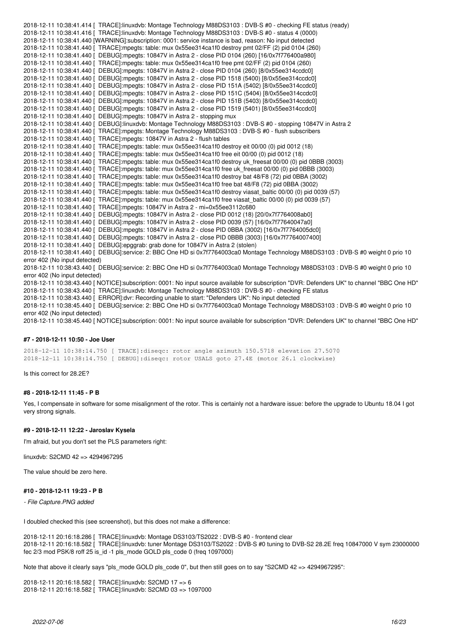2018-12-11 10:38:41.414 [ TRACE]:linuxdvb: Montage Technology M88DS3103 : DVB-S #0 - checking FE status (ready) 2018-12-11 10:38:41.416 [ TRACE]:linuxdvb: Montage Technology M88DS3103 : DVB-S #0 - status 4 (0000) 2018-12-11 10:38:41.440 [WARNING]:subscription: 0001: service instance is bad, reason: No input detected 2018-12-11 10:38:41.440 [ TRACE]:mpegts: table: mux 0x55ee314ca1f0 destroy pmt 02/FF (2) pid 0104 (260) 2018-12-11 10:38:41.440 [ DEBUG]:mpegts: 10847V in Astra 2 - close PID 0104 (260) [16/0x7f776400a980] 2018-12-11 10:38:41.440 [ TRACE]:mpegts: table: mux 0x55ee314ca1f0 free pmt 02/FF (2) pid 0104 (260) 2018-12-11 10:38:41.440 [ DEBUG]:mpegts: 10847V in Astra 2 - close PID 0104 (260) [8/0x55ee314ccdc0] 2018-12-11 10:38:41.440 [ DEBUG]:mpegts: 10847V in Astra 2 - close PID 1518 (5400) [8/0x55ee314ccdc0] 2018-12-11 10:38:41.440 [ DEBUG]:mpegts: 10847V in Astra 2 - close PID 151A (5402) [8/0x55ee314ccdc0] 2018-12-11 10:38:41.440 [ DEBUG]:mpegts: 10847V in Astra 2 - close PID 151C (5404) [8/0x55ee314ccdc0] 2018-12-11 10:38:41.440 [ DEBUG]:mpegts: 10847V in Astra 2 - close PID 151B (5403) [8/0x55ee314ccdc0] 2018-12-11 10:38:41.440 [ DEBUG]:mpegts: 10847V in Astra 2 - close PID 1519 (5401) [8/0x55ee314ccdc0] 2018-12-11 10:38:41.440 [ DEBUG]:mpegts: 10847V in Astra 2 - stopping mux 2018-12-11 10:38:41.440 [ DEBUG]:linuxdvb: Montage Technology M88DS3103 : DVB-S #0 - stopping 10847V in Astra 2 2018-12-11 10:38:41.440 [ TRACE]:mpegts: Montage Technology M88DS3103 : DVB-S #0 - flush subscribers 2018-12-11 10:38:41.440 [ TRACE]:mpegts: 10847V in Astra 2 - flush tables 2018-12-11 10:38:41.440 [ TRACE]:mpegts: table: mux 0x55ee314ca1f0 destroy eit 00/00 (0) pid 0012 (18) 2018-12-11 10:38:41.440 [ TRACE]:mpegts: table: mux 0x55ee314ca1f0 free eit 00/00 (0) pid 0012 (18) 2018-12-11 10:38:41.440 [ TRACE]:mpegts: table: mux 0x55ee314ca1f0 destroy uk\_freesat 00/00 (0) pid 0BBB (3003) 2018-12-11 10:38:41.440 [ TRACE]:mpegts: table: mux 0x55ee314ca1f0 free uk\_freesat 00/00 (0) pid 0BBB (3003) 2018-12-11 10:38:41.440 [ TRACE]:mpegts: table: mux 0x55ee314ca1f0 destroy bat 48/F8 (72) pid 0BBA (3002) 2018-12-11 10:38:41.440 [ TRACE]:mpegts: table: mux 0x55ee314ca1f0 free bat 48/F8 (72) pid 0BBA (3002) 2018-12-11 10:38:41.440 [ TRACE]:mpegts: table: mux 0x55ee314ca1f0 destroy viasat\_baltic 00/00 (0) pid 0039 (57) 2018-12-11 10:38:41.440 [ TRACE]:mpegts: table: mux 0x55ee314ca1f0 free viasat\_baltic 00/00 (0) pid 0039 (57) 2018-12-11 10:38:41.440 [ TRACE]:mpegts: 10847V in Astra 2 - mi=0x55ee3112c680 2018-12-11 10:38:41.440 [ DEBUG]:mpegts: 10847V in Astra 2 - close PID 0012 (18) [20/0x7f7764008ab0] 2018-12-11 10:38:41.440 [ DEBUG]:mpegts: 10847V in Astra 2 - close PID 0039 (57) [16/0x7f77640047a0] 2018-12-11 10:38:41.440 [ DEBUG]:mpegts: 10847V in Astra 2 - close PID 0BBA (3002) [16/0x7f7764005dc0] 2018-12-11 10:38:41.440 [ DEBUG]:mpegts: 10847V in Astra 2 - close PID 0BBB (3003) [16/0x7f7764007400] 2018-12-11 10:38:41.440 [ DEBUG]:epggrab: grab done for 10847V in Astra 2 (stolen) 2018-12-11 10:38:41.440 [ DEBUG]:service: 2: BBC One HD si 0x7f7764003ca0 Montage Technology M88DS3103 : DVB-S #0 weight 0 prio 10 error 402 (No input detected) 2018-12-11 10:38:43.440 [ DEBUG]:service: 2: BBC One HD si 0x7f7764003ca0 Montage Technology M88DS3103 : DVB-S #0 weight 0 prio 10 error 402 (No input detected) 2018-12-11 10:38:43.440 [ NOTICE]:subscription: 0001: No input source available for subscription "DVR: Defenders UK" to channel "BBC One HD" 2018-12-11 10:38:43.440 [ TRACE]:linuxdvb: Montage Technology M88DS3103 : DVB-S #0 - checking FE status 2018-12-11 10:38:43.440 [ ERROR]:dvr: Recording unable to start: "Defenders UK": No input detected 2018-12-11 10:38:45.440 [ DEBUG]:service: 2: BBC One HD si 0x7f7764003ca0 Montage Technology M88DS3103 : DVB-S #0 weight 0 prio 10 error 402 (No input detected) 2018-12-11 10:38:45.440 [ NOTICE]:subscription: 0001: No input source available for subscription "DVR: Defenders UK" to channel "BBC One HD"

#### **#7 - 2018-12-11 10:50 - Joe User**

2018-12-11 10:38:14.750 [ TRACE]:diseqc: rotor angle azimuth 150.5718 elevation 27.5070 2018-12-11 10:38:14.750 [ DEBUG]:diseqc: rotor USALS goto 27.4E (motor 26.1 clockwise)

Is this correct for 28.2E?

#### **#8 - 2018-12-11 11:45 - P B**

Yes, I compensate in software for some misalignment of the rotor. This is certainly not a hardware issue: before the upgrade to Ubuntu 18.04 I got very strong signals.

#### **#9 - 2018-12-11 12:22 - Jaroslav Kysela**

I'm afraid, but you don't set the PLS parameters right:

linuxdvb: S2CMD 42 => 4294967295

The value should be zero here.

#### **#10 - 2018-12-11 19:23 - P B**

*- File Capture.PNG added*

I doubled checked this (see screenshot), but this does not make a difference:

2018-12-11 20:16:18.286 [ TRACE]:linuxdvb: Montage DS3103/TS2022 : DVB-S #0 - frontend clear 2018-12-11 20:16:18.582 [ TRACE]:linuxdvb: tuner Montage DS3103/TS2022 : DVB-S #0 tuning to DVB-S2 28.2E freq 10847000 V sym 23000000 fec 2/3 mod PSK/8 roff 25 is\_id -1 pls\_mode GOLD pls\_code 0 (freq 1097000)

Note that above it clearly says "pls\_mode GOLD pls\_code 0", but then still goes on to say "S2CMD 42 => 4294967295":

2018-12-11 20:16:18.582 [ TRACE]:linuxdvb: S2CMD 17 => 6 2018-12-11 20:16:18.582 [ TRACE]:linuxdvb: S2CMD 03 => 1097000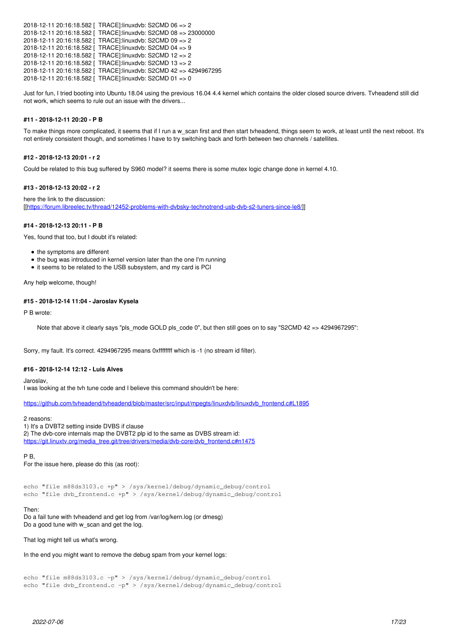```
2018-12-11 20:16:18.582 [ TRACE]:linuxdvb: S2CMD 06 => 2
2018-12-11 20:16:18.582 [ TRACE]:linuxdvb: S2CMD 08 => 23000000
2018-12-11 20:16:18.582 [ TRACE]:linuxdvb: S2CMD 09 => 2
2018-12-11 20:16:18.582 [ TRACE]:linuxdvb: S2CMD 04 => 9
2018-12-11 20:16:18.582 [ TRACE]:linuxdvb: S2CMD 12 => 2
2018-12-11 20:16:18.582 [ TRACE]:linuxdvb: S2CMD 13 => 2
2018-12-11 20:16:18.582 [ TRACE]:linuxdvb: S2CMD 42 => 4294967295
2018-12-11 20:16:18.582 [ TRACE]:linuxdvb: S2CMD 01 => 0
```
Just for fun, I tried booting into Ubuntu 18.04 using the previous 16.04 4.4 kernel which contains the older closed source drivers. Tvheadend still did not work, which seems to rule out an issue with the drivers...

# **#11 - 2018-12-11 20:20 - P B**

To make things more complicated, it seems that if I run a w\_scan first and then start tvheadend, things seem to work, at least until the next reboot. It's not entirely consistent though, and sometimes I have to try switching back and forth between two channels / satellites.

## **#12 - 2018-12-13 20:01 - r 2**

Could be related to this bug suffered by S960 model? it seems there is some mutex logic change done in kernel 4.10.

#### **#13 - 2018-12-13 20:02 - r 2**

here the link to the discussion: [[[https://forum.libreelec.tv/thread/12452-problems-with-dvbsky-technotrend-usb-dvb-s2-tuners-since-le8/\]](https://forum.libreelec.tv/thread/12452-problems-with-dvbsky-technotrend-usb-dvb-s2-tuners-since-le8/)]

#### **#14 - 2018-12-13 20:11 - P B**

Yes, found that too, but I doubt it's related:

- the symptoms are different
- the bug was introduced in kernel version later than the one I'm running
- it seems to be related to the USB subsystem, and my card is PCI

Any help welcome, though!

#### **#15 - 2018-12-14 11:04 - Jaroslav Kysela**

P B wrote:

Note that above it clearly says "pls\_mode GOLD pls\_code 0", but then still goes on to say "S2CMD 42 => 4294967295":

Sorry, my fault. It's correct. 4294967295 means 0xffffffff which is -1 (no stream id filter).

#### **#16 - 2018-12-14 12:12 - Luis Alves**

Jaroslav,

I was looking at the tvh tune code and I believe this command shouldn't be here:

[https://github.com/tvheadend/tvheadend/blob/master/src/input/mpegts/linuxdvb/linuxdvb\\_frontend.c#L1895](https://github.com/tvheadend/tvheadend/blob/master/src/input/mpegts/linuxdvb/linuxdvb_frontend.c#L1895)

2 reasons:

1) It's a DVBT2 setting inside DVBS if clause

2) The dvb-core internals map the DVBT2 plp id to the same as DVBS stream id: [https://git.linuxtv.org/media\\_tree.git/tree/drivers/media/dvb-core/dvb\\_frontend.c#n1475](https://git.linuxtv.org/media_tree.git/tree/drivers/media/dvb-core/dvb_frontend.c#n1475)

#### P B,

For the issue here, please do this (as root):

echo "file m88ds3103.c +p" > /sys/kernel/debug/dynamic\_debug/control echo "file dvb\_frontend.c +p" > /sys/kernel/debug/dynamic\_debug/control

#### Then:

Do a fail tune with tvheadend and get log from /var/log/kern.log (or dmesg) Do a good tune with w scan and get the log.

That log might tell us what's wrong.

In the end you might want to remove the debug spam from your kernel logs:

echo "file m88ds3103.c -p" > /sys/kernel/debug/dynamic\_debug/control echo "file dvb\_frontend.c -p" > /sys/kernel/debug/dynamic\_debug/control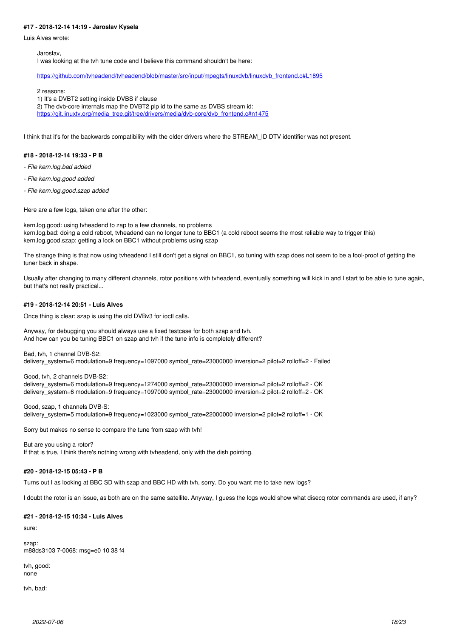# **#17 - 2018-12-14 14:19 - Jaroslav Kysela**

Luis Alves wrote:

Jaroslav,

I was looking at the tvh tune code and I believe this command shouldn't be here:

[https://github.com/tvheadend/tvheadend/blob/master/src/input/mpegts/linuxdvb/linuxdvb\\_frontend.c#L1895](https://github.com/tvheadend/tvheadend/blob/master/src/input/mpegts/linuxdvb/linuxdvb_frontend.c#L1895)

2 reasons:

1) It's a DVBT2 setting inside DVBS if clause

2) The dvb-core internals map the DVBT2 plp id to the same as DVBS stream id:

https://git.linuxty.org/media\_tree.git/tree/drivers/media/dvb-core/dvb\_frontend.c#n1475

I think that it's for the backwards compatibility with the older drivers where the STREAM\_ID DTV identifier was not present.

#### **#18 - 2018-12-14 19:33 - P B**

- *File kern.log.bad added*
- *File kern.log.good added*
- *File kern.log.good.szap added*

Here are a few logs, taken one after the other:

kern.log.good: using tvheadend to zap to a few channels, no problems kern.log.bad: doing a cold reboot, tvheadend can no longer tune to BBC1 (a cold reboot seems the most reliable way to trigger this) kern.log.good.szap: getting a lock on BBC1 without problems using szap

The strange thing is that now using tvheadend I still don't get a signal on BBC1, so tuning with szap does not seem to be a fool-proof of getting the tuner back in shape.

Usually after changing to many different channels, rotor positions with tvheadend, eventually something will kick in and I start to be able to tune again, but that's not really practical...

#### **#19 - 2018-12-14 20:51 - Luis Alves**

Once thing is clear: szap is using the old DVBv3 for ioctl calls.

Anyway, for debugging you should always use a fixed testcase for both szap and tvh. And how can you be tuning BBC1 on szap and tvh if the tune info is completely different?

Bad, tvh, 1 channel DVB-S2: delivery\_system=6 modulation=9 frequency=1097000 symbol\_rate=23000000 inversion=2 pilot=2 rolloff=2 - Failed

Good, tvh, 2 channels DVB-S2: delivery\_system=6 modulation=9 frequency=1274000 symbol\_rate=23000000 inversion=2 pilot=2 rolloff=2 - OK delivery\_system=6 modulation=9 frequency=1097000 symbol\_rate=23000000 inversion=2 pilot=2 rolloff=2 - OK

Good, szap, 1 channels DVB-S: delivery\_system=5 modulation=9 frequency=1023000 symbol\_rate=22000000 inversion=2 pilot=2 rolloff=1 - OK

Sorry but makes no sense to compare the tune from szap with tvh!

But are you using a rotor? If that is true, I think there's nothing wrong with tvheadend, only with the dish pointing.

#### **#20 - 2018-12-15 05:43 - P B**

Turns out I as looking at BBC SD with szap and BBC HD with tvh, sorry. Do you want me to take new logs?

I doubt the rotor is an issue, as both are on the same satellite. Anyway, I guess the logs would show what disecq rotor commands are used, if any?

#### **#21 - 2018-12-15 10:34 - Luis Alves**

sure:

szap: m88ds3103 7-0068: msg=e0 10 38 f4

tvh, good: none

tvh, bad: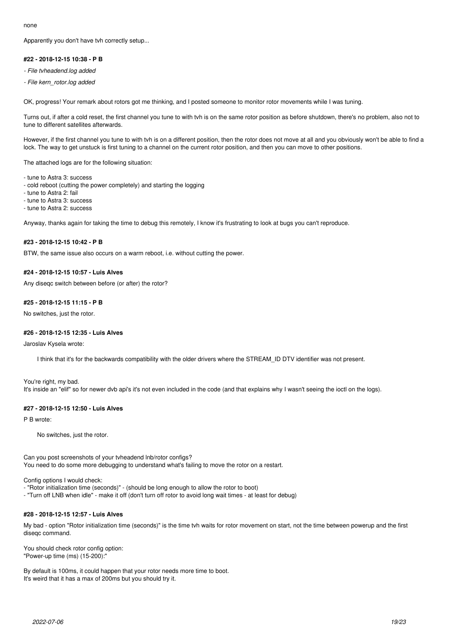none

Apparently you don't have tvh correctly setup...

## **#22 - 2018-12-15 10:38 - P B**

*- File tvheadend.log added*

*- File kern\_rotor.log added*

OK, progress! Your remark about rotors got me thinking, and I posted someone to monitor rotor movements while I was tuning.

Turns out, if after a cold reset, the first channel you tune to with tvh is on the same rotor position as before shutdown, there's no problem, also not to tune to different satellites afterwards.

However, if the first channel you tune to with tvh is on a different position, then the rotor does not move at all and you obviously won't be able to find a lock. The way to get unstuck is first tuning to a channel on the current rotor position, and then you can move to other positions.

The attached logs are for the following situation:

- tune to Astra 3: success
- cold reboot (cutting the power completely) and starting the logging
- tune to Astra 2: fail
- tune to Astra 3: success
- tune to Astra 2: success

Anyway, thanks again for taking the time to debug this remotely, I know it's frustrating to look at bugs you can't reproduce.

#### **#23 - 2018-12-15 10:42 - P B**

BTW, the same issue also occurs on a warm reboot, i.e. without cutting the power.

## **#24 - 2018-12-15 10:57 - Luis Alves**

Any diseqc switch between before (or after) the rotor?

# **#25 - 2018-12-15 11:15 - P B**

No switches, just the rotor.

### **#26 - 2018-12-15 12:35 - Luis Alves**

#### Jaroslav Kysela wrote:

I think that it's for the backwards compatibility with the older drivers where the STREAM\_ID DTV identifier was not present.

You're right, my bad. It's inside an "elif" so for newer dvb api's it's not even included in the code (and that explains why I wasn't seeing the ioctl on the logs).

#### **#27 - 2018-12-15 12:50 - Luis Alves**

P B wrote:

No switches, just the rotor.

Can you post screenshots of your tvheadend lnb/rotor configs? You need to do some more debugging to understand what's failing to move the rotor on a restart.

Config options I would check:

- "Rotor initialization time (seconds)" (should be long enough to allow the rotor to boot)
- "Turn off LNB when idle" make it off (don't turn off rotor to avoid long wait times at least for debug)

# **#28 - 2018-12-15 12:57 - Luis Alves**

My bad - option "Rotor initialization time (seconds)" is the time tvh waits for rotor movement on start, not the time between powerup and the first diseqc command.

You should check rotor config option: "Power-up time (ms) (15-200):"

By default is 100ms, it could happen that your rotor needs more time to boot. It's weird that it has a max of 200ms but you should try it.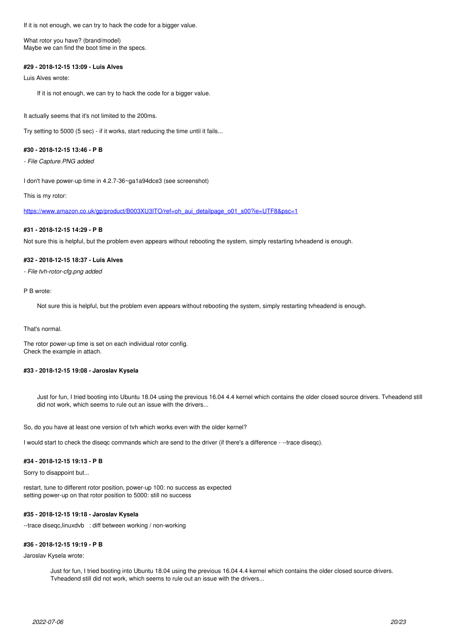If it is not enough, we can try to hack the code for a bigger value.

What rotor you have? (brand/model) Maybe we can find the boot time in the specs.

### **#29 - 2018-12-15 13:09 - Luis Alves**

Luis Alves wrote:

If it is not enough, we can try to hack the code for a bigger value.

It actually seems that it's not limited to the 200ms.

Try setting to 5000 (5 sec) - if it works, start reducing the time until it fails...

### **#30 - 2018-12-15 13:46 - P B**

*- File Capture.PNG added*

I don't have power-up time in 4.2.7-36~ga1a94dce3 (see screenshot)

This is my rotor:

[https://www.amazon.co.uk/gp/product/B003XU3ITO/ref=oh\\_aui\\_detailpage\\_o01\\_s00?ie=UTF8&psc=1](https://www.amazon.co.uk/gp/product/B003XU3ITO/ref=oh_aui_detailpage_o01_s00?ie=UTF8&psc=1)

# **#31 - 2018-12-15 14:29 - P B**

Not sure this is helpful, but the problem even appears without rebooting the system, simply restarting tvheadend is enough.

### **#32 - 2018-12-15 18:37 - Luis Alves**

*- File tvh-rotor-cfg.png added*

#### P B wrote:

Not sure this is helpful, but the problem even appears without rebooting the system, simply restarting tvheadend is enough.

#### That's normal.

The rotor power-up time is set on each individual rotor config. Check the example in attach.

# **#33 - 2018-12-15 19:08 - Jaroslav Kysela**

Just for fun, I tried booting into Ubuntu 18.04 using the previous 16.04 4.4 kernel which contains the older closed source drivers. Tvheadend still did not work, which seems to rule out an issue with the drivers...

So, do you have at least one version of tvh which works even with the older kernel?

I would start to check the diseqc commands which are send to the driver (if there's a difference - --trace diseqc).

# **#34 - 2018-12-15 19:13 - P B**

Sorry to disappoint but...

restart, tune to different rotor position, power-up 100: no success as expected setting power-up on that rotor position to 5000: still no success

### **#35 - 2018-12-15 19:18 - Jaroslav Kysela**

--trace diseqc,linuxdvb : diff between working / non-working

### **#36 - 2018-12-15 19:19 - P B**

Jaroslav Kysela wrote:

Just for fun, I tried booting into Ubuntu 18.04 using the previous 16.04 4.4 kernel which contains the older closed source drivers. Tvheadend still did not work, which seems to rule out an issue with the drivers...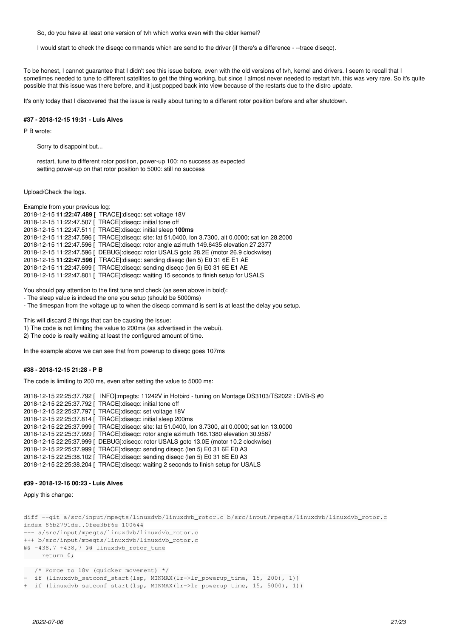So, do you have at least one version of tvh which works even with the older kernel?

I would start to check the diseqc commands which are send to the driver (if there's a difference - --trace diseqc).

To be honest, I cannot guarantee that I didn't see this issue before, even with the old versions of tvh, kernel and drivers. I seem to recall that I sometimes needed to tune to different satellites to get the thing working, but since I almost never needed to restart tvh, this was very rare. So it's quite possible that this issue was there before, and it just popped back into view because of the restarts due to the distro update.

It's only today that I discovered that the issue is really about tuning to a different rotor position before and after shutdown.

### **#37 - 2018-12-15 19:31 - Luis Alves**

P B wrote:

Sorry to disappoint but...

restart, tune to different rotor position, power-up 100: no success as expected setting power-up on that rotor position to 5000: still no success

Upload/Check the logs.

Example from your previous log: 2018-12-15 **11:22:47.489** [ TRACE]:diseqc: set voltage 18V 2018-12-15 11:22:47.507 [ TRACE]:diseqc: initial tone off 2018-12-15 11:22:47.511 [ TRACE]:diseqc: initial sleep **100ms** 2018-12-15 11:22:47.596 [ TRACE]:diseqc: site: lat 51.0400, lon 3.7300, alt 0.0000; sat lon 28.2000 2018-12-15 11:22:47.596 [ TRACE]:diseqc: rotor angle azimuth 149.6435 elevation 27.2377 2018-12-15 11:22:47.596 [ DEBUG]:diseqc: rotor USALS goto 28.2E (motor 26.9 clockwise) 2018-12-15 **11:22:47.596** [ TRACE]:diseqc: sending diseqc (len 5) E0 31 6E E1 AE 2018-12-15 11:22:47.699 [ TRACE]:diseqc: sending diseqc (len 5) E0 31 6E E1 AE 2018-12-15 11:22:47.801 [ TRACE]:diseqc: waiting 15 seconds to finish setup for USALS

You should pay attention to the first tune and check (as seen above in bold):

- The sleep value is indeed the one you setup (should be 5000ms)

- The timespan from the voltage up to when the diseqc command is sent is at least the delay you setup.

This will discard 2 things that can be causing the issue:

1) The code is not limiting the value to 200ms (as advertised in the webui).

2) The code is really waiting at least the configured amount of time.

In the example above we can see that from powerup to diseqc goes 107ms

# **#38 - 2018-12-15 21:28 - P B**

The code is limiting to 200 ms, even after setting the value to 5000 ms:

2018-12-15 22:25:37.792 [ INFO]:mpegts: 11242V in Hotbird - tuning on Montage DS3103/TS2022 : DVB-S #0 2018-12-15 22:25:37.792 [ TRACE]:diseqc: initial tone off 2018-12-15 22:25:37.797 [ TRACE]:diseqc: set voltage 18V 2018-12-15 22:25:37.814 [ TRACE]:diseqc: initial sleep 200ms 2018-12-15 22:25:37.999 [ TRACE]:diseqc: site: lat 51.0400, lon 3.7300, alt 0.0000; sat lon 13.0000 2018-12-15 22:25:37.999 [ TRACE]:diseqc: rotor angle azimuth 168.1380 elevation 30.9587 2018-12-15 22:25:37.999 [ DEBUG]:diseqc: rotor USALS goto 13.0E (motor 10.2 clockwise) 2018-12-15 22:25:37.999 [ TRACE]:diseqc: sending diseqc (len 5) E0 31 6E E0 A3 2018-12-15 22:25:38.102 [ TRACE]:diseqc: sending diseqc (len 5) E0 31 6E E0 A3 2018-12-15 22:25:38.204 [ TRACE]:diseqc: waiting 2 seconds to finish setup for USALS

# **#39 - 2018-12-16 00:23 - Luis Alves**

Apply this change:

```
diff --git a/src/input/mpegts/linuxdvb/linuxdvb_rotor.c b/src/input/mpegts/linuxdvb/linuxdvb_rotor.c
index 86b2791de..0fee3bf6e 100644
--- a/src/input/mpegts/linuxdvb/linuxdvb_rotor.c
+++ b/src/input/mpegts/linuxdvb/linuxdvb_rotor.c
@@ -438,7 +438,7 @@ linuxdvb_rotor_tune
        return 0;
    /* Force to 18v (quicker movement) */
 if (linuxdvb_satconf_start(lsp, MINMAX(lr->lr_powerup_time, 15, 200), 1))
```

```
+  if (linuxdvb_satconf_start(lsp, MINMAX(lr->lr_powerup_time, 15, 5000), 1))
```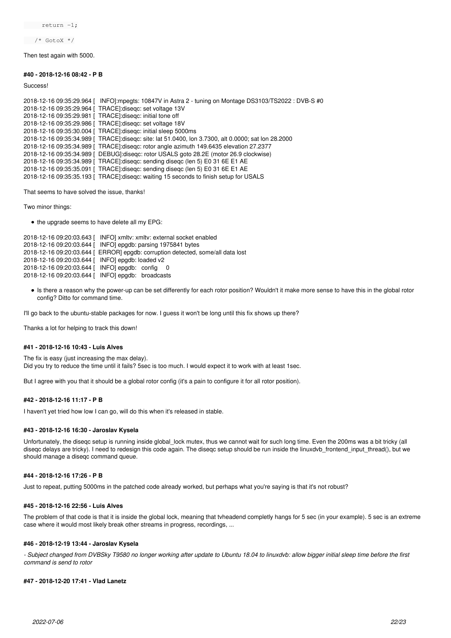return -1;

/\* GotoX \*/

Then test again with 5000.

**#40 - 2018-12-16 08:42 - P B**

**Success!** 

2018-12-16 09:35:29.964 [ INFO]:mpegts: 10847V in Astra 2 - tuning on Montage DS3103/TS2022 : DVB-S #0 2018-12-16 09:35:29.964 [ TRACE]:diseqc: set voltage 13V 2018-12-16 09:35:29.981 [ TRACE]:diseqc: initial tone off 2018-12-16 09:35:29.986 [ TRACE]:diseqc: set voltage 18V 2018-12-16 09:35:30.004 [ TRACE]:diseqc: initial sleep 5000ms 2018-12-16 09:35:34.989 [ TRACE]:diseqc: site: lat 51.0400, lon 3.7300, alt 0.0000; sat lon 28.2000 2018-12-16 09:35:34.989 [ TRACE]:diseqc: rotor angle azimuth 149.6435 elevation 27.2377 2018-12-16 09:35:34.989 [ DEBUG]:diseqc: rotor USALS goto 28.2E (motor 26.9 clockwise) 2018-12-16 09:35:34.989 [ TRACE]:diseqc: sending diseqc (len 5) E0 31 6E E1 AE 2018-12-16 09:35:35.091 [ TRACE]:diseqc: sending diseqc (len 5) E0 31 6E E1 AE 2018-12-16 09:35:35.193 [ TRACE]:diseqc: waiting 15 seconds to finish setup for USALS

That seems to have solved the issue, thanks!

Two minor things:

• the upgrade seems to have delete all my EPG:

```
2018-12-16 09:20:03.643 [ INFO] xmltv: xmltv: external socket enabled
2018-12-16 09:20:03.644 [ INFO] epgdb: parsing 1975841 bytes
2018-12-16 09:20:03.644 [ ERROR] epgdb: corruption detected, some/all data lost
2018-12-16 09:20:03.644 [ INFO] epgdb: loaded v2
2018-12-16 09:20:03.644 [ INFO] epgdb: config 0
2018-12-16 09:20:03.644 [ INFO] epgdb: broadcasts
```
Is there a reason why the power-up can be set differently for each rotor position? Wouldn't it make more sense to have this in the global rotor config? Ditto for command time.

I'll go back to the ubuntu-stable packages for now. I guess it won't be long until this fix shows up there?

Thanks a lot for helping to track this down!

### **#41 - 2018-12-16 10:43 - Luis Alves**

The fix is easy (just increasing the max delay). Did you try to reduce the time until it fails? 5sec is too much. I would expect it to work with at least 1sec.

But I agree with you that it should be a global rotor config (it's a pain to configure it for all rotor position).

# **#42 - 2018-12-16 11:17 - P B**

I haven't yet tried how low I can go, will do this when it's released in stable.

#### **#43 - 2018-12-16 16:30 - Jaroslav Kysela**

Unfortunately, the diseqc setup is running inside global\_lock mutex, thus we cannot wait for such long time. Even the 200ms was a bit tricky (all disegc delays are tricky). I need to redesign this code again. The disegc setup should be run inside the linuxdyb frontend input thread(), but we should manage a diseqc command queue.

# **#44 - 2018-12-16 17:26 - P B**

Just to repeat, putting 5000ms in the patched code already worked, but perhaps what you're saying is that it's not robust?

#### **#45 - 2018-12-16 22:56 - Luis Alves**

The problem of that code is that it is inside the global lock, meaning that tvheadend completly hangs for 5 sec (in your example). 5 sec is an extreme case where it would most likely break other streams in progress, recordings, ...

#### **#46 - 2018-12-19 13:44 - Jaroslav Kysela**

*- Subject changed from DVBSky T9580 no longer working after update to Ubuntu 18.04 to linuxdvb: allow bigger initial sleep time before the first command is send to rotor*

## **#47 - 2018-12-20 17:41 - Vlad Lanetz**